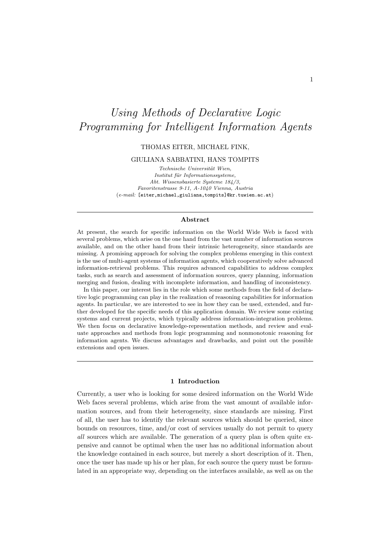# Using Methods of Declarative Logic Programming for Intelligent Information Agents

## THOMAS EITER, MICHAEL FINK,

#### GIULIANA SABBATINI, HANS TOMPITS

Technische Universität Wien, Institut für Informationssysteme, Abt. Wissensbasierte Systeme 184/3, Favoritenstrasse 9-11, A-1040 Vienna, Austria  $(\emph{e-mail:}~[\texttt{either},\texttt{michael},\texttt{giviliana},\texttt{complex}]\,\texttt{Qkr.tuvien.ac.at})$ 

### Abstract

At present, the search for specific information on the World Wide Web is faced with several problems, which arise on the one hand from the vast number of information sources available, and on the other hand from their intrinsic heterogeneity, since standards are missing. A promising approach for solving the complex problems emerging in this context is the use of multi-agent systems of information agents, which cooperatively solve advanced information-retrieval problems. This requires advanced capabilities to address complex tasks, such as search and assessment of information sources, query planning, information merging and fusion, dealing with incomplete information, and handling of inconsistency.

In this paper, our interest lies in the role which some methods from the field of declarative logic programming can play in the realization of reasoning capabilities for information agents. In particular, we are interested to see in how they can be used, extended, and further developed for the specific needs of this application domain. We review some existing systems and current projects, which typically address information-integration problems. We then focus on declarative knowledge-representation methods, and review and evaluate approaches and methods from logic programming and nonmonotonic reasoning for information agents. We discuss advantages and drawbacks, and point out the possible extensions and open issues.

#### 1 Introduction

Currently, a user who is looking for some desired information on the World Wide Web faces several problems, which arise from the vast amount of available information sources, and from their heterogeneity, since standards are missing. First of all, the user has to identify the relevant sources which should be queried, since bounds on resources, time, and/or cost of services usually do not permit to query all sources which are available. The generation of a query plan is often quite expensive and cannot be optimal when the user has no additional information about the knowledge contained in each source, but merely a short description of it. Then, once the user has made up his or her plan, for each source the query must be formulated in an appropriate way, depending on the interfaces available, as well as on the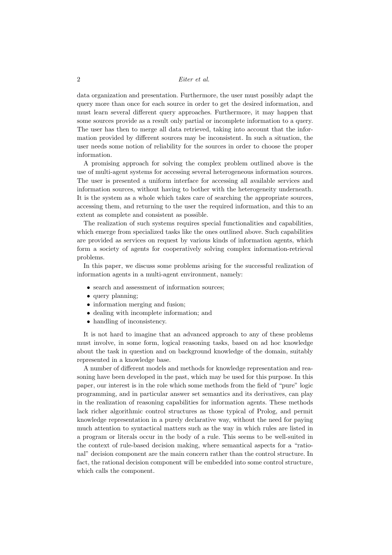data organization and presentation. Furthermore, the user must possibly adapt the query more than once for each source in order to get the desired information, and must learn several different query approaches. Furthermore, it may happen that some sources provide as a result only partial or incomplete information to a query. The user has then to merge all data retrieved, taking into account that the information provided by different sources may be inconsistent. In such a situation, the user needs some notion of reliability for the sources in order to choose the proper information.

A promising approach for solving the complex problem outlined above is the use of multi-agent systems for accessing several heterogeneous information sources. The user is presented a uniform interface for accessing all available services and information sources, without having to bother with the heterogeneity underneath. It is the system as a whole which takes care of searching the appropriate sources, accessing them, and returning to the user the required information, and this to an extent as complete and consistent as possible.

The realization of such systems requires special functionalities and capabilities, which emerge from specialized tasks like the ones outlined above. Such capabilities are provided as services on request by various kinds of information agents, which form a society of agents for cooperatively solving complex information-retrieval problems.

In this paper, we discuss some problems arising for the successful realization of information agents in a multi-agent environment, namely:

- search and assessment of information sources;
- query planning;
- information merging and fusion;
- dealing with incomplete information; and
- handling of inconsistency.

It is not hard to imagine that an advanced approach to any of these problems must involve, in some form, logical reasoning tasks, based on ad hoc knowledge about the task in question and on background knowledge of the domain, suitably represented in a knowledge base.

A number of different models and methods for knowledge representation and reasoning have been developed in the past, which may be used for this purpose. In this paper, our interest is in the role which some methods from the field of "pure" logic programming, and in particular answer set semantics and its derivatives, can play in the realization of reasoning capabilities for information agents. These methods lack richer algorithmic control structures as those typical of Prolog, and permit knowledge representation in a purely declarative way, without the need for paying much attention to syntactical matters such as the way in which rules are listed in a program or literals occur in the body of a rule. This seems to be well-suited in the context of rule-based decision making, where semantical aspects for a "rational" decision component are the main concern rather than the control structure. In fact, the rational decision component will be embedded into some control structure, which calls the component.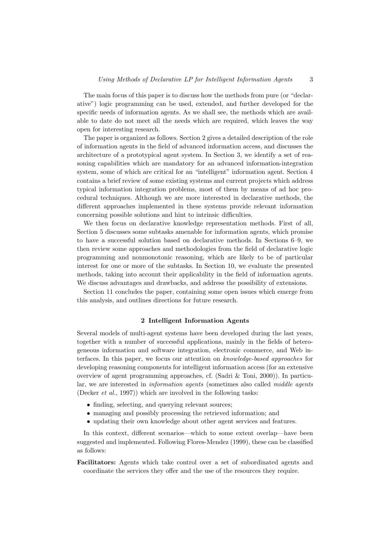The main focus of this paper is to discuss how the methods from pure (or "declarative") logic programming can be used, extended, and further developed for the specific needs of information agents. As we shall see, the methods which are available to date do not meet all the needs which are required, which leaves the way open for interesting research.

The paper is organized as follows. Section 2 gives a detailed description of the role of information agents in the field of advanced information access, and discusses the architecture of a prototypical agent system. In Section 3, we identify a set of reasoning capabilities which are mandatory for an advanced information-integration system, some of which are critical for an "intelligent" information agent. Section 4 contains a brief review of some existing systems and current projects which address typical information integration problems, most of them by means of ad hoc procedural techniques. Although we are more interested in declarative methods, the different approaches implemented in these systems provide relevant information concerning possible solutions and hint to intrinsic difficulties.

We then focus on declarative knowledge representation methods. First of all, Section 5 discusses some subtasks amenable for information agents, which promise to have a successful solution based on declarative methods. In Sections 6–9, we then review some approaches and methodologies from the field of declarative logic programming and nonmonotonic reasoning, which are likely to be of particular interest for one or more of the subtasks. In Section 10, we evaluate the presented methods, taking into account their applicability in the field of information agents. We discuss advantages and drawbacks, and address the possibility of extensions.

Section 11 concludes the paper, containing some open issues which emerge from this analysis, and outlines directions for future research.

## 2 Intelligent Information Agents

Several models of multi-agent systems have been developed during the last years, together with a number of successful applications, mainly in the fields of heterogeneous information and software integration, electronic commerce, and Web interfaces. In this paper, we focus our attention on knowledge-based approaches for developing reasoning components for intelligent information access (for an extensive overview of agent programming approaches, cf. (Sadri & Toni, 2000)). In particular, we are interested in information agents (sometimes also called middle agents (Decker et al., 1997)) which are involved in the following tasks:

- finding, selecting, and querying relevant sources;
- managing and possibly processing the retrieved information; and
- updating their own knowledge about other agent services and features.

In this context, different scenarios—which to some extent overlap—have been suggested and implemented. Following Flores-Mendez (1999), these can be classified as follows:

Facilitators: Agents which take control over a set of subordinated agents and coordinate the services they offer and the use of the resources they require.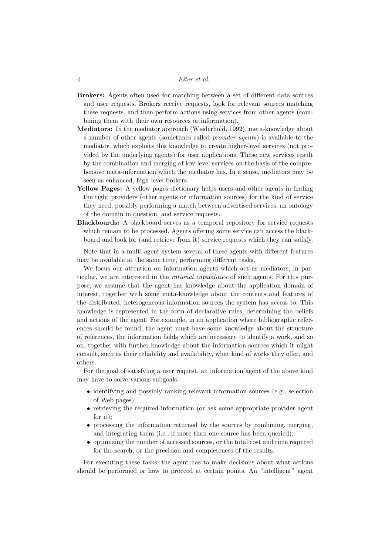- Brokers: Agents often used for matching between a set of different data sources and user requests. Brokers receive requests, look for relevant sources matching these requests, and then perform actions using services from other agents (combining them with their own resources or information).
- Mediators: In the mediator approach (Wiederhold, 1992), meta-knowledge about a number of other agents (sometimes called provider agents) is available to the mediator, which exploits this knowledge to create higher-level services (not provided by the underlying agents) for user applications. These new services result by the combination and merging of low-level services on the basis of the comprehensive meta-information which the mediator has. In a sense, mediators may be seen as enhanced, high-level brokers.
- Yellow Pages: A yellow pages dictionary helps users and other agents in finding the right providers (other agents or information sources) for the kind of service they need, possibly performing a match between advertised services, an ontology of the domain in question, and service requests.
- Blackboards: A blackboard serves as a temporal repository for service requests which remain to be processed. Agents offering some service can access the blackboard and look for (and retrieve from it) service requests which they can satisfy.

Note that in a multi-agent system several of these agents with different features may be available at the same time, performing different tasks.

We focus our attention on information agents which act as mediators; in particular, we are interested in the rational capabilities of such agents. For this purpose, we assume that the agent has knowledge about the application domain of interest, together with some meta-knowledge about the contents and features of the distributed, heterogeneous information sources the system has access to. This knowledge is represented in the form of declarative rules, determining the beliefs and actions of the agent. For example, in an application where bibliographic references should be found, the agent must have some knowledge about the structure of references, the information fields which are necessary to identify a work, and so on, together with further knowledge about the information sources which it might consult, such as their reliability and availability, what kind of works they offer, and others.

For the goal of satisfying a user request, an information agent of the above kind may have to solve various subgoals:

- identifying and possibly ranking relevant information sources (e.g., selection of Web pages);
- retrieving the required information (or ask some appropriate provider agent for it);
- processing the information returned by the sources by combining, merging, and integrating them (i.e., if more than one source has been queried);
- optimizing the number of accessed sources, or the total cost and time required for the search, or the precision and completeness of the results.

For executing these tasks, the agent has to make decisions about what actions should be performed or how to proceed at certain points. An "intelligent" agent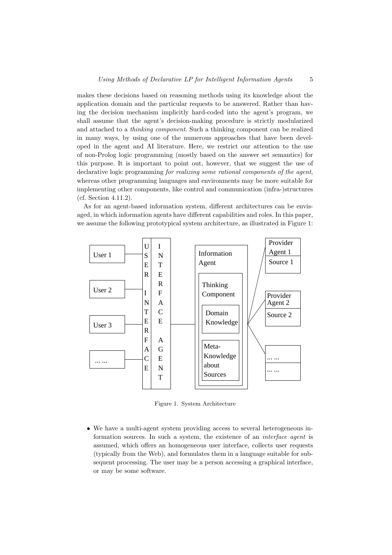makes these decisions based on reasoning methods using its knowledge about the application domain and the particular requests to be answered. Rather than having the decision mechanism implicitly hard-coded into the agent's program, we shall assume that the agent's decision-making procedure is strictly modularized and attached to a thinking component. Such a thinking component can be realized in many ways, by using one of the numerous approaches that have been developed in the agent and AI literature. Here, we restrict our attention to the use of non-Prolog logic programming (mostly based on the answer set semantics) for this purpose. It is important to point out, however, that we suggest the use of declarative logic programming for realizing some rational components of the agent, whereas other programming languages and environments may be more suitable for implementing other components, like control and communication (infra-)structures (cf. Section 4.11.2).

As for an agent-based information system, different architectures can be envisaged, in which information agents have different capabilities and roles. In this paper, we assume the following prototypical system architecture, as illustrated in Figure 1:



Figure 1. System Architecture

• We have a multi-agent system providing access to several heterogeneous information sources. In such a system, the existence of an interface agent is assumed, which offers an homogeneous user interface, collects user requests (typically from the Web), and formulates them in a language suitable for subsequent processing. The user may be a person accessing a graphical interface, or may be some software.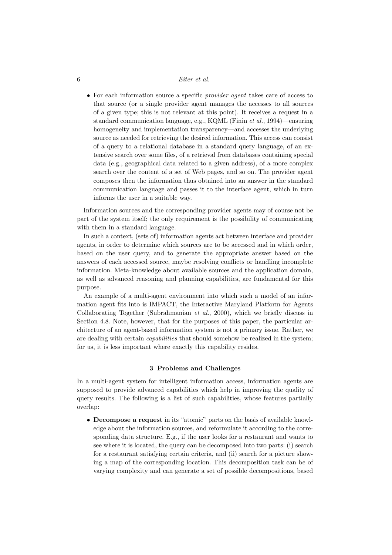• For each information source a specific provider agent takes care of access to that source (or a single provider agent manages the accesses to all sources of a given type; this is not relevant at this point). It receives a request in a standard communication language, e.g., KQML (Finin et al., 1994)—ensuring homogeneity and implementation transparency—and accesses the underlying source as needed for retrieving the desired information. This access can consist of a query to a relational database in a standard query language, of an extensive search over some files, of a retrieval from databases containing special data (e.g., geographical data related to a given address), of a more complex search over the content of a set of Web pages, and so on. The provider agent composes then the information thus obtained into an answer in the standard communication language and passes it to the interface agent, which in turn informs the user in a suitable way.

Information sources and the corresponding provider agents may of course not be part of the system itself; the only requirement is the possibility of communicating with them in a standard language.

In such a context, (sets of) information agents act between interface and provider agents, in order to determine which sources are to be accessed and in which order, based on the user query, and to generate the appropriate answer based on the answers of each accessed source, maybe resolving conflicts or handling incomplete information. Meta-knowledge about available sources and the application domain, as well as advanced reasoning and planning capabilities, are fundamental for this purpose.

An example of a multi-agent environment into which such a model of an information agent fits into is IMPACT, the Interactive Maryland Platform for Agents Collaborating Together (Subrahmanian et al., 2000), which we briefly discuss in Section 4.8. Note, however, that for the purposes of this paper, the particular architecture of an agent-based information system is not a primary issue. Rather, we are dealing with certain *capabilities* that should somehow be realized in the system; for us, it is less important where exactly this capability resides.

## 3 Problems and Challenges

In a multi-agent system for intelligent information access, information agents are supposed to provide advanced capabilities which help in improving the quality of query results. The following is a list of such capabilities, whose features partially overlap:

• Decompose a request in its "atomic" parts on the basis of available knowledge about the information sources, and reformulate it according to the corresponding data structure. E.g., if the user looks for a restaurant and wants to see where it is located, the query can be decomposed into two parts: (i) search for a restaurant satisfying certain criteria, and (ii) search for a picture showing a map of the corresponding location. This decomposition task can be of varying complexity and can generate a set of possible decompositions, based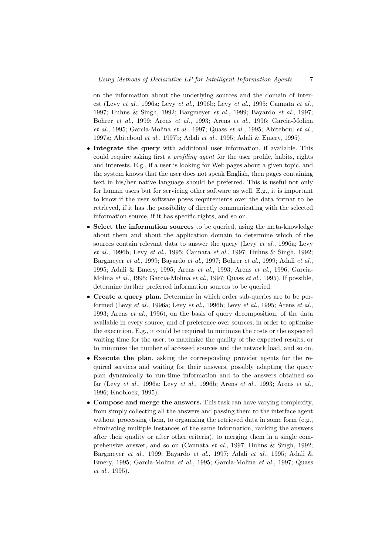on the information about the underlying sources and the domain of interest (Levy et al., 1996a; Levy et al., 1996b; Levy et al., 1995; Cannata et al., 1997; Huhns & Singh, 1992; Bargmeyer et al., 1999; Bayardo et al., 1997; Bohrer et al., 1999; Arens et al., 1993; Arens et al., 1996; Garcia-Molina et al., 1995; Garcia-Molina et al., 1997; Quass et al., 1995; Abiteboul et al., 1997a; Abiteboul et al., 1997b; Adali et al., 1995; Adali & Emery, 1995).

- Integrate the query with additional user information, if available. This could require asking first a profiling agent for the user profile, habits, rights and interests. E.g., if a user is looking for Web pages about a given topic, and the system knows that the user does not speak English, then pages containing text in his/her native language should be preferred. This is useful not only for human users but for servicing other software as well. E.g., it is important to know if the user software poses requirements over the data format to be retrieved, if it has the possibility of directly communicating with the selected information source, if it has specific rights, and so on.
- Select the information sources to be queried, using the meta-knowledge about them and about the application domain to determine which of the sources contain relevant data to answer the query (Levy *et al.*, 1996a; Levy et al., 1996b; Levy et al., 1995; Cannata et al., 1997; Huhns & Singh, 1992; Bargmeyer et al., 1999; Bayardo et al., 1997; Bohrer et al., 1999; Adali et al., 1995; Adali & Emery, 1995; Arens et al., 1993; Arens et al., 1996; Garcia-Molina et al., 1995; Garcia-Molina et al., 1997; Quass et al., 1995). If possible, determine further preferred information sources to be queried.
- Create a query plan. Determine in which order sub-queries are to be performed (Levy et al., 1996a; Levy et al., 1996b; Levy et al., 1995; Arens et al., 1993; Arens et al., 1996), on the basis of query decomposition, of the data available in every source, and of preference over sources, in order to optimize the execution. E.g., it could be required to minimize the costs or the expected waiting time for the user, to maximize the quality of the expected results, or to minimize the number of accessed sources and the network load, and so on.
- Execute the plan, asking the corresponding provider agents for the required services and waiting for their answers, possibly adapting the query plan dynamically to run-time information and to the answers obtained so far (Levy et al., 1996a; Levy et al., 1996b; Arens et al., 1993; Arens et al., 1996; Knoblock, 1995).
- Compose and merge the answers. This task can have varying complexity, from simply collecting all the answers and passing them to the interface agent without processing them, to organizing the retrieved data in some form (e.g., eliminating multiple instances of the same information, ranking the answers after their quality or after other criteria), to merging them in a single comprehensive answer, and so on (Cannata et al., 1997; Huhns & Singh, 1992; Bargmeyer et al., 1999; Bayardo et al., 1997; Adali et al., 1995; Adali & Emery, 1995; Garcia-Molina et al., 1995; Garcia-Molina et al., 1997; Quass et al., 1995).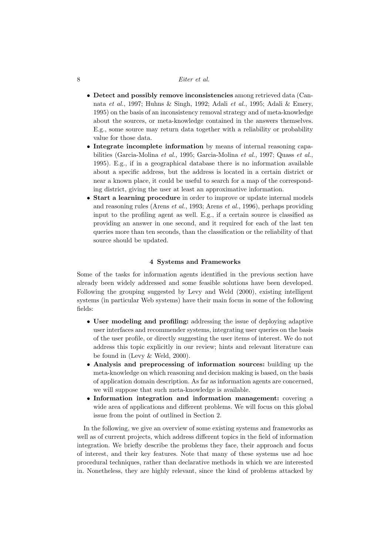- Detect and possibly remove inconsistencies among retrieved data (Cannata et al., 1997; Huhns & Singh, 1992; Adali et al., 1995; Adali & Emery, 1995) on the basis of an inconsistency removal strategy and of meta-knowledge about the sources, or meta-knowledge contained in the answers themselves. E.g., some source may return data together with a reliability or probability value for those data.
- Integrate incomplete information by means of internal reasoning capabilities (Garcia-Molina et al., 1995; Garcia-Molina et al., 1997; Quass et al., 1995). E.g., if in a geographical database there is no information available about a specific address, but the address is located in a certain district or near a known place, it could be useful to search for a map of the corresponding district, giving the user at least an approximative information.
- Start a learning procedure in order to improve or update internal models and reasoning rules (Arens et al., 1993; Arens et al., 1996), perhaps providing input to the profiling agent as well. E.g., if a certain source is classified as providing an answer in one second, and it required for each of the last ten queries more than ten seconds, than the classification or the reliability of that source should be updated.

## 4 Systems and Frameworks

Some of the tasks for information agents identified in the previous section have already been widely addressed and some feasible solutions have been developed. Following the grouping suggested by Levy and Weld (2000), existing intelligent systems (in particular Web systems) have their main focus in some of the following fields:

- User modeling and profiling: addressing the issue of deploying adaptive user interfaces and recommender systems, integrating user queries on the basis of the user profile, or directly suggesting the user items of interest. We do not address this topic explicitly in our review; hints and relevant literature can be found in (Levy & Weld, 2000).
- Analysis and preprocessing of information sources: building up the meta-knowledge on which reasoning and decision making is based, on the basis of application domain description. As far as information agents are concerned, we will suppose that such meta-knowledge is available.
- Information integration and information management: covering a wide area of applications and different problems. We will focus on this global issue from the point of outlined in Section 2.

In the following, we give an overview of some existing systems and frameworks as well as of current projects, which address different topics in the field of information integration. We briefly describe the problems they face, their approach and focus of interest, and their key features. Note that many of these systems use ad hoc procedural techniques, rather than declarative methods in which we are interested in. Nonetheless, they are highly relevant, since the kind of problems attacked by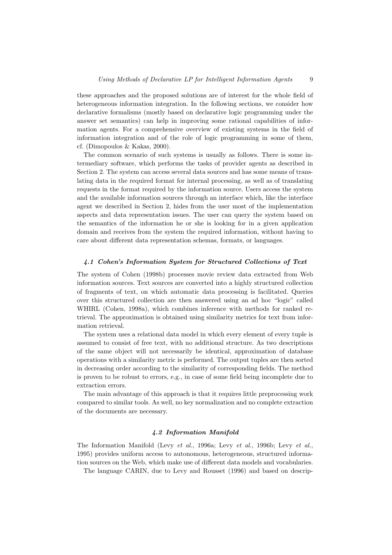these approaches and the proposed solutions are of interest for the whole field of heterogeneous information integration. In the following sections, we consider how declarative formalisms (mostly based on declarative logic programming under the answer set semantics) can help in improving some rational capabilities of information agents. For a comprehensive overview of existing systems in the field of information integration and of the role of logic programming in some of them, cf. (Dimopoulos & Kakas, 2000).

The common scenario of such systems is usually as follows. There is some intermediary software, which performs the tasks of provider agents as described in Section 2. The system can access several data sources and has some means of translating data in the required format for internal processing, as well as of translating requests in the format required by the information source. Users access the system and the available information sources through an interface which, like the interface agent we described in Section 2, hides from the user most of the implementation aspects and data representation issues. The user can query the system based on the semantics of the information he or she is looking for in a given application domain and receives from the system the required information, without having to care about different data representation schemas, formats, or languages.

#### 4.1 Cohen's Information System for Structured Collections of Text

The system of Cohen (1998b) processes movie review data extracted from Web information sources. Text sources are converted into a highly structured collection of fragments of text, on which automatic data processing is facilitated. Queries over this structured collection are then answered using an ad hoc "logic" called WHIRL (Cohen, 1998a), which combines inference with methods for ranked retrieval. The approximation is obtained using similarity metrics for text from information retrieval.

The system uses a relational data model in which every element of every tuple is assumed to consist of free text, with no additional structure. As two descriptions of the same object will not necessarily be identical, approximation of database operations with a similarity metric is performed. The output tuples are then sorted in decreasing order according to the similarity of corresponding fields. The method is proven to be robust to errors, e.g., in case of some field being incomplete due to extraction errors.

The main advantage of this approach is that it requires little preprocessing work compared to similar tools. As well, no key normalization and no complete extraction of the documents are necessary.

## 4.2 Information Manifold

The Information Manifold (Levy et al., 1996a; Levy et al., 1996b; Levy et al., 1995) provides uniform access to autonomous, heterogeneous, structured information sources on the Web, which make use of different data models and vocabularies.

The language CARIN, due to Levy and Rousset (1996) and based on descrip-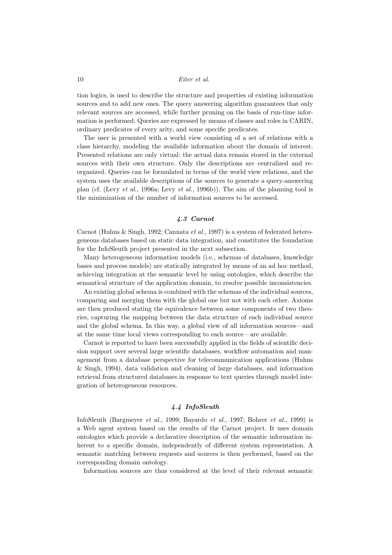tion logics, is used to describe the structure and properties of existing information sources and to add new ones. The query answering algorithm guarantees that only relevant sources are accessed, while further pruning on the basis of run-time information is performed. Queries are expressed by means of classes and roles in CARIN, ordinary predicates of every arity, and some specific predicates.

The user is presented with a world view consisting of a set of relations with a class hierarchy, modeling the available information about the domain of interest. Presented relations are only virtual: the actual data remain stored in the external sources with their own structure. Only the descriptions are centralized and reorganized. Queries can be formulated in terms of the world view relations, and the system uses the available descriptions of the sources to generate a query-answering plan (cf. (Levy et al., 1996a; Levy et al., 1996b)). The aim of the planning tool is the minimization of the number of information sources to be accessed.

## 4.3 Carnot

Carnot (Huhns & Singh, 1992; Cannata *et al.*, 1997) is a system of federated heterogeneous databases based on static data integration, and constitutes the foundation for the InfoSleuth project presented in the next subsection.

Many heterogeneous information models (i.e., schemas of databases, knowledge bases and process models) are statically integrated by means of an ad hoc method, achieving integration at the semantic level by using ontologies, which describe the semantical structure of the application domain, to resolve possible inconsistencies.

An existing global schema is combined with the schemas of the individual sources, comparing and merging them with the global one but not with each other. Axioms are then produced stating the equivalence between some components of two theories, capturing the mapping between the data structure of each individual source and the global schema. In this way, a global view of all information sources—and at the same time local views corresponding to each source—are available.

Carnot is reported to have been successfully applied in the fields of scientific decision support over several large scientific databases, workflow automation and management from a database perspective for telecommunication applications (Huhns & Singh, 1994), data validation and cleaning of large databases, and information retrieval from structured databases in response to text queries through model integration of heterogeneous resources.

# 4.4 InfoSleuth

InfoSleuth (Bargmeyer et al., 1999; Bayardo et al., 1997; Bohrer et al., 1999) is a Web agent system based on the results of the Carnot project. It uses domain ontologies which provide a declarative description of the semantic information inherent to a specific domain, independently of different system representation. A semantic matching between requests and sources is then performed, based on the corresponding domain ontology.

Information sources are thus considered at the level of their relevant semantic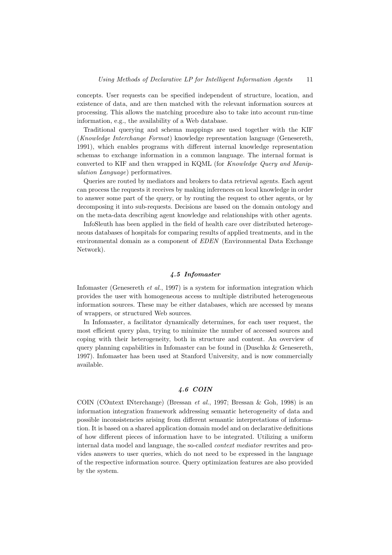concepts. User requests can be specified independent of structure, location, and existence of data, and are then matched with the relevant information sources at processing. This allows the matching procedure also to take into account run-time information, e.g., the availability of a Web database.

Traditional querying and schema mappings are used together with the KIF (Knowledge Interchange Format) knowledge representation language (Genesereth, 1991), which enables programs with different internal knowledge representation schemas to exchange information in a common language. The internal format is converted to KIF and then wrapped in KQML (for Knowledge Query and Manipulation Language) performatives.

Queries are routed by mediators and brokers to data retrieval agents. Each agent can process the requests it receives by making inferences on local knowledge in order to answer some part of the query, or by routing the request to other agents, or by decomposing it into sub-requests. Decisions are based on the domain ontology and on the meta-data describing agent knowledge and relationships with other agents.

InfoSleuth has been applied in the field of health care over distributed heterogeneous databases of hospitals for comparing results of applied treatments, and in the environmental domain as a component of EDEN (Environmental Data Exchange Network).

# 4.5 Infomaster

Infomaster (Genesereth et al., 1997) is a system for information integration which provides the user with homogeneous access to multiple distributed heterogeneous information sources. These may be either databases, which are accessed by means of wrappers, or structured Web sources.

In Infomaster, a facilitator dynamically determines, for each user request, the most efficient query plan, trying to minimize the number of accessed sources and coping with their heterogeneity, both in structure and content. An overview of query planning capabilities in Infomaster can be found in (Duschka & Genesereth, 1997). Infomaster has been used at Stanford University, and is now commercially available.

## 4.6 COIN

COIN (COntext INterchange) (Bressan et al., 1997; Bressan & Goh, 1998) is an information integration framework addressing semantic heterogeneity of data and possible inconsistencies arising from different semantic interpretations of information. It is based on a shared application domain model and on declarative definitions of how different pieces of information have to be integrated. Utilizing a uniform internal data model and language, the so-called context mediator rewrites and provides answers to user queries, which do not need to be expressed in the language of the respective information source. Query optimization features are also provided by the system.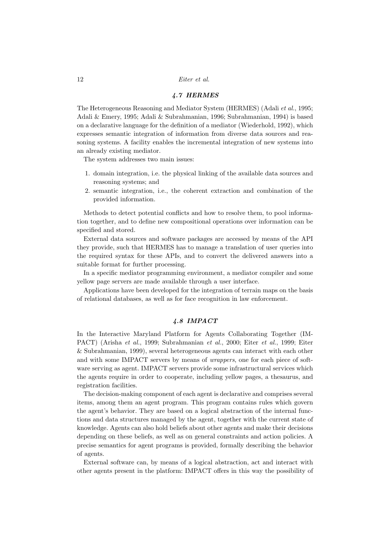## 4.7 HERMES

The Heterogeneous Reasoning and Mediator System (HERMES) (Adali et al., 1995; Adali & Emery, 1995; Adali & Subrahmanian, 1996; Subrahmanian, 1994) is based on a declarative language for the definition of a mediator (Wiederhold, 1992), which expresses semantic integration of information from diverse data sources and reasoning systems. A facility enables the incremental integration of new systems into an already existing mediator.

The system addresses two main issues:

- 1. domain integration, i.e. the physical linking of the available data sources and reasoning systems; and
- 2. semantic integration, i.e., the coherent extraction and combination of the provided information.

Methods to detect potential conflicts and how to resolve them, to pool information together, and to define new compositional operations over information can be specified and stored.

External data sources and software packages are accessed by means of the API they provide, such that HERMES has to manage a translation of user queries into the required syntax for these APIs, and to convert the delivered answers into a suitable format for further processing.

In a specific mediator programming environment, a mediator compiler and some yellow page servers are made available through a user interface.

Applications have been developed for the integration of terrain maps on the basis of relational databases, as well as for face recognition in law enforcement.

## 4.8 IMPACT

In the Interactive Maryland Platform for Agents Collaborating Together (IM-PACT) (Arisha et al., 1999; Subrahmanian et al., 2000; Eiter et al., 1999; Eiter & Subrahmanian, 1999), several heterogeneous agents can interact with each other and with some IMPACT servers by means of *wrappers*, one for each piece of software serving as agent. IMPACT servers provide some infrastructural services which the agents require in order to cooperate, including yellow pages, a thesaurus, and registration facilities.

The decision-making component of each agent is declarative and comprises several items, among them an agent program. This program contains rules which govern the agent's behavior. They are based on a logical abstraction of the internal functions and data structures managed by the agent, together with the current state of knowledge. Agents can also hold beliefs about other agents and make their decisions depending on these beliefs, as well as on general constraints and action policies. A precise semantics for agent programs is provided, formally describing the behavior of agents.

External software can, by means of a logical abstraction, act and interact with other agents present in the platform: IMPACT offers in this way the possibility of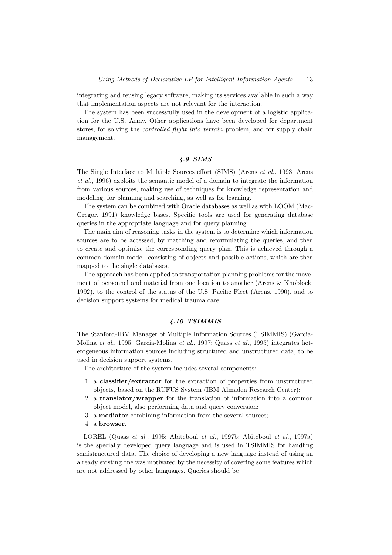integrating and reusing legacy software, making its services available in such a way that implementation aspects are not relevant for the interaction.

The system has been successfully used in the development of a logistic application for the U.S. Army. Other applications have been developed for department stores, for solving the *controlled flight into terrain* problem, and for supply chain management.

## 4.9 SIMS

The Single Interface to Multiple Sources effort (SIMS) (Arens et al., 1993; Arens et al., 1996) exploits the semantic model of a domain to integrate the information from various sources, making use of techniques for knowledge representation and modeling, for planning and searching, as well as for learning.

The system can be combined with Oracle databases as well as with LOOM (Mac-Gregor, 1991) knowledge bases. Specific tools are used for generating database queries in the appropriate language and for query planning.

The main aim of reasoning tasks in the system is to determine which information sources are to be accessed, by matching and reformulating the queries, and then to create and optimize the corresponding query plan. This is achieved through a common domain model, consisting of objects and possible actions, which are then mapped to the single databases.

The approach has been applied to transportation planning problems for the movement of personnel and material from one location to another (Arens & Knoblock, 1992), to the control of the status of the U.S. Pacific Fleet (Arens, 1990), and to decision support systems for medical trauma care.

## 4.10 TSIMMIS

The Stanford-IBM Manager of Multiple Information Sources (TSIMMIS) (Garcia-Molina et al., 1995; Garcia-Molina et al., 1997; Quass et al., 1995) integrates heterogeneous information sources including structured and unstructured data, to be used in decision support systems.

The architecture of the system includes several components:

- 1. a classifier/extractor for the extraction of properties from unstructured objects, based on the RUFUS System (IBM Almaden Research Center);
- 2. a translator/wrapper for the translation of information into a common object model, also performing data and query conversion;
- 3. a mediator combining information from the several sources;
- 4. a browser.

LOREL (Quass et al., 1995; Abiteboul et al., 1997b; Abiteboul et al., 1997a) is the specially developed query language and is used in TSIMMIS for handling semistructured data. The choice of developing a new language instead of using an already existing one was motivated by the necessity of covering some features which are not addressed by other languages. Queries should be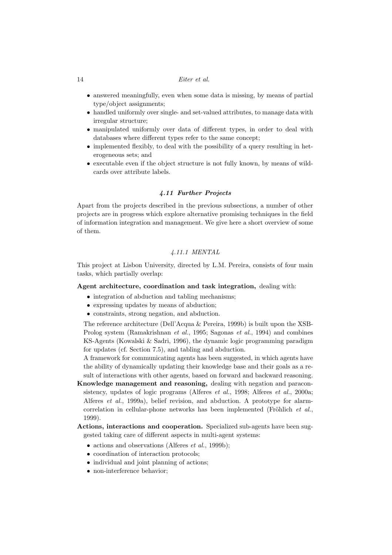- answered meaningfully, even when some data is missing, by means of partial type/object assignments;
- handled uniformly over single- and set-valued attributes, to manage data with irregular structure;
- manipulated uniformly over data of different types, in order to deal with databases where different types refer to the same concept;
- implemented flexibly, to deal with the possibility of a query resulting in heterogeneous sets; and
- executable even if the object structure is not fully known, by means of wildcards over attribute labels.

## 4.11 Further Projects

Apart from the projects described in the previous subsections, a number of other projects are in progress which explore alternative promising techniques in the field of information integration and management. We give here a short overview of some of them.

## 4.11.1 MENTAL

This project at Lisbon University, directed by L.M. Pereira, consists of four main tasks, which partially overlap:

Agent architecture, coordination and task integration, dealing with:

- integration of abduction and tabling mechanisms;
- expressing updates by means of abduction;
- constraints, strong negation, and abduction.

The reference architecture (Dell'Acqua & Pereira, 1999b) is built upon the XSB-Prolog system (Ramakrishnan et al., 1995; Sagonas et al., 1994) and combines KS-Agents (Kowalski & Sadri, 1996), the dynamic logic programming paradigm for updates (cf. Section 7.5), and tabling and abduction.

A framework for communicating agents has been suggested, in which agents have the ability of dynamically updating their knowledge base and their goals as a result of interactions with other agents, based on forward and backward reasoning.

- Knowledge management and reasoning, dealing with negation and paraconsistency, updates of logic programs (Alferes *et al.*, 1998; Alferes *et al.*, 2000a; Alferes et al., 1999a), belief revision, and abduction. A prototype for alarmcorrelation in cellular-phone networks has been implemented (Fröhlich  $et al.,$ 1999).
- Actions, interactions and cooperation. Specialized sub-agents have been suggested taking care of different aspects in multi-agent systems:
	- actions and observations (Alferes *et al.*, 1999b);
	- coordination of interaction protocols;
	- individual and joint planning of actions;
	- non-interference behavior;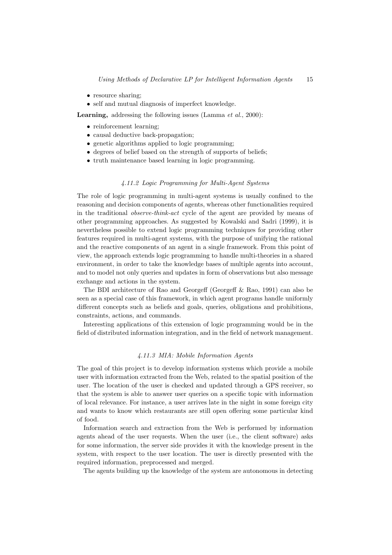- resource sharing;
- self and mutual diagnosis of imperfect knowledge.

Learning, addressing the following issues (Lamma et al., 2000):

- reinforcement learning;
- causal deductive back-propagation;
- genetic algorithms applied to logic programming;
- degrees of belief based on the strength of supports of beliefs;
- truth maintenance based learning in logic programming.

## 4.11.2 Logic Programming for Multi-Agent Systems

The role of logic programming in multi-agent systems is usually confined to the reasoning and decision components of agents, whereas other functionalities required in the traditional observe-think-act cycle of the agent are provided by means of other programming approaches. As suggested by Kowalski and Sadri (1999), it is nevertheless possible to extend logic programming techniques for providing other features required in multi-agent systems, with the purpose of unifying the rational and the reactive components of an agent in a single framework. From this point of view, the approach extends logic programming to handle multi-theories in a shared environment, in order to take the knowledge bases of multiple agents into account, and to model not only queries and updates in form of observations but also message exchange and actions in the system.

The BDI architecture of Rao and Georgeff (Georgeff & Rao, 1991) can also be seen as a special case of this framework, in which agent programs handle uniformly different concepts such as beliefs and goals, queries, obligations and prohibitions, constraints, actions, and commands.

Interesting applications of this extension of logic programming would be in the field of distributed information integration, and in the field of network management.

#### 4.11.3 MIA: Mobile Information Agents

The goal of this project is to develop information systems which provide a mobile user with information extracted from the Web, related to the spatial position of the user. The location of the user is checked and updated through a GPS receiver, so that the system is able to answer user queries on a specific topic with information of local relevance. For instance, a user arrives late in the night in some foreign city and wants to know which restaurants are still open offering some particular kind of food.

Information search and extraction from the Web is performed by information agents ahead of the user requests. When the user (i.e., the client software) asks for some information, the server side provides it with the knowledge present in the system, with respect to the user location. The user is directly presented with the required information, preprocessed and merged.

The agents building up the knowledge of the system are autonomous in detecting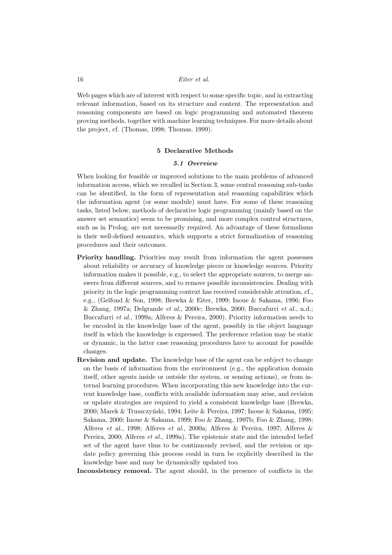Web pages which are of interest with respect to some specific topic, and in extracting relevant information, based on its structure and content. The representation and reasoning components are based on logic programming and automated theorem proving methods, together with machine learning techniques. For more details about the project, cf. (Thomas, 1998; Thomas, 1999).

#### 5 Declarative Methods

#### 5.1 Overview

When looking for feasible or improved solutions to the main problems of advanced information access, which we recalled in Section 3, some central reasoning sub-tasks can be identified, in the form of representation and reasoning capabilities which the information agent (or some module) must have. For some of these reasoning tasks, listed below, methods of declarative logic programming (mainly based on the answer set semantics) seem to be promising, and more complex control structures, such as in Prolog, are not necessarily required. An advantage of these formalisms is their well-defined semantics, which supports a strict formalization of reasoning procedures and their outcomes.

- Priority handling. Priorities may result from information the agent possesses about reliability or accuracy of knowledge pieces or knowledge sources. Priority information makes it possible, e.g., to select the appropriate sources, to merge answers from different sources, and to remove possible inconsistencies. Dealing with priority in the logic programming context has received considerable attention, cf., e.g., (Gelfond & Son, 1998; Brewka & Eiter, 1999; Inoue & Sakama, 1996; Foo & Zhang, 1997a; Delgrande et al., 2000c; Brewka, 2000; Buccafurri et al., n.d.; Buccafurri et al., 1999a; Alferes & Pereira, 2000). Priority information needs to be encoded in the knowledge base of the agent, possibly in the object language itself in which the knowledge is expressed. The preference relation may be static or dynamic, in the latter case reasoning procedures have to account for possible changes.
- **Revision and update.** The knowledge base of the agent can be subject to change on the basis of information from the environment (e.g., the application domain itself, other agents inside or outside the system, or sensing actions), or from internal learning procedures. When incorporating this new knowledge into the current knowledge base, conflicts with available information may arise, and revision or update strategies are required to yield a consistent knowledge base (Brewka, 2000; Marek & Truszczyński, 1994; Leite & Pereira, 1997; Inoue & Sakama, 1995; Sakama, 2000; Inoue & Sakama, 1999; Foo & Zhang, 1997b; Foo & Zhang, 1998; Alferes et al., 1998; Alferes et al., 2000a; Alferes & Pereira, 1997; Alferes & Pereira, 2000; Alferes *et al.*, 1999a). The epistemic state and the intended belief set of the agent have thus to be continuously revised, and the revision or update policy governing this process could in turn be explicitly described in the knowledge base and may be dynamically updated too.

Inconsistency removal. The agent should, in the presence of conflicts in the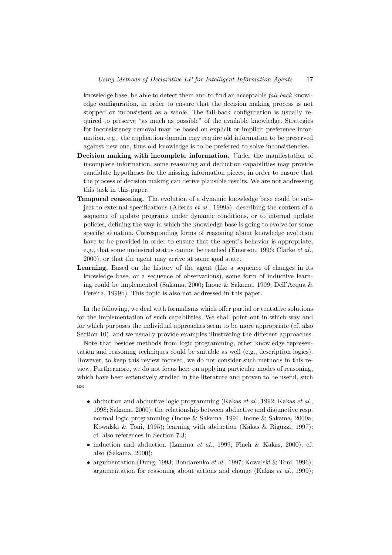knowledge base, be able to detect them and to find an acceptable fall-back knowledge configuration, in order to ensure that the decision making process is not stopped or inconsistent as a whole. The fall-back configuration is usually required to preserve "as much as possible" of the available knowledge. Strategies for inconsistency removal may be based on explicit or implicit preference information, e.g., the application domain may require old information to be preserved against new one, thus old knowledge is to be preferred to solve inconsistencies.

- Decision making with incomplete information. Under the manifestation of incomplete information, some reasoning and deduction capabilities may provide candidate hypotheses for the missing information pieces, in order to ensure that the process of decision making can derive plausible results. We are not addressing this task in this paper.
- Temporal reasoning. The evolution of a dynamic knowledge base could be subject to external specifications (Alferes et al., 1999a), describing the content of a sequence of update programs under dynamic conditions, or to internal update policies, defining the way in which the knowledge base is going to evolve for some specific situation. Corresponding forms of reasoning about knowledge evolution have to be provided in order to ensure that the agent's behavior is appropriate, e.g., that some undesired status cannot be reached (Emerson, 1996; Clarke et al., 2000), or that the agent may arrive at some goal state.
- Learning. Based on the history of the agent (like a sequence of changes in its knowledge base, or a sequence of observations), some form of inductive learning could be implemented (Sakama, 2000; Inoue & Sakama, 1999; Dell'Acqua & Pereira, 1999b). This topic is also not addressed in this paper.

In the following, we deal with formalisms which offer partial or tentative solutions for the implementation of such capabilities. We shall point out in which way and for which purposes the individual approaches seem to be more appropriate (cf. also Section 10), and we usually provide examples illustrating the different approaches.

Note that besides methods from logic programming, other knowledge representation and reasoning techniques could be suitable as well (e.g., description logics). However, to keep this review focused, we do not consider such methods in this review. Furthermore, we do not focus here on applying particular modes of reasoning, which have been extensively studied in the literature and proven to be useful, such as:

- abduction and abductive logic programming (Kakas *et al.*, 1992; Kakas *et al.*, 1998; Sakama, 2000); the relationship between abductive and disjunctive resp. normal logic programming (Inoue & Sakama, 1994; Inoue & Sakama, 2000a; Kowalski & Toni, 1995); learning with abduction (Kakas & Riguzzi, 1997); cf. also references in Section 7.3;
- induction and abduction (Lamma et al., 1999; Flach & Kakas, 2000); cf. also (Sakama, 2000);
- argumentation (Dung, 1993; Bondarenko et al., 1997; Kowalski & Toni, 1996); argumentation for reasoning about actions and change (Kakas et al., 1999);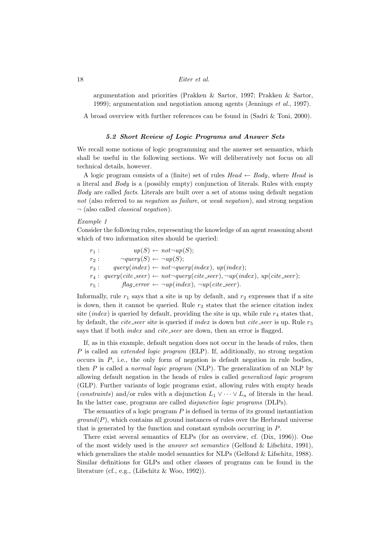argumentation and priorities (Prakken & Sartor, 1997; Prakken & Sartor, 1999); argumentation and negotiation among agents (Jennings et al., 1997).

A broad overview with further references can be found in (Sadri & Toni, 2000).

#### 5.2 Short Review of Logic Programs and Answer Sets

We recall some notions of logic programming and the answer set semantics, which shall be useful in the following sections. We will deliberatively not focus on all technical details, however.

A logic program consists of a (finite) set of rules  $Head \leftarrow Body$ , where Head is a literal and Body is a (possibly empty) conjunction of literals. Rules with empty Body are called facts. Literals are built over a set of atoms using default negation not (also referred to as *negation as failure*, or *weak negation*), and strong negation  $\neg$  (also called *classical negation*).

#### Example 1

Consider the following rules, representing the knowledge of an agent reasoning about which of two information sites should be queried:

| $r_1$ :   | $up(S) \leftarrow not \neg up(S);$                                                                    |
|-----------|-------------------------------------------------------------------------------------------------------|
| $r_2$ :   | $\neg query(S) \leftarrow \neg up(S);$                                                                |
| $r_3$ :   | $queryʻ(\text{index}) \leftarrow not \neg query(\text{index}), up(\text{index});$                     |
|           | $r_4: \; query(cite\_seer) \leftarrow not \neg query(cite\_seer), \neg up(index), \; up(cite\_seer);$ |
| $r_{5}$ : | $flag\_error \leftarrow \neg up(index), \neg up(cite\_seer).$                                         |

Informally, rule  $r_1$  says that a site is up by default, and  $r_2$  expresses that if a site is down, then it cannot be queried. Rule  $r_3$  states that the science citation index site (index) is queried by default, providing the site is up, while rule  $r_4$  states that, by default, the *cite seer* site is queried if *index* is down but *cite seer* is up. Rule  $r_5$ says that if both *index* and *cite\_seer* are down, then an error is flagged.

If, as in this example, default negation does not occur in the heads of rules, then P is called an *extended logic program* (ELP). If, additionally, no strong negation occurs in  $P$ , i.e., the only form of negation is default negation in rule bodies, then  $P$  is called a *normal logic program* (NLP). The generalization of an NLP by allowing default negation in the heads of rules is called generalized logic program (GLP). Further variants of logic programs exist, allowing rules with empty heads (constraints) and/or rules with a disjunction  $L_1 \vee \cdots \vee L_n$  of literals in the head. In the latter case, programs are called *disjunctive logic programs* (DLPs).

The semantics of a logic program  $P$  is defined in terms of its ground instantiation  $ground(P)$ , which contains all ground instances of rules over the Herbrand universe that is generated by the function and constant symbols occurring in P.

There exist several semantics of ELPs (for an overview, cf. (Dix, 1996)). One of the most widely used is the answer set semantics (Gelfond & Lifschitz, 1991), which generalizes the stable model semantics for NLPs (Gelfond & Lifschitz, 1988). Similar definitions for GLPs and other classes of programs can be found in the literature (cf., e.g., (Lifschitz & Woo, 1992)).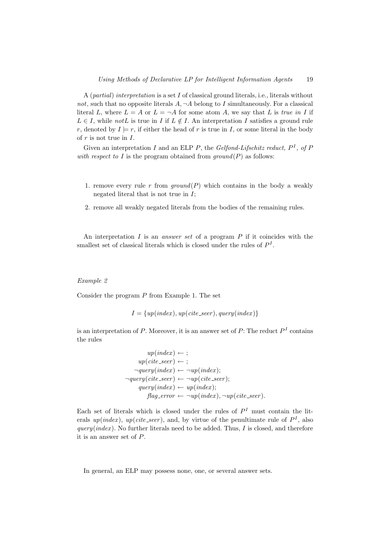A (partial) interpretation is a set I of classical ground literals, i.e., literals without not, such that no opposite literals  $A, \neg A$  belong to I simultaneously. For a classical literal L, where  $L = A$  or  $L = \neg A$  for some atom A, we say that L is true in I if  $L \in I$ , while notL is true in I if  $L \notin I$ . An interpretation I satisfies a ground rule r, denoted by  $I \models r$ , if either the head of r is true in I, or some literal in the body of  $r$  is not true in  $I$ .

Given an interpretation I and an ELP P, the Gelfond-Lifschitz reduct,  $P<sup>I</sup>$ , of P with respect to I is the program obtained from  $ground(P)$  as follows:

- 1. remove every rule r from  $ground(P)$  which contains in the body a weakly negated literal that is not true in I;
- 2. remove all weakly negated literals from the bodies of the remaining rules.

An interpretation I is an *answer set* of a program  $P$  if it coincides with the smallest set of classical literals which is closed under the rules of  $P<sup>I</sup>$ .

#### Example 2

Consider the program  $P$  from Example 1. The set

 $I = \{up/index\}, up(cite\_seer), query/index)\}$ 

is an interpretation of P. Moreover, it is an answer set of P: The reduct  $P<sup>I</sup>$  contains the rules

$$
up(ndex) \leftarrow ;
$$
  
\n
$$
up(cite\_seer) \leftarrow ;
$$
  
\n
$$
\neg query(ndex) \leftarrow \neg up(ndex);
$$
  
\n
$$
\neg query(cite\_seer) \leftarrow \neg up(cite\_seer);
$$
  
\n
$$
query(ndex) \leftarrow up(ndex);
$$
  
\n
$$
flag\_error \leftarrow \neg up(ndex), \neg up(cite\_seer).
$$

Each set of literals which is closed under the rules of  $P<sup>I</sup>$  must contain the literals  $up(intex)$ ,  $up(cite\_seer)$ , and, by virtue of the penultimate rule of  $P<sup>I</sup>$ , also  $query/index)$ . No further literals need to be added. Thus,  $I$  is closed, and therefore it is an answer set of P.

In general, an ELP may possess none, one, or several answer sets.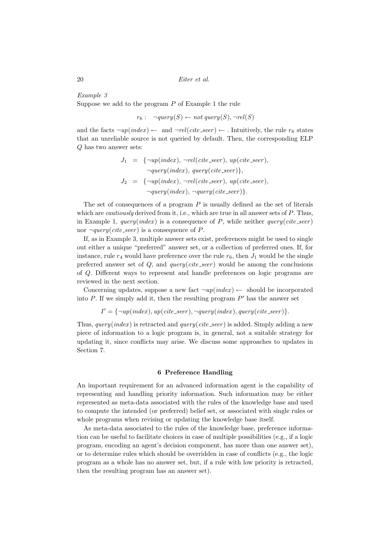Example 3

Suppose we add to the program  $P$  of Example 1 the rule

$$
r_6: \neg query(S) \leftarrow not\ query(S), \neg rel(S)
$$

and the facts  $\neg up(index) \leftarrow$  and  $\neg rel(cite\_seer) \leftarrow$ . Intuitively, the rule  $r_6$  states that an unreliable source is not queried by default. Then, the corresponding ELP Q has two answer sets:

$$
J_1 = \{\neg up(index), \neg rel(cite\_seer), up(cite\_seer),
$$
  
\n
$$
\neg query(index), query(cite\_seer)\},
$$
  
\n
$$
J_2 = \{\neg up(index), \neg rel(cite\_seer), up(cite\_seer),
$$
  
\n
$$
\neg query(index), \neg query(cite\_seer)\}.
$$

The set of consequences of a program  $P$  is usually defined as the set of literals which are *cautiously* derived from it, i.e., which are true in all answer sets of  $P$ . Thus, in Example 1, query(index) is a consequence of P, while neither query(cite\_seer) nor  $\neg query(cite\_seer)$  is a consequence of P.

If, as in Example 3, multiple answer sets exist, preferences might be used to single out either a unique "preferred" answer set, or a collection of preferred ones. If, for instance, rule  $r_4$  would have preference over the rule  $r_6$ , then  $J_1$  would be the single preferred answer set of  $Q$ , and  $query(cite\_seer)$  would be among the conclusions of Q. Different ways to represent and handle preferences on logic programs are reviewed in the next section.

Concerning updates, suppose a new fact  $\neg up(intex) \leftarrow$  should be incorporated into  $P$ . If we simply add it, then the resulting program  $P'$  has the answer set

$$
I' = \{\neg up(index), up(cite\_seer), \neg query(index), query(cite\_seer)\}.
$$

Thus,  $query(intex)$  is retracted and  $query(cite\_seer)$  is added. Simply adding a new piece of information to a logic program is, in general, not a suitable strategy for updating it, since conflicts may arise. We discuss some approaches to updates in Section 7.

## 6 Preference Handling

An important requirement for an advanced information agent is the capability of representing and handling priority information. Such information may be either represented as meta-data associated with the rules of the knowledge base and used to compute the intended (or preferred) belief set, or associated with single rules or whole programs when revising or updating the knowledge base itself.

As meta-data associated to the rules of the knowledge base, preference information can be useful to facilitate choices in case of multiple possibilities (e.g., if a logic program, encoding an agent's decision component, has more than one answer set), or to determine rules which should be overridden in case of conflicts (e.g., the logic program as a whole has no answer set, but, if a rule with low priority is retracted, then the resulting program has an answer set).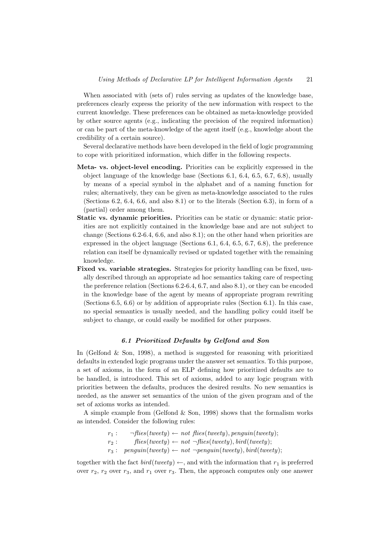When associated with (sets of) rules serving as updates of the knowledge base, preferences clearly express the priority of the new information with respect to the current knowledge. These preferences can be obtained as meta-knowledge provided by other source agents (e.g., indicating the precision of the required information) or can be part of the meta-knowledge of the agent itself (e.g., knowledge about the credibility of a certain source).

Several declarative methods have been developed in the field of logic programming to cope with prioritized information, which differ in the following respects.

- Meta- vs. object-level encoding. Priorities can be explicitly expressed in the object language of the knowledge base (Sections 6.1, 6.4, 6.5, 6.7, 6.8), usually by means of a special symbol in the alphabet and of a naming function for rules; alternatively, they can be given as meta-knowledge associated to the rules (Sections 6.2, 6.4, 6.6, and also 8.1) or to the literals (Section 6.3), in form of a (partial) order among them.
- Static vs. dynamic priorities. Priorities can be static or dynamic: static priorities are not explicitly contained in the knowledge base and are not subject to change (Sections 6.2-6.4, 6.6, and also 8.1); on the other hand when priorities are expressed in the object language (Sections 6.1, 6.4, 6.5, 6.7, 6.8), the preference relation can itself be dynamically revised or updated together with the remaining knowledge.
- Fixed vs. variable strategies. Strategies for priority handling can be fixed, usually described through an appropriate ad hoc semantics taking care of respecting the preference relation (Sections 6.2-6.4, 6.7, and also 8.1), or they can be encoded in the knowledge base of the agent by means of appropriate program rewriting (Sections 6.5, 6.6) or by addition of appropriate rules (Section 6.1). In this case, no special semantics is usually needed, and the handling policy could itself be subject to change, or could easily be modified for other purposes.

### 6.1 Prioritized Defaults by Gelfond and Son

In (Gelfond & Son, 1998), a method is suggested for reasoning with prioritized defaults in extended logic programs under the answer set semantics. To this purpose, a set of axioms, in the form of an ELP defining how prioritized defaults are to be handled, is introduced. This set of axioms, added to any logic program with priorities between the defaults, produces the desired results. No new semantics is needed, as the answer set semantics of the union of the given program and of the set of axioms works as intended.

A simple example from (Gelfond & Son, 1998) shows that the formalism works as intended. Consider the following rules:

| $r_1$ : | $\neg\text{flies}(tweety) \leftarrow not \text{flies}(tweety), \text{penguin}(tweety);$ |
|---------|-----------------------------------------------------------------------------------------|
| $r_2$ : | $flies(tweety) \leftarrow not \neg flies(tweety), bird(tweety);$                        |
| $r_3$ : | $penguin(tweety) \leftarrow not \neg penguin(tweety), bird(tweety);$                    |

together with the fact  $bird(tweety) \leftarrow$ , and with the information that  $r_1$  is preferred over  $r_2$ ,  $r_2$  over  $r_3$ , and  $r_1$  over  $r_3$ . Then, the approach computes only one answer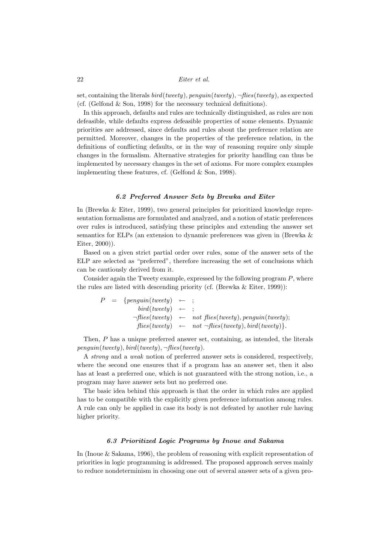set, containing the literals  $bird(tweety)$ , penguin(tweety),  $\neg$ flies(tweety), as expected (cf. (Gelfond & Son, 1998) for the necessary technical definitions).

In this approach, defaults and rules are technically distinguished, as rules are non defeasible, while defaults express defeasible properties of some elements. Dynamic priorities are addressed, since defaults and rules about the preference relation are permitted. Moreover, changes in the properties of the preference relation, in the definitions of conflicting defaults, or in the way of reasoning require only simple changes in the formalism. Alternative strategies for priority handling can thus be implemented by necessary changes in the set of axioms. For more complex examples implementing these features, cf. (Gelfond & Son, 1998).

#### 6.2 Preferred Answer Sets by Brewka and Eiter

In (Brewka & Eiter, 1999), two general principles for prioritized knowledge representation formalisms are formulated and analyzed, and a notion of static preferences over rules is introduced, satisfying these principles and extending the answer set semantics for ELPs (an extension to dynamic preferences was given in (Brewka & Eiter, 2000)).

Based on a given strict partial order over rules, some of the answer sets of the ELP are selected as "preferred", therefore increasing the set of conclusions which can be cautiously derived from it.

Consider again the Tweety example, expressed by the following program P, where the rules are listed with descending priority (cf. (Brewka & Eiter, 1999)):

|  | $P = \{penguin(tweety) \leftarrow$ |                                                                                               |
|--|------------------------------------|-----------------------------------------------------------------------------------------------|
|  | $bird(tweety) \leftarrow :$        |                                                                                               |
|  |                                    | $\neg\text{flies}(tweety) \leftarrow \text{not flies}(tweety), \text{penguin}(tweety);$       |
|  |                                    | $\mathit{flies}(tweety) \leftarrow not \neg \mathit{flies}(tweety), \mathit{bird}(tweety)\}.$ |

Then, P has a unique preferred answer set, containing, as intended, the literals  $penguin(tweety), bird(tweety), \neg flies(tweety).$ 

A strong and a weak notion of preferred answer sets is considered, respectively, where the second one ensures that if a program has an answer set, then it also has at least a preferred one, which is not guaranteed with the strong notion, i.e., a program may have answer sets but no preferred one.

The basic idea behind this approach is that the order in which rules are applied has to be compatible with the explicitly given preference information among rules. A rule can only be applied in case its body is not defeated by another rule having higher priority.

## 6.3 Prioritized Logic Programs by Inoue and Sakama

In (Inoue & Sakama, 1996), the problem of reasoning with explicit representation of priorities in logic programming is addressed. The proposed approach serves mainly to reduce nondeterminism in choosing one out of several answer sets of a given pro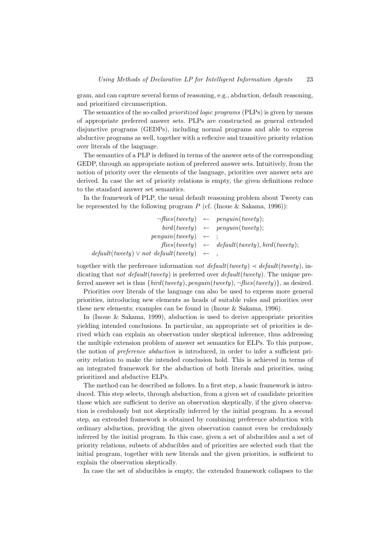gram, and can capture several forms of reasoning, e.g., abduction, default reasoning, and prioritized circumscription.

The semantics of the so-called *prioritized logic programs* (PLPs) is given by means of appropriate preferred answer sets. PLPs are constructed as general extended disjunctive programs (GEDPs), including normal programs and able to express abductive programs as well, together with a reflexive and transitive priority relation over literals of the language.

The semantics of a PLP is defined in terms of the answer sets of the corresponding GEDP, through an appropriate notion of preferred answer sets. Intuitively, from the notion of priority over the elements of the language, priorities over answer sets are derived. In case the set of priority relations is empty, the given definitions reduce to the standard answer set semantics.

In the framework of PLP, the usual default reasoning problem about Tweety can be represented by the following program  $P$  (cf. (Inoue & Sakama, 1996)):

| $flies(tweety) \leftarrow default(tweety), bird(tweety);$ |
|-----------------------------------------------------------|
|                                                           |
|                                                           |

together with the preference information not default(tweety)  $\prec$  default(tweety), indicating that not default (tweety) is preferred over default (tweety). The unique preferred answer set is thus  $\{bird(tweety), penguin(tweety), \neg flies(tweety)\},$  as desired.

Priorities over literals of the language can also be used to express more general priorities, introducing new elements as heads of suitable rules and priorities over these new elements; examples can be found in (Inoue & Sakama, 1996).

In (Inoue & Sakama, 1999), abduction is used to derive appropriate priorities yielding intended conclusions. In particular, an appropriate set of priorities is derived which can explain an observation under skeptical inference, thus addressing the multiple extension problem of answer set semantics for ELPs. To this purpose, the notion of preference abduction is introduced, in order to infer a sufficient priority relation to make the intended conclusion hold. This is achieved in terms of an integrated framework for the abduction of both literals and priorities, using prioritized and abductive ELPs.

The method can be described as follows. In a first step, a basic framework is introduced. This step selects, through abduction, from a given set of candidate priorities those which are sufficient to derive an observation skeptically, if the given observation is credulously but not skeptically inferred by the initial program. In a second step, an extended framework is obtained by combining preference abduction with ordinary abduction, providing the given observation cannot even be credulously inferred by the initial program. In this case, given a set of abducibles and a set of priority relations, subsets of abducibles and of priorities are selected such that the initial program, together with new literals and the given priorities, is sufficient to explain the observation skeptically.

In case the set of abducibles is empty, the extended framework collapses to the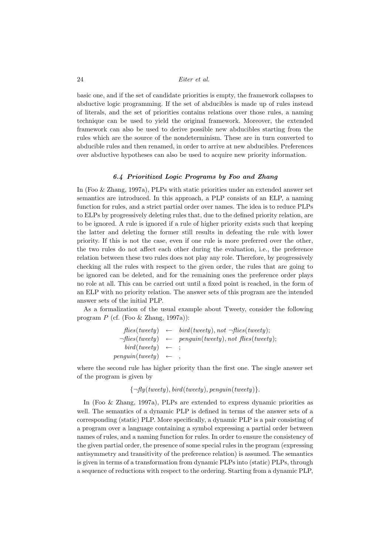basic one, and if the set of candidate priorities is empty, the framework collapses to abductive logic programming. If the set of abducibles is made up of rules instead of literals, and the set of priorities contains relations over those rules, a naming technique can be used to yield the original framework. Moreover, the extended framework can also be used to derive possible new abducibles starting from the rules which are the source of the nondeterminism. These are in turn converted to abducible rules and then renamed, in order to arrive at new abducibles. Preferences over abductive hypotheses can also be used to acquire new priority information.

## 6.4 Prioritized Logic Programs by Foo and Zhang

In (Foo & Zhang, 1997a), PLPs with static priorities under an extended answer set semantics are introduced. In this approach, a PLP consists of an ELP, a naming function for rules, and a strict partial order over names. The idea is to reduce PLPs to ELPs by progressively deleting rules that, due to the defined priority relation, are to be ignored. A rule is ignored if a rule of higher priority exists such that keeping the latter and deleting the former still results in defeating the rule with lower priority. If this is not the case, even if one rule is more preferred over the other, the two rules do not affect each other during the evaluation, i.e., the preference relation between these two rules does not play any role. Therefore, by progressively checking all the rules with respect to the given order, the rules that are going to be ignored can be deleted, and for the remaining ones the preference order plays no role at all. This can be carried out until a fixed point is reached, in the form of an ELP with no priority relation. The answer sets of this program are the intended answer sets of the initial PLP.

As a formalization of the usual example about Tweety, consider the following program  $P$  (cf. (Foo  $\&$  Zhang, 1997a)):

> $flies(tweety) \leftarrow bird(tweety), not \neg flies(tweety);$  $\neg\text{flies}(tweety) \leftarrow \text{penguin}(tweety), \text{not flies}(tweety);$  $bird(tweety) \leftarrow ;$  $penguin(tweety) \leftarrow$

where the second rule has higher priority than the first one. The single answer set of the program is given by

 ${\lbrace \neg fly(tweety), bird(tweety), penguin(tweety) \rbrace}.$ 

In (Foo & Zhang, 1997a), PLPs are extended to express dynamic priorities as well. The semantics of a dynamic PLP is defined in terms of the answer sets of a corresponding (static) PLP. More specifically, a dynamic PLP is a pair consisting of a program over a language containing a symbol expressing a partial order between names of rules, and a naming function for rules. In order to ensure the consistency of the given partial order, the presence of some special rules in the program (expressing antisymmetry and transitivity of the preference relation) is assumed. The semantics is given in terms of a transformation from dynamic PLPs into (static) PLPs, through a sequence of reductions with respect to the ordering. Starting from a dynamic PLP,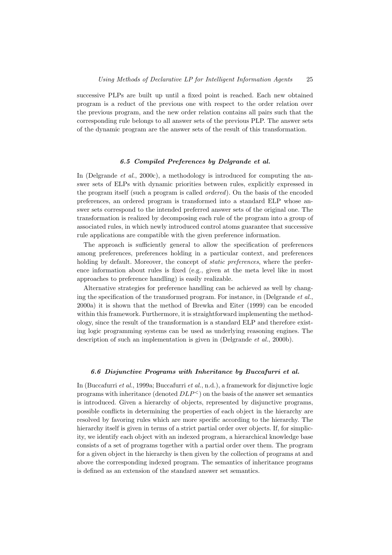successive PLPs are built up until a fixed point is reached. Each new obtained program is a reduct of the previous one with respect to the order relation over the previous program, and the new order relation contains all pairs such that the corresponding rule belongs to all answer sets of the previous PLP. The answer sets of the dynamic program are the answer sets of the result of this transformation.

#### 6.5 Compiled Preferences by Delgrande et al.

In (Delgrande *et al.*, 2000c), a methodology is introduced for computing the answer sets of ELPs with dynamic priorities between rules, explicitly expressed in the program itself (such a program is called ordered). On the basis of the encoded preferences, an ordered program is transformed into a standard ELP whose answer sets correspond to the intended preferred answer sets of the original one. The transformation is realized by decomposing each rule of the program into a group of associated rules, in which newly introduced control atoms guarantee that successive rule applications are compatible with the given preference information.

The approach is sufficiently general to allow the specification of preferences among preferences, preferences holding in a particular context, and preferences holding by default. Moreover, the concept of *static preferences*, where the preference information about rules is fixed (e.g., given at the meta level like in most approaches to preference handling) is easily realizable.

Alternative strategies for preference handling can be achieved as well by changing the specification of the transformed program. For instance, in (Delgrande  $et al.,$ 2000a) it is shown that the method of Brewka and Eiter (1999) can be encoded within this framework. Furthermore, it is straightforward implementing the methodology, since the result of the transformation is a standard ELP and therefore existing logic programming systems can be used as underlying reasoning engines. The description of such an implementation is given in (Delgrande *et al.*, 2000b).

## 6.6 Disjunctive Programs with Inheritance by Buccafurri et al.

In (Buccafurri et al., 1999a; Buccafurri et al., n.d.), a framework for disjunctive logic programs with inheritance (denoted  $DLP<sup>2</sup>$ ) on the basis of the answer set semantics is introduced. Given a hierarchy of objects, represented by disjunctive programs, possible conflicts in determining the properties of each object in the hierarchy are resolved by favoring rules which are more specific according to the hierarchy. The hierarchy itself is given in terms of a strict partial order over objects. If, for simplicity, we identify each object with an indexed program, a hierarchical knowledge base consists of a set of programs together with a partial order over them. The program for a given object in the hierarchy is then given by the collection of programs at and above the corresponding indexed program. The semantics of inheritance programs is defined as an extension of the standard answer set semantics.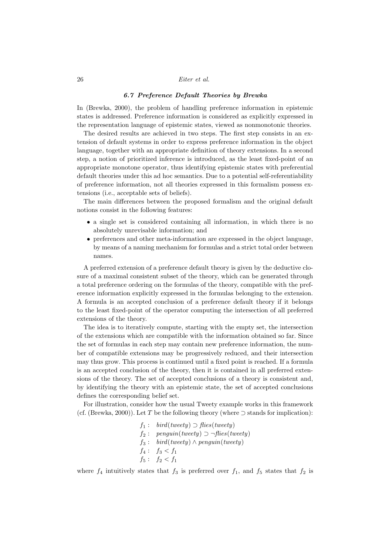## 6.7 Preference Default Theories by Brewka

In (Brewka, 2000), the problem of handling preference information in epistemic states is addressed. Preference information is considered as explicitly expressed in the representation language of epistemic states, viewed as nonmonotonic theories.

The desired results are achieved in two steps. The first step consists in an extension of default systems in order to express preference information in the object language, together with an appropriate definition of theory extensions. In a second step, a notion of prioritized inference is introduced, as the least fixed-point of an appropriate monotone operator, thus identifying epistemic states with preferential default theories under this ad hoc semantics. Due to a potential self-referentiability of preference information, not all theories expressed in this formalism possess extensions (i.e., acceptable sets of beliefs).

The main differences between the proposed formalism and the original default notions consist in the following features:

- a single set is considered containing all information, in which there is no absolutely unrevisable information; and
- preferences and other meta-information are expressed in the object language, by means of a naming mechanism for formulas and a strict total order between names.

A preferred extension of a preference default theory is given by the deductive closure of a maximal consistent subset of the theory, which can be generated through a total preference ordering on the formulas of the theory, compatible with the preference information explicitly expressed in the formulas belonging to the extension. A formula is an accepted conclusion of a preference default theory if it belongs to the least fixed-point of the operator computing the intersection of all preferred extensions of the theory.

The idea is to iteratively compute, starting with the empty set, the intersection of the extensions which are compatible with the information obtained so far. Since the set of formulas in each step may contain new preference information, the number of compatible extensions may be progressively reduced, and their intersection may thus grow. This process is continued until a fixed point is reached. If a formula is an accepted conclusion of the theory, then it is contained in all preferred extensions of the theory. The set of accepted conclusions of a theory is consistent and, by identifying the theory with an epistemic state, the set of accepted conclusions defines the corresponding belief set.

For illustration, consider how the usual Tweety example works in this framework (cf. (Brewka, 2000)). Let T be the following theory (where  $\supset$  stands for implication):

> $f_1:$  bird(tweety)  $\supset$  flies(tweety)  $f_2: \quad penguin(tweety) \supset \neg flies(tweety)$  $f_3:$  bird(tweety)  $\land$  penguin(tweety)  $f_4: f_3 < f_1$  $f_5: f_2 < f_1$

where  $f_4$  intuitively states that  $f_3$  is preferred over  $f_1$ , and  $f_5$  states that  $f_2$  is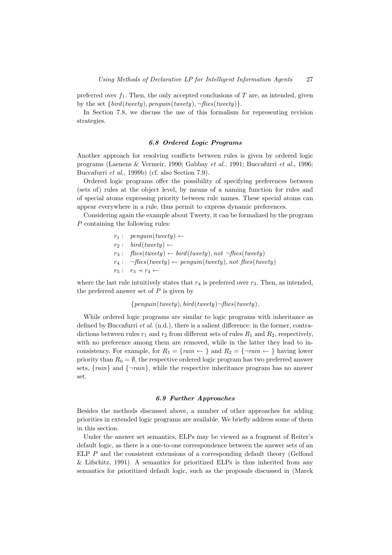preferred over  $f_1$ . Then, the only accepted conclusions of T are, as intended, given by the set  $\{bird(tweety), penguin(tweety), \neg flies(tweety)\}.$ 

In Section 7.8, we discuss the use of this formalism for representing revision strategies.

## 6.8 Ordered Logic Programs

Another approach for resolving conflicts between rules is given by ordered logic programs (Laenens & Vermeir, 1990; Gabbay et al., 1991; Buccafurri et al., 1996; Buccafurri et al., 1999b) (cf. also Section 7.9).

Ordered logic programs offer the possibility of specifying preferences between (sets of) rules at the object level, by means of a naming function for rules and of special atoms expressing priority between rule names. These special atoms can appear everywhere in a rule, thus permit to express dynamic preferences.

Considering again the example about Tweety, it can be formalized by the program P containing the following rules:

> $r_1: \quad penguin(tweety) \leftarrow$  $r_2:$  bird(tweety)  $\leftarrow$  $r_3:$  flies(tweety)  $\leftarrow$  bird(tweety), not  $\neg$ flies(tweety)  $r_4: \neg \text{flies}(tweety) \leftarrow \text{penguin}(tweety), \text{not flies}(tweety)$  $r_5: r_3 \prec r_4 \leftarrow$

where the last rule intuitively states that  $r_4$  is preferred over  $r_3$ . Then, as intended, the preferred answer set of  $P$  is given by

## ${penguin(tweety), bird(tweety)~{\text{--}}flies(tweety).}$

While ordered logic programs are similar to logic programs with inheritance as defined by Buccafurri et al.  $(n.d.)$ , there is a salient difference: in the former, contradictions between rules  $r_1$  and  $r_2$  from different sets of rules  $R_1$  and  $R_2$ , respectively, with no preference among them are removed, while in the latter they lead to inconsistency. For example, for  $R_1 = \{rain \leftarrow \}$  and  $R_2 = \{\neg rain \leftarrow \}$  having lower priority than  $R_0 = \emptyset$ , the respective ordered logic program has two preferred answer sets,  $\{rain\}$  and  $\{\neg rain\}$ , while the respective inheritance program has no answer set.

#### 6.9 Further Approaches

Besides the methods discussed above, a number of other approaches for adding priorities in extended logic programs are available. We briefly address some of them in this section.

Under the answer set semantics, ELPs may be viewed as a fragment of Reiter's default logic, as there is a one-to-one correspondence between the answer sets of an ELP P and the consistent extensions of a corresponding default theory (Gelfond & Lifschitz, 1991). A semantics for prioritized ELPs is thus inherited from any semantics for prioritized default logic, such as the proposals discussed in (Marek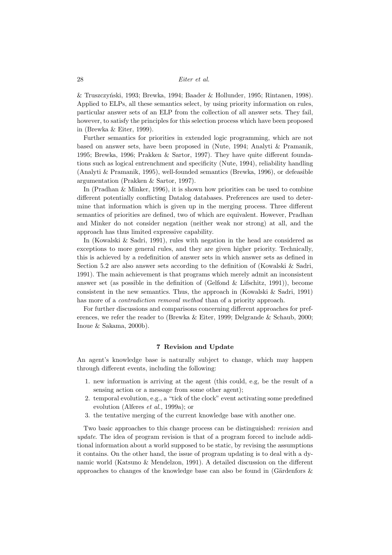$&$  Truszczyński, 1993; Brewka, 1994; Baader  $&$  Hollunder, 1995; Rintanen, 1998). Applied to ELPs, all these semantics select, by using priority information on rules, particular answer sets of an ELP from the collection of all answer sets. They fail, however, to satisfy the principles for this selection process which have been proposed in (Brewka & Eiter, 1999).

Further semantics for priorities in extended logic programming, which are not based on answer sets, have been proposed in (Nute, 1994; Analyti & Pramanik, 1995; Brewka, 1996; Prakken & Sartor, 1997). They have quite different foundations such as logical entrenchment and specificity (Nute, 1994), reliability handling (Analyti & Pramanik, 1995), well-founded semantics (Brewka, 1996), or defeasible argumentation (Prakken & Sartor, 1997).

In (Pradhan & Minker, 1996), it is shown how priorities can be used to combine different potentially conflicting Datalog databases. Preferences are used to determine that information which is given up in the merging process. Three different semantics of priorities are defined, two of which are equivalent. However, Pradhan and Minker do not consider negation (neither weak nor strong) at all, and the approach has thus limited expressive capability.

In (Kowalski & Sadri, 1991), rules with negation in the head are considered as exceptions to more general rules, and they are given higher priority. Technically, this is achieved by a redefinition of answer sets in which answer sets as defined in Section 5.2 are also answer sets according to the definition of (Kowalski & Sadri, 1991). The main achievement is that programs which merely admit an inconsistent answer set (as possible in the definition of (Gelfond  $\&$  Lifschitz, 1991)), become consistent in the new semantics. Thus, the approach in (Kowalski  $\&$  Sadri, 1991) has more of a contradiction removal method than of a priority approach.

For further discussions and comparisons concerning different approaches for preferences, we refer the reader to (Brewka & Eiter, 1999; Delgrande & Schaub, 2000; Inoue & Sakama, 2000b).

## 7 Revision and Update

An agent's knowledge base is naturally subject to change, which may happen through different events, including the following:

- 1. new information is arriving at the agent (this could, e.g, be the result of a sensing action or a message from some other agent);
- 2. temporal evolution, e.g., a "tick of the clock" event activating some predefined evolution (Alferes et al., 1999a); or
- 3. the tentative merging of the current knowledge base with another one.

Two basic approaches to this change process can be distinguished: revision and update. The idea of program revision is that of a program forced to include additional information about a world supposed to be static, by revising the assumptions it contains. On the other hand, the issue of program updating is to deal with a dynamic world (Katsuno & Mendelzon, 1991). A detailed discussion on the different approaches to changes of the knowledge base can also be found in (Gärdenfors  $\&$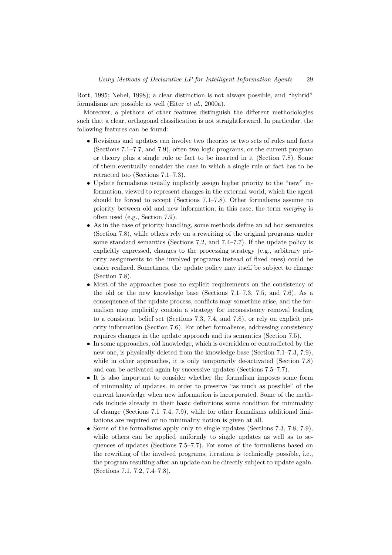Rott, 1995; Nebel, 1998); a clear distinction is not always possible, and "hybrid" formalisms are possible as well (Eiter et al., 2000a).

Moreover, a plethora of other features distinguish the different methodologies such that a clear, orthogonal classification is not straightforward. In particular, the following features can be found:

- Revisions and updates can involve two theories or two sets of rules and facts (Sections 7.1–7.7, and 7.9), often two logic programs, or the current program or theory plus a single rule or fact to be inserted in it (Section 7.8). Some of them eventually consider the case in which a single rule or fact has to be retracted too (Sections 7.1–7.3).
- Update formalisms usually implicitly assign higher priority to the "new" information, viewed to represent changes in the external world, which the agent should be forced to accept (Sections 7.1–7.8). Other formalisms assume no priority between old and new information; in this case, the term merging is often used (e.g., Section 7.9).
- As in the case of priority handling, some methods define an ad hoc semantics (Section 7.8), while others rely on a rewriting of the original programs under some standard semantics (Sections 7.2, and 7.4–7.7). If the update policy is explicitly expressed, changes to the processing strategy (e.g., arbitrary priority assignments to the involved programs instead of fixed ones) could be easier realized. Sometimes, the update policy may itself be subject to change (Section 7.8).
- Most of the approaches pose no explicit requirements on the consistency of the old or the new knowledge base (Sections 7.1–7.3, 7.5, and 7.6). As a consequence of the update process, conflicts may sometime arise, and the formalism may implicitly contain a strategy for inconsistency removal leading to a consistent belief set (Sections 7.3, 7.4, and 7.8), or rely on explicit priority information (Section 7.6). For other formalisms, addressing consistency requires changes in the update approach and its semantics (Section 7.5).
- In some approaches, old knowledge, which is overridden or contradicted by the new one, is physically deleted from the knowledge base (Section 7.1–7.3, 7.9), while in other approaches, it is only temporarily de-activated (Section 7.8) and can be activated again by successive updates (Sections 7.5–7.7).
- It is also important to consider whether the formalism imposes some form of minimality of updates, in order to preserve "as much as possible" of the current knowledge when new information is incorporated. Some of the methods include already in their basic definitions some condition for minimality of change (Sections 7.1–7.4, 7.9), while for other formalisms additional limitations are required or no minimality notion is given at all.
- Some of the formalisms apply only to single updates (Sections 7.3, 7.8, 7.9), while others can be applied uniformly to single updates as well as to sequences of updates (Sections 7.5–7.7). For some of the formalisms based on the rewriting of the involved programs, iteration is technically possible, i.e., the program resulting after an update can be directly subject to update again. (Sections 7.1, 7.2, 7.4–7.8).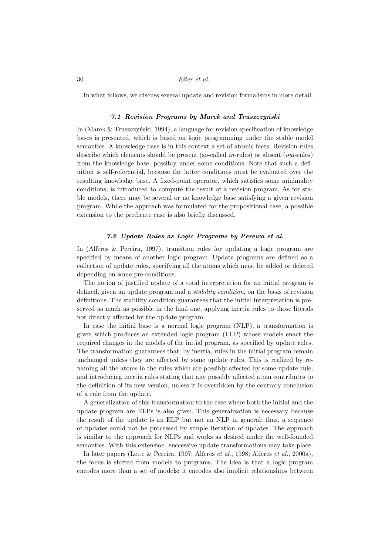In what follows, we discuss several update and revision formalisms in more detail.

#### 7.1 Revision Programs by Marek and Truszczynski ´

In (Marek & Truszczynski, 1994), a language for revision specification of knowledge bases is presented, which is based on logic programming under the stable model semantics. A knowledge base is in this context a set of atomic facts. Revision rules describe which elements should be present (so-called *in*-rules) or absent (*out*-rules) from the knowledge base, possibly under some conditions. Note that such a definition is self-referential, because the latter conditions must be evaluated over the resulting knowledge base. A fixed-point operator, which satisfies some minimality conditions, is introduced to compute the result of a revision program. As for stable models, there may be several or no knowledge base satisfying a given revision program. While the approach was formulated for the propositional case, a possible extension to the predicate case is also briefly discussed.

## 7.2 Update Rules as Logic Programs by Pereira et al.

In (Alferes & Pereira, 1997), transition rules for updating a logic program are specified by means of another logic program. Update programs are defined as a collection of update rules, specifying all the atoms which must be added or deleted depending on some pre-conditions.

The notion of justified update of a total interpretation for an initial program is defined, given an update program and a *stability condition*, on the basis of revision definitions. The stability condition guarantees that the initial interpretation is preserved as much as possible in the final one, applying inertia rules to those literals not directly affected by the update program.

In case the initial base is a normal logic program (NLP), a transformation is given which produces an extended logic program (ELP) whose models enact the required changes in the models of the initial program, as specified by update rules. The transformation guarantees that, by inertia, rules in the initial program remain unchanged unless they are affected by some update rules. This is realized by renaming all the atoms in the rules which are possibly affected by some update rule, and introducing inertia rules stating that any possibly affected atom contributes to the definition of its new version, unless it is overridden by the contrary conclusion of a rule from the update.

A generalization of this transformation to the case where both the initial and the update program are ELPs is also given. This generalization is necessary because the result of the update is an ELP but not an NLP in general; thus, a sequence of updates could not be processed by simple iteration of updates. The approach is similar to the approach for NLPs and works as desired under the well-founded semantics. With this extension, successive update transformations may take place.

In later papers (Leite & Pereira, 1997; Alferes et al., 1998; Alferes et al., 2000a), the focus is shifted from models to programs. The idea is that a logic program encodes more than a set of models: it encodes also implicit relationships between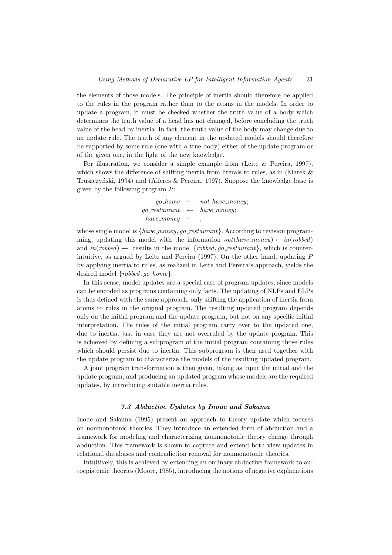the elements of those models. The principle of inertia should therefore be applied to the rules in the program rather than to the atoms in the models. In order to update a program, it must be checked whether the truth value of a body which determines the truth value of a head has not changed, before concluding the truth value of the head by inertia. In fact, the truth value of the body may change due to an update rule. The truth of any element in the updated models should therefore be supported by some rule (one with a true body) either of the update program or of the given one, in the light of the new knowledge.

For illustration, we consider a simple example from (Leite & Pereira, 1997), which shows the difference of shifting inertia from literals to rules, as in (Marek & Truszczynski, 1994) and (Alferes & Pereira, 1997). Suppose the knowledge base is given by the following program P:

```
qo\_home \leftarrow not have\_money;qo\_restaurant \leftarrow have\_money;have_money \leftarrow
```
whose single model is  $\{have\_money, qo\_restaurant\}$ . According to revision programming, updating this model with the information  $out(have{\_}move$  in(robbed) and  $in(robbed) \leftarrow$  results in the model  $\{robbed, go\_restaurant\}$ , which is counterintuitive, as argued by Leite and Pereira  $(1997)$ . On the other hand, updating P by applying inertia to rules, as realized in Leite and Pereira's approach, yields the desired model {*robbed, go\_home*}.

In this sense, model updates are a special case of program updates, since models can be encoded as programs containing only facts. The updating of NLPs and ELPs is thus defined with the same approach, only shifting the application of inertia from atoms to rules in the original program. The resulting updated program depends only on the initial program and the update program, but not on any specific initial interpretation. The rules of the initial program carry over to the updated one, due to inertia, just in case they are not overruled by the update program. This is achieved by defining a subprogram of the initial program containing those rules which should persist due to inertia. This subprogram is then used together with the update program to characterize the models of the resulting updated program.

A joint program transformation is then given, taking as input the initial and the update program, and producing an updated program whose models are the required updates, by introducing suitable inertia rules.

## 7.3 Abductive Updates by Inoue and Sakama

Inoue and Sakama (1995) present an approach to theory update which focuses on nonmonotonic theories. They introduce an extended form of abduction and a framework for modeling and characterizing nonmonotonic theory change through abduction. This framework is shown to capture and extend both view updates in relational databases and contradiction removal for nonmonotonic theories.

Intuitively, this is achieved by extending an ordinary abductive framework to autoepistemic theories (Moore, 1985), introducing the notions of negative explanations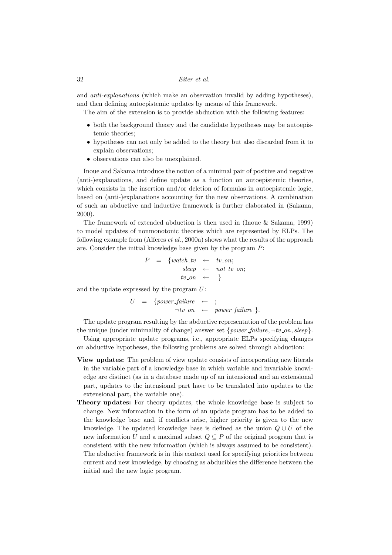and anti-explanations (which make an observation invalid by adding hypotheses), and then defining autoepistemic updates by means of this framework.

The aim of the extension is to provide abduction with the following features:

- both the background theory and the candidate hypotheses may be autoepistemic theories;
- hypotheses can not only be added to the theory but also discarded from it to explain observations;
- observations can also be unexplained.

Inoue and Sakama introduce the notion of a minimal pair of positive and negative (anti-)explanations, and define update as a function on autoepistemic theories, which consists in the insertion and/or deletion of formulas in autoepistemic logic, based on (anti-)explanations accounting for the new observations. A combination of such an abductive and inductive framework is further elaborated in (Sakama, 2000).

The framework of extended abduction is then used in (Inoue & Sakama, 1999) to model updates of nonmonotonic theories which are represented by ELPs. The following example from (Alferes et al., 2000a) shows what the results of the approach are. Consider the initial knowledge base given by the program  $P$ :

$$
P = \{ \text{watch\_tv} \leftarrow \text{tv\_on}; \\ \text{sleep} \leftarrow \text{not tv\_on}; \\ \text{tv\_on} \leftarrow \}
$$

and the update expressed by the program  $U$ :

$$
U = \{power\_failure \leftarrow ;
$$
  
\n
$$
\neg tv\_on \leftarrow power\_failure \}.
$$

The update program resulting by the abductive representation of the problem has the unique (under minimality of change) answer set  $\{power\_failure, \neg tv\_on, sleep\}$ .

Using appropriate update programs, i.e., appropriate ELPs specifying changes on abductive hypotheses, the following problems are solved through abduction:

- View updates: The problem of view update consists of incorporating new literals in the variable part of a knowledge base in which variable and invariable knowledge are distinct (as in a database made up of an intensional and an extensional part, updates to the intensional part have to be translated into updates to the extensional part, the variable one).
- Theory updates: For theory updates, the whole knowledge base is subject to change. New information in the form of an update program has to be added to the knowledge base and, if conflicts arise, higher priority is given to the new knowledge. The updated knowledge base is defined as the union  $Q \cup U$  of the new information U and a maximal subset  $Q \subseteq P$  of the original program that is consistent with the new information (which is always assumed to be consistent). The abductive framework is in this context used for specifying priorities between current and new knowledge, by choosing as abducibles the difference between the initial and the new logic program.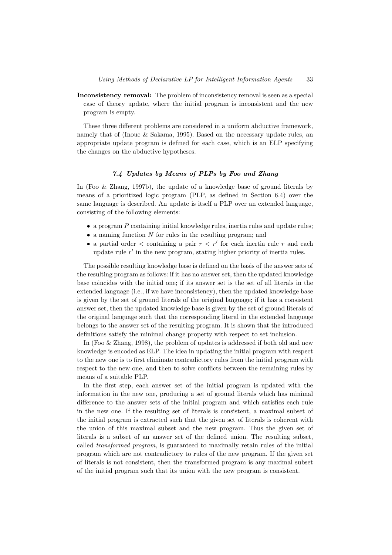Inconsistency removal: The problem of inconsistency removal is seen as a special case of theory update, where the initial program is inconsistent and the new program is empty.

These three different problems are considered in a uniform abductive framework, namely that of (Inoue & Sakama, 1995). Based on the necessary update rules, an appropriate update program is defined for each case, which is an ELP specifying the changes on the abductive hypotheses.

## 7.4 Updates by Means of PLPs by Foo and Zhang

In (Foo & Zhang, 1997b), the update of a knowledge base of ground literals by means of a prioritized logic program (PLP, as defined in Section 6.4) over the same language is described. An update is itself a PLP over an extended language, consisting of the following elements:

- $\bullet$  a program  $P$  containing initial knowledge rules, inertia rules and update rules;
- $\bullet$  a naming function N for rules in the resulting program; and
- a partial order  $\lt$  containing a pair  $r \lt r'$  for each inertia rule r and each update rule  $r'$  in the new program, stating higher priority of inertia rules.

The possible resulting knowledge base is defined on the basis of the answer sets of the resulting program as follows: if it has no answer set, then the updated knowledge base coincides with the initial one; if its answer set is the set of all literals in the extended language (i.e., if we have inconsistency), then the updated knowledge base is given by the set of ground literals of the original language; if it has a consistent answer set, then the updated knowledge base is given by the set of ground literals of the original language such that the corresponding literal in the extended language belongs to the answer set of the resulting program. It is shown that the introduced definitions satisfy the minimal change property with respect to set inclusion.

In (Foo & Zhang, 1998), the problem of updates is addressed if both old and new knowledge is encoded as ELP. The idea in updating the initial program with respect to the new one is to first eliminate contradictory rules from the initial program with respect to the new one, and then to solve conflicts between the remaining rules by means of a suitable PLP.

In the first step, each answer set of the initial program is updated with the information in the new one, producing a set of ground literals which has minimal difference to the answer sets of the initial program and which satisfies each rule in the new one. If the resulting set of literals is consistent, a maximal subset of the initial program is extracted such that the given set of literals is coherent with the union of this maximal subset and the new program. Thus the given set of literals is a subset of an answer set of the defined union. The resulting subset, called transformed program, is guaranteed to maximally retain rules of the initial program which are not contradictory to rules of the new program. If the given set of literals is not consistent, then the transformed program is any maximal subset of the initial program such that its union with the new program is consistent.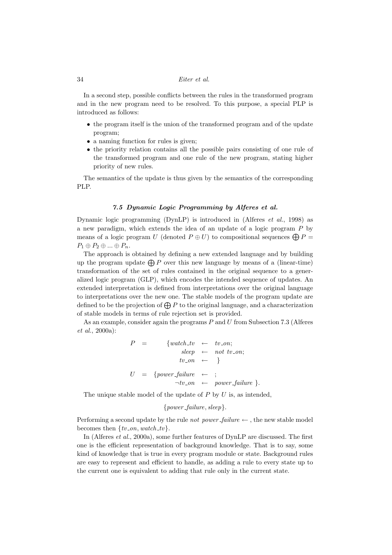In a second step, possible conflicts between the rules in the transformed program and in the new program need to be resolved. To this purpose, a special PLP is introduced as follows:

- the program itself is the union of the transformed program and of the update program;
- a naming function for rules is given;
- the priority relation contains all the possible pairs consisting of one rule of the transformed program and one rule of the new program, stating higher priority of new rules.

The semantics of the update is thus given by the semantics of the corresponding PLP.

## 7.5 Dynamic Logic Programming by Alferes et al.

Dynamic logic programming (DynLP) is introduced in (Alferes et al., 1998) as a new paradigm, which extends the idea of an update of a logic program P by means of a logic program U (denoted  $P \oplus U$ ) to compositional sequences  $\bigoplus P$  =  $P_1 \oplus P_2 \oplus ... \oplus P_n$ .

The approach is obtained by defining a new extended language and by building up the program update  $\bigoplus P$  over this new language by means of a (linear-time) transformation of the set of rules contained in the original sequence to a generalized logic program (GLP), which encodes the intended sequence of updates. An extended interpretation is defined from interpretations over the original language to interpretations over the new one. The stable models of the program update are defined to be the projection of  $\bigoplus P$  to the original language, and a characterization of stable models in terms of rule rejection set is provided.

As an example, consider again the programs P and U from Subsection 7.3 (Alferes et al., 2000a):

$$
P = \{ \text{watch\_tv} \leftarrow \text{tv\_on}; \\ \text{sleep} \leftarrow \text{not tv\_on}; \\ \text{tv\_on} \leftarrow \\ \} \\ U = \{ \text{power-failure} \leftarrow \\ \neg \text{tv\_on} \leftarrow \text{power-failure} \}.
$$

The unique stable model of the update of  $P$  by  $U$  is, as intended,

$$
\{power\_failure, sleep\}.
$$

Performing a second update by the rule *not power failure*  $\leftarrow$ , the new stable model becomes then  $\{tv\_\textit{on}, \textit{watch\_tv}\}.$ 

In (Alferes et al., 2000a), some further features of DynLP are discussed. The first one is the efficient representation of background knowledge. That is to say, some kind of knowledge that is true in every program module or state. Background rules are easy to represent and efficient to handle, as adding a rule to every state up to the current one is equivalent to adding that rule only in the current state.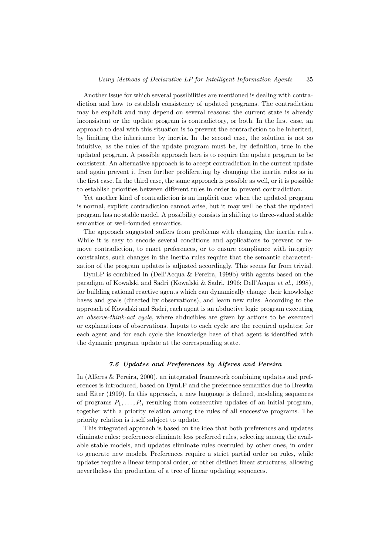Another issue for which several possibilities are mentioned is dealing with contradiction and how to establish consistency of updated programs. The contradiction may be explicit and may depend on several reasons: the current state is already inconsistent or the update program is contradictory, or both. In the first case, an approach to deal with this situation is to prevent the contradiction to be inherited, by limiting the inheritance by inertia. In the second case, the solution is not so intuitive, as the rules of the update program must be, by definition, true in the updated program. A possible approach here is to require the update program to be consistent. An alternative approach is to accept contradiction in the current update and again prevent it from further proliferating by changing the inertia rules as in the first case. In the third case, the same approach is possible as well, or it is possible to establish priorities between different rules in order to prevent contradiction.

Yet another kind of contradiction is an implicit one: when the updated program is normal, explicit contradiction cannot arise, but it may well be that the updated program has no stable model. A possibility consists in shifting to three-valued stable semantics or well-founded semantics.

The approach suggested suffers from problems with changing the inertia rules. While it is easy to encode several conditions and applications to prevent or remove contradiction, to enact preferences, or to ensure compliance with integrity constraints, such changes in the inertia rules require that the semantic characterization of the program updates is adjusted accordingly. This seems far from trivial.

DynLP is combined in (Dell'Acqua & Pereira, 1999b) with agents based on the paradigm of Kowalski and Sadri (Kowalski & Sadri, 1996; Dell'Acqua et al., 1998), for building rational reactive agents which can dynamically change their knowledge bases and goals (directed by observations), and learn new rules. According to the approach of Kowalski and Sadri, each agent is an abductive logic program executing an observe-think-act cycle, where abducibles are given by actions to be executed or explanations of observations. Inputs to each cycle are the required updates; for each agent and for each cycle the knowledge base of that agent is identified with the dynamic program update at the corresponding state.

## 7.6 Updates and Preferences by Alferes and Pereira

In (Alferes & Pereira, 2000), an integrated framework combining updates and preferences is introduced, based on DynLP and the preference semantics due to Brewka and Eiter (1999). In this approach, a new language is defined, modeling sequences of programs  $P_1, \ldots, P_n$  resulting from consecutive updates of an initial program, together with a priority relation among the rules of all successive programs. The priority relation is itself subject to update.

This integrated approach is based on the idea that both preferences and updates eliminate rules: preferences eliminate less preferred rules, selecting among the available stable models, and updates eliminate rules overruled by other ones, in order to generate new models. Preferences require a strict partial order on rules, while updates require a linear temporal order, or other distinct linear structures, allowing nevertheless the production of a tree of linear updating sequences.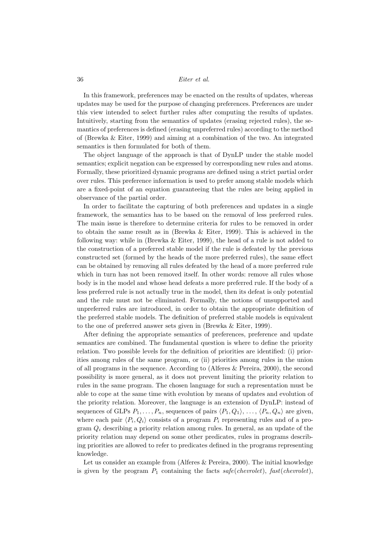In this framework, preferences may be enacted on the results of updates, whereas updates may be used for the purpose of changing preferences. Preferences are under this view intended to select further rules after computing the results of updates. Intuitively, starting from the semantics of updates (erasing rejected rules), the semantics of preferences is defined (erasing unpreferred rules) according to the method of (Brewka & Eiter, 1999) and aiming at a combination of the two. An integrated semantics is then formulated for both of them.

The object language of the approach is that of DynLP under the stable model semantics; explicit negation can be expressed by corresponding new rules and atoms. Formally, these prioritized dynamic programs are defined using a strict partial order over rules. This preference information is used to prefer among stable models which are a fixed-point of an equation guaranteeing that the rules are being applied in observance of the partial order.

In order to facilitate the capturing of both preferences and updates in a single framework, the semantics has to be based on the removal of less preferred rules. The main issue is therefore to determine criteria for rules to be removed in order to obtain the same result as in (Brewka & Eiter, 1999). This is achieved in the following way: while in (Brewka & Eiter, 1999), the head of a rule is not added to the construction of a preferred stable model if the rule is defeated by the previous constructed set (formed by the heads of the more preferred rules), the same effect can be obtained by removing all rules defeated by the head of a more preferred rule which in turn has not been removed itself. In other words: remove all rules whose body is in the model and whose head defeats a more preferred rule. If the body of a less preferred rule is not actually true in the model, then its defeat is only potential and the rule must not be eliminated. Formally, the notions of unsupported and unpreferred rules are introduced, in order to obtain the appropriate definition of the preferred stable models. The definition of preferred stable models is equivalent to the one of preferred answer sets given in (Brewka & Eiter, 1999).

After defining the appropriate semantics of preferences, preference and update semantics are combined. The fundamental question is where to define the priority relation. Two possible levels for the definition of priorities are identified: (i) priorities among rules of the same program, or (ii) priorities among rules in the union of all programs in the sequence. According to (Alferes & Pereira, 2000), the second possibility is more general, as it does not prevent limiting the priority relation to rules in the same program. The chosen language for such a representation must be able to cope at the same time with evolution by means of updates and evolution of the priority relation. Moreover, the language is an extension of DynLP: instead of sequences of GLPs  $P_1, \ldots, P_n$ , sequences of pairs  $\langle P_1, Q_1 \rangle, \ldots, \langle P_n, Q_n \rangle$  are given, where each pair  $\langle P_i, Q_i \rangle$  consists of a program  $P_i$  representing rules and of a program  $Q_i$  describing a priority relation among rules. In general, as an update of the priority relation may depend on some other predicates, rules in programs describing priorities are allowed to refer to predicates defined in the programs representing knowledge.

Let us consider an example from (Alferes & Pereira, 2000). The initial knowledge is given by the program  $P_1$  containing the facts safe(chevrolet), fast(chevrolet),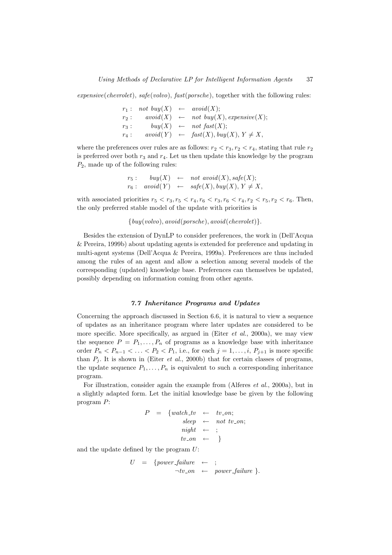$exposure(chevrole), safe(volvo), fast(porsche), together with the following rules:$ 

|         | $r_1: \quad not\; buy(X) \leftarrow avoid(X);$ |                                                  |
|---------|------------------------------------------------|--------------------------------------------------|
| $r_2$ : |                                                | $avoid(X) \leftarrow not buy(X), expensive(X);$  |
| $r_3$ : |                                                | $buy(X) \leftarrow not fast(X);$                 |
| $r_4$ : |                                                | $avoid(Y) \leftarrow fast(X), buy(X), Y \neq X,$ |

where the preferences over rules are as follows:  $r_2 < r_3, r_2 < r_4$ , stating that rule  $r_2$ is preferred over both  $r_3$  and  $r_4$ . Let us then update this knowledge by the program  $P_2$ , made up of the following rules:

$$
r_5:
$$
  $buy(X) \leftarrow not avoid(X), safe(X);$   
\n $r_6:$   $avoid(Y) \leftarrow safe(X), buy(X), Y \neq X,$ 

with associated priorities  $r_5 < r_3, r_5 < r_4, r_6 < r_3, r_6 < r_4, r_2 < r_5, r_2 < r_6$ . Then, the only preferred stable model of the update with priorities is

 ${buy(volvo), avoid(porsche), avoid(chevrolet)}.$ 

Besides the extension of DynLP to consider preferences, the work in (Dell'Acqua & Pereira, 1999b) about updating agents is extended for preference and updating in multi-agent systems (Dell'Acqua & Pereira, 1999a). Preferences are thus included among the rules of an agent and allow a selection among several models of the corresponding (updated) knowledge base. Preferences can themselves be updated, possibly depending on information coming from other agents.

## 7.7 Inheritance Programs and Updates

Concerning the approach discussed in Section 6.6, it is natural to view a sequence of updates as an inheritance program where later updates are considered to be more specific. More specifically, as argued in (Eiter  $et \ al.,\ 2000a$ ), we may view the sequence  $P = P_1, \ldots, P_n$  of programs as a knowledge base with inheritance order  $P_n < P_{n-1} < \ldots < P_2 < P_1$ , i.e., for each  $j = 1, \ldots, i, P_{j+1}$  is more specific than  $P_i$ . It is shown in (Eiter *et al.*, 2000b) that for certain classes of programs, the update sequence  $P_1, \ldots, P_n$  is equivalent to such a corresponding inheritance program.

For illustration, consider again the example from (Alferes et al., 2000a), but in a slightly adapted form. Let the initial knowledge base be given by the following program P:

> $P = \{ \text{watch\_tv } \leftarrow \text{tv\_on};$  $sleep \leftarrow not \, tv\_on;$  $night \leftarrow ;$  $tv\_on \leftarrow \}$

and the update defined by the program U:

$$
U = \{power\_failure \leftarrow ;
$$
  
\n
$$
\neg tv\_on \leftarrow power\_failure \}.
$$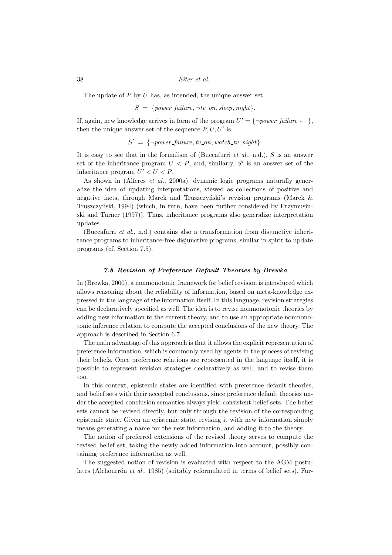The update of  $P$  by  $U$  has, as intended, the unique answer set

$$
S = \{power\_failure, \neg tv\_on, sleep, night\}.
$$

If, again, new knowledge arrives in form of the program  $U' = \{\neg power\_failure \leftarrow \},\$ then the unique answer set of the sequence  $P, U, U'$  is

 $S' = \{\neg power\,failure, tv\_on, watch\_tv, night\}.$ 

It is easy to see that in the formalism of (Buccafurri *et al.*, n.d.),  $S$  is an answer set of the inheritance program  $U < P$ , and, similarly, S' is an answer set of the inheritance program  $U' < U < P$ .

As shown in (Alferes *et al.*, 2000a), dynamic logic programs naturally generalize the idea of updating interpretations, viewed as collections of positive and negative facts, through Marek and Truszczynski's revision programs (Marek  $\&$ Truszczynski, 1994) (which, in turn, have been further considered by Przymusinski and Turner (1997)). Thus, inheritance programs also generalize interpretation updates.

(Buccafurri et al., n.d.) contains also a transformation from disjunctive inheritance programs to inheritance-free disjunctive programs, similar in spirit to update programs (cf. Section 7.5).

## 7.8 Revision of Preference Default Theories by Brewka

In (Brewka, 2000), a nonmonotonic framework for belief revision is introduced which allows reasoning about the reliability of information, based on meta-knowledge expressed in the language of the information itself. In this language, revision strategies can be declaratively specified as well. The idea is to revise nonmonotonic theories by adding new information to the current theory, and to use an appropriate nonmonotonic inference relation to compute the accepted conclusions of the new theory. The approach is described in Section 6.7.

The main advantage of this approach is that it allows the explicit representation of preference information, which is commonly used by agents in the process of revising their beliefs. Once preference relations are represented in the language itself, it is possible to represent revision strategies declaratively as well, and to revise them too.

In this context, epistemic states are identified with preference default theories, and belief sets with their accepted conclusions, since preference default theories under the accepted conclusion semantics always yield consistent belief sets. The belief sets cannot be revised directly, but only through the revision of the corresponding epistemic state. Given an epistemic state, revising it with new information simply means generating a name for the new information, and adding it to the theory.

The notion of preferred extensions of the revised theory serves to compute the revised belief set, taking the newly added information into account, possibly containing preference information as well.

The suggested notion of revision is evaluated with respect to the AGM postulates (Alchourrón et al., 1985) (suitably reformulated in terms of belief sets). Fur-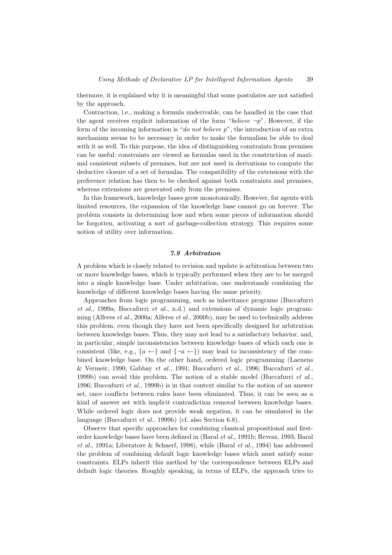thermore, it is explained why it is meaningful that some postulates are not satisfied by the approach.

Contraction, i.e., making a formula underivable, can be handled in the case that the agent receives explicit information of the form "believe  $\neg p$ ". However, if the form of the incoming information is "*do not believe p*", the introduction of an extra mechanism seems to be necessary in order to make the formalism be able to deal with it as well. To this purpose, the idea of distinguishing constraints from premises can be useful: constraints are viewed as formulas used in the construction of maximal consistent subsets of premises, but are not used in derivations to compute the deductive closure of a set of formulas. The compatibility of the extensions with the preference relation has then to be checked against both constraints and premises, whereas extensions are generated only from the premises.

In this framework, knowledge bases grow monotonically. However, for agents with limited resources, the expansion of the knowledge base cannot go on forever. The problem consists in determining how and when some pieces of information should be forgotten, activating a sort of garbage-collection strategy. This requires some notion of utility over information.

### 7.9 Arbitration

A problem which is closely related to revision and update is arbitration between two or more knowledge bases, which is typically performed when they are to be merged into a single knowledge base. Under arbitration, one understands combining the knowledge of different knowledge bases having the same priority.

Approaches from logic programming, such as inheritance programs (Buccafurri et al., 1999a; Buccafurri et al., n.d.) and extensions of dynamic logic programming (Alferes *et al.*, 2000a; Alferes *et al.*, 2000b), may be used to technically address this problem, even though they have not been specifically designed for arbitration between knowledge bases. Thus, they may not lead to a satisfactory behavior, and, in particular, simple inconsistencies between knowledge bases of which each one is consistent (like, e.g.,  $\{a \leftarrow\}$  and  $\{\neg a \leftarrow\}$ ) may lead to inconsistency of the combined knowledge base. On the other hand, ordered logic programming (Laenens  $&$  Vermeir, 1990; Gabbay et al., 1991; Buccafurri et al., 1996; Buccafurri et al., 1999b) can avoid this problem. The notion of a stable model (Buccafurri et al., 1996; Buccafurri et al., 1999b) is in that context similar to the notion of an answer set, once conflicts between rules have been eliminated. Thus, it can be seen as a kind of answer set with implicit contradiction removal between knowledge bases. While ordered logic does not provide weak negation, it can be simulated in the language (Buccafurri et al., 1999b) (cf. also Section 6.8).

Observe that specific approaches for combining classical propositional and firstorder knowledge bases have been defined in (Baral et al., 1991b; Revesz, 1993; Baral et al., 1991a; Liberatore & Schaerf, 1998), while (Baral et al., 1994) has addressed the problem of combining default logic knowledge bases which must satisfy some constraints. ELPs inherit this method by the correspondence between ELPs and default logic theories. Roughly speaking, in terms of ELPs, the approach tries to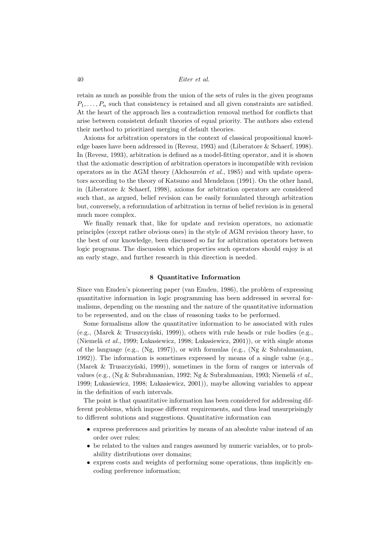retain as much as possible from the union of the sets of rules in the given programs  $P_1, \ldots, P_n$  such that consistency is retained and all given constraints are satisfied. At the heart of the approach lies a contradiction removal method for conflicts that arise between consistent default theories of equal priority. The authors also extend their method to prioritized merging of default theories.

Axioms for arbitration operators in the context of classical propositional knowledge bases have been addressed in (Revesz, 1993) and (Liberatore & Schaerf, 1998). In (Revesz, 1993), arbitration is defined as a model-fitting operator, and it is shown that the axiomatic description of arbitration operators is incompatible with revision operators as in the AGM theory (Alchourrón *et al.*, 1985) and with update operators according to the theory of Katsuno and Mendelzon (1991). On the other hand, in (Liberatore & Schaerf, 1998), axioms for arbitration operators are considered such that, as argued, belief revision can be easily formulated through arbitration but, conversely, a reformulation of arbitration in terms of belief revision is in general much more complex.

We finally remark that, like for update and revision operators, no axiomatic principles (except rather obvious ones) in the style of AGM revision theory have, to the best of our knowledge, been discussed so far for arbitration operators between logic programs. The discussion which properties such operators should enjoy is at an early stage, and further research in this direction is needed.

## 8 Quantitative Information

Since van Emden's pioneering paper (van Emden, 1986), the problem of expressing quantitative information in logic programming has been addressed in several formalisms, depending on the meaning and the nature of the quantitative information to be represented, and on the class of reasoning tasks to be performed.

Some formalisms allow the quantitative information to be associated with rules (e.g., (Marek & Truszczyński, 1999)), others with rule heads or rule bodies (e.g., (Niemelä et al., 1999; Lukasiewicz, 1998; Lukasiewicz, 2001)), or with single atoms of the language (e.g.,  $(Ng, 1997)$ ), or with formulas (e.g.,  $(Ng \& \text{Subrahmanian},$ 1992)). The information is sometimes expressed by means of a single value (e.g., (Marek  $&$  Truszczynski, 1999)), sometimes in the form of ranges or intervals of values (e.g., (Ng & Subrahmanian, 1992; Ng & Subrahmanian, 1993; Niemelä et al., 1999; Lukasiewicz, 1998; Lukasiewicz, 2001)), maybe allowing variables to appear in the definition of such intervals.

The point is that quantitative information has been considered for addressing different problems, which impose different requirements, and thus lead unsurprisingly to different solutions and suggestions. Quantitative information can

- express preferences and priorities by means of an absolute value instead of an order over rules;
- be related to the values and ranges assumed by numeric variables, or to probability distributions over domains;
- express costs and weights of performing some operations, thus implicitly encoding preference information;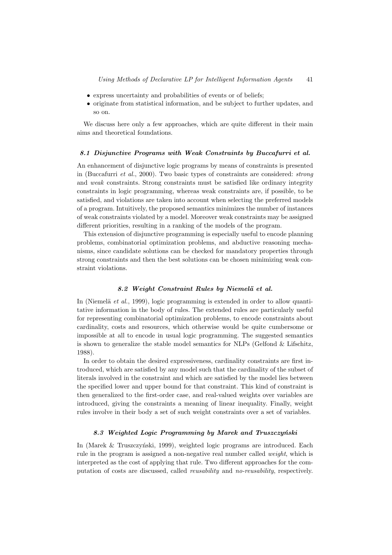- express uncertainty and probabilities of events or of beliefs;
- originate from statistical information, and be subject to further updates, and so on.

We discuss here only a few approaches, which are quite different in their main aims and theoretical foundations.

#### 8.1 Disjunctive Programs with Weak Constraints by Buccafurri et al.

An enhancement of disjunctive logic programs by means of constraints is presented in (Buccafurri et al., 2000). Two basic types of constraints are considered: strong and weak constraints. Strong constraints must be satisfied like ordinary integrity constraints in logic programming, whereas weak constraints are, if possible, to be satisfied, and violations are taken into account when selecting the preferred models of a program. Intuitively, the proposed semantics minimizes the number of instances of weak constraints violated by a model. Moreover weak constraints may be assigned different priorities, resulting in a ranking of the models of the program.

This extension of disjunctive programming is especially useful to encode planning problems, combinatorial optimization problems, and abductive reasoning mechanisms, since candidate solutions can be checked for mandatory properties through strong constraints and then the best solutions can be chosen minimizing weak constraint violations.

## 8.2 Weight Constraint Rules by Niemelä et al.

In (Niemelä et al., 1999), logic programming is extended in order to allow quantitative information in the body of rules. The extended rules are particularly useful for representing combinatorial optimization problems, to encode constraints about cardinality, costs and resources, which otherwise would be quite cumbersome or impossible at all to encode in usual logic programming. The suggested semantics is shown to generalize the stable model semantics for NLPs (Gelfond & Lifschitz, 1988).

In order to obtain the desired expressiveness, cardinality constraints are first introduced, which are satisfied by any model such that the cardinality of the subset of literals involved in the constraint and which are satisfied by the model lies between the specified lower and upper bound for that constraint. This kind of constraint is then generalized to the first-order case, and real-valued weights over variables are introduced, giving the constraints a meaning of linear inequality. Finally, weight rules involve in their body a set of such weight constraints over a set of variables.

## 8.3 Weighted Logic Programming by Marek and Truszczyński

In (Marek  $\&$  Truszczyński, 1999), weighted logic programs are introduced. Each rule in the program is assigned a non-negative real number called weight, which is interpreted as the cost of applying that rule. Two different approaches for the computation of costs are discussed, called reusability and no-reusability, respectively.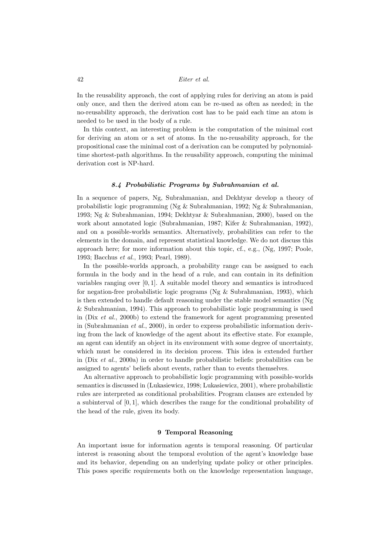In the reusability approach, the cost of applying rules for deriving an atom is paid only once, and then the derived atom can be re-used as often as needed; in the no-reusability approach, the derivation cost has to be paid each time an atom is needed to be used in the body of a rule.

In this context, an interesting problem is the computation of the minimal cost for deriving an atom or a set of atoms. In the no-reusability approach, for the propositional case the minimal cost of a derivation can be computed by polynomialtime shortest-path algorithms. In the reusability approach, computing the minimal derivation cost is NP-hard.

## 8.4 Probabilistic Programs by Subrahmanian et al.

In a sequence of papers, Ng, Subrahmanian, and Dekhtyar develop a theory of probabilistic logic programming (Ng & Subrahmanian, 1992; Ng & Subrahmanian, 1993; Ng & Subrahmanian, 1994; Dekhtyar & Subrahmanian, 2000), based on the work about annotated logic (Subrahmanian, 1987; Kifer & Subrahmanian, 1992), and on a possible-worlds semantics. Alternatively, probabilities can refer to the elements in the domain, and represent statistical knowledge. We do not discuss this approach here; for more information about this topic, cf., e.g., (Ng, 1997; Poole, 1993; Bacchus et al., 1993; Pearl, 1989).

In the possible-worlds approach, a probability range can be assigned to each formula in the body and in the head of a rule, and can contain in its definition variables ranging over  $[0, 1]$ . A suitable model theory and semantics is introduced for negation-free probabilistic logic programs (Ng & Subrahmanian, 1993), which is then extended to handle default reasoning under the stable model semantics (Ng & Subrahmanian, 1994). This approach to probabilistic logic programming is used in (Dix et al., 2000b) to extend the framework for agent programming presented in (Subrahmanian et al., 2000), in order to express probabilistic information deriving from the lack of knowledge of the agent about its effective state. For example, an agent can identify an object in its environment with some degree of uncertainty, which must be considered in its decision process. This idea is extended further in (Dix et al., 2000a) in order to handle probabilistic beliefs: probabilities can be assigned to agents' beliefs about events, rather than to events themselves.

An alternative approach to probabilistic logic programming with possible-worlds semantics is discussed in (Lukasiewicz, 1998; Lukasiewicz, 2001), where probabilistic rules are interpreted as conditional probabilities. Program clauses are extended by a subinterval of [0, 1], which describes the range for the conditional probability of the head of the rule, given its body.

#### 9 Temporal Reasoning

An important issue for information agents is temporal reasoning. Of particular interest is reasoning about the temporal evolution of the agent's knowledge base and its behavior, depending on an underlying update policy or other principles. This poses specific requirements both on the knowledge representation language,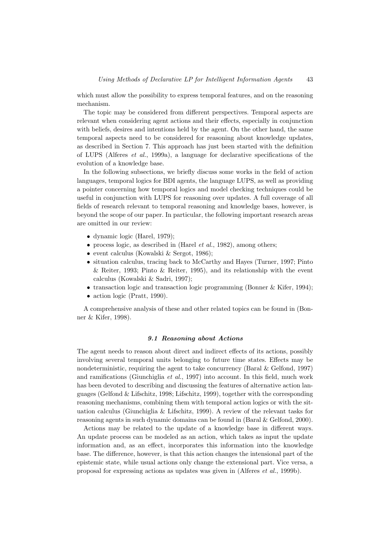which must allow the possibility to express temporal features, and on the reasoning mechanism.

The topic may be considered from different perspectives. Temporal aspects are relevant when considering agent actions and their effects, especially in conjunction with beliefs, desires and intentions held by the agent. On the other hand, the same temporal aspects need to be considered for reasoning about knowledge updates, as described in Section 7. This approach has just been started with the definition of LUPS (Alferes et al., 1999a), a language for declarative specifications of the evolution of a knowledge base.

In the following subsections, we briefly discuss some works in the field of action languages, temporal logics for BDI agents, the language LUPS, as well as providing a pointer concerning how temporal logics and model checking techniques could be useful in conjunction with LUPS for reasoning over updates. A full coverage of all fields of research relevant to temporal reasoning and knowledge bases, however, is beyond the scope of our paper. In particular, the following important research areas are omitted in our review:

- dynamic logic (Harel, 1979);
- process logic, as described in (Harel *et al.*, 1982), among others;
- event calculus (Kowalski & Sergot, 1986);
- situation calculus, tracing back to McCarthy and Hayes (Turner, 1997; Pinto & Reiter, 1993; Pinto & Reiter, 1995), and its relationship with the event calculus (Kowalski & Sadri, 1997);
- transaction logic and transaction logic programming (Bonner & Kifer, 1994);
- action logic (Pratt, 1990).

A comprehensive analysis of these and other related topics can be found in (Bonner & Kifer, 1998).

#### 9.1 Reasoning about Actions

The agent needs to reason about direct and indirect effects of its actions, possibly involving several temporal units belonging to future time states. Effects may be nondeterministic, requiring the agent to take concurrency (Baral & Gelfond, 1997) and ramifications (Giunchiglia *et al.*, 1997) into account. In this field, much work has been devoted to describing and discussing the features of alternative action languages (Gelfond & Lifschitz, 1998; Lifschitz, 1999), together with the corresponding reasoning mechanisms, combining them with temporal action logics or with the situation calculus (Giunchiglia & Lifschitz, 1999). A review of the relevant tasks for reasoning agents in such dynamic domains can be found in (Baral & Gelfond, 2000).

Actions may be related to the update of a knowledge base in different ways. An update process can be modeled as an action, which takes as input the update information and, as an effect, incorporates this information into the knowledge base. The difference, however, is that this action changes the intensional part of the epistemic state, while usual actions only change the extensional part. Vice versa, a proposal for expressing actions as updates was given in (Alferes et al., 1999b).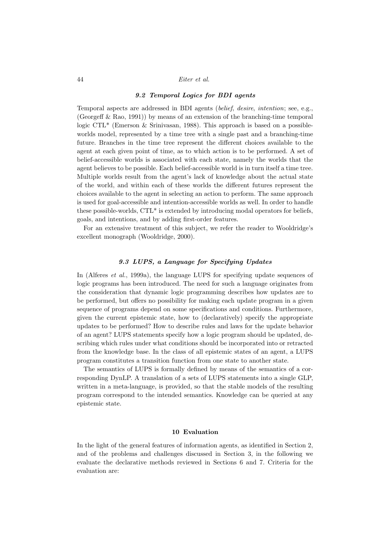#### 9.2 Temporal Logics for BDI agents

Temporal aspects are addressed in BDI agents (belief, desire, intention; see, e.g., (Georgeff & Rao, 1991)) by means of an extension of the branching-time temporal logic CTL\* (Emerson & Srinivasan, 1988). This approach is based on a possibleworlds model, represented by a time tree with a single past and a branching-time future. Branches in the time tree represent the different choices available to the agent at each given point of time, as to which action is to be performed. A set of belief-accessible worlds is associated with each state, namely the worlds that the agent believes to be possible. Each belief-accessible world is in turn itself a time tree. Multiple worlds result from the agent's lack of knowledge about the actual state of the world, and within each of these worlds the different futures represent the choices available to the agent in selecting an action to perform. The same approach is used for goal-accessible and intention-accessible worlds as well. In order to handle these possible-worlds, CTL\* is extended by introducing modal operators for beliefs, goals, and intentions, and by adding first-order features.

For an extensive treatment of this subject, we refer the reader to Wooldridge's excellent monograph (Wooldridge, 2000).

## 9.3 LUPS, a Language for Specifying Updates

In (Alferes *et al.*, 1999a), the language LUPS for specifying update sequences of logic programs has been introduced. The need for such a language originates from the consideration that dynamic logic programming describes how updates are to be performed, but offers no possibility for making each update program in a given sequence of programs depend on some specifications and conditions. Furthermore, given the current epistemic state, how to (declaratively) specify the appropriate updates to be performed? How to describe rules and laws for the update behavior of an agent? LUPS statements specify how a logic program should be updated, describing which rules under what conditions should be incorporated into or retracted from the knowledge base. In the class of all epistemic states of an agent, a LUPS program constitutes a transition function from one state to another state.

The semantics of LUPS is formally defined by means of the semantics of a corresponding DynLP. A translation of a sets of LUPS statements into a single GLP, written in a meta-language, is provided, so that the stable models of the resulting program correspond to the intended semantics. Knowledge can be queried at any epistemic state.

#### 10 Evaluation

In the light of the general features of information agents, as identified in Section 2, and of the problems and challenges discussed in Section 3, in the following we evaluate the declarative methods reviewed in Sections 6 and 7. Criteria for the evaluation are: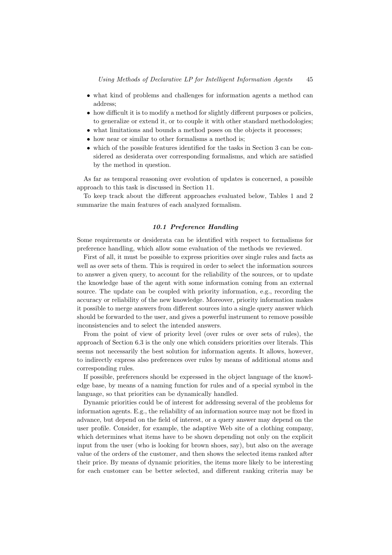- what kind of problems and challenges for information agents a method can address;
- how difficult it is to modify a method for slightly different purposes or policies, to generalize or extend it, or to couple it with other standard methodologies;
- what limitations and bounds a method poses on the objects it processes;
- how near or similar to other formalisms a method is;
- which of the possible features identified for the tasks in Section 3 can be considered as desiderata over corresponding formalisms, and which are satisfied by the method in question.

As far as temporal reasoning over evolution of updates is concerned, a possible approach to this task is discussed in Section 11.

To keep track about the different approaches evaluated below, Tables 1 and 2 summarize the main features of each analyzed formalism.

## 10.1 Preference Handling

Some requirements or desiderata can be identified with respect to formalisms for preference handling, which allow some evaluation of the methods we reviewed.

First of all, it must be possible to express priorities over single rules and facts as well as over sets of them. This is required in order to select the information sources to answer a given query, to account for the reliability of the sources, or to update the knowledge base of the agent with some information coming from an external source. The update can be coupled with priority information, e.g., recording the accuracy or reliability of the new knowledge. Moreover, priority information makes it possible to merge answers from different sources into a single query answer which should be forwarded to the user, and gives a powerful instrument to remove possible inconsistencies and to select the intended answers.

From the point of view of priority level (over rules or over sets of rules), the approach of Section 6.3 is the only one which considers priorities over literals. This seems not necessarily the best solution for information agents. It allows, however, to indirectly express also preferences over rules by means of additional atoms and corresponding rules.

If possible, preferences should be expressed in the object language of the knowledge base, by means of a naming function for rules and of a special symbol in the language, so that priorities can be dynamically handled.

Dynamic priorities could be of interest for addressing several of the problems for information agents. E.g., the reliability of an information source may not be fixed in advance, but depend on the field of interest, or a query answer may depend on the user profile. Consider, for example, the adaptive Web site of a clothing company, which determines what items have to be shown depending not only on the explicit input from the user (who is looking for brown shoes, say), but also on the average value of the orders of the customer, and then shows the selected items ranked after their price. By means of dynamic priorities, the items more likely to be interesting for each customer can be better selected, and different ranking criteria may be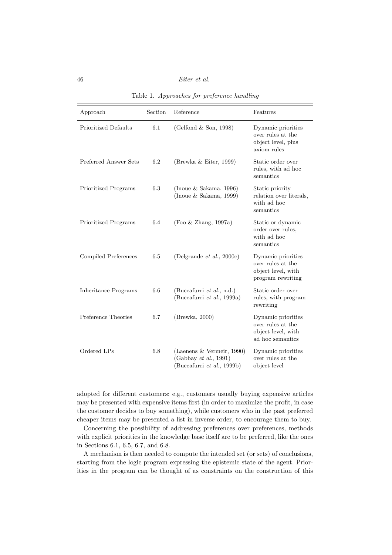46 Eiter et al.

| Approach                    | Section | Reference                                                                        | Features                                                                           |
|-----------------------------|---------|----------------------------------------------------------------------------------|------------------------------------------------------------------------------------|
| <b>Prioritized Defaults</b> | 6.1     | (Gelfond $&$ Son, 1998)                                                          | Dynamic priorities<br>over rules at the<br>object level, plus<br>axiom rules       |
| Preferred Answer Sets       | 6.2     | (Brewka & Eiter, 1999)                                                           | Static order over<br>rules, with ad hoc<br>semantics                               |
| Prioritized Programs        | 6.3     | $($ Inoue & Sakama, 1996 $)$<br>(Inoue & Sakama, 1999)                           | Static priority<br>relation over literals,<br>with ad hoc<br>semantics             |
| Prioritized Programs        | 6.4     | $(Foo \& Zhang, 1997a)$                                                          | Static or dynamic<br>order over rules,<br>with ad hoc<br>semantics                 |
| Compiled Preferences        | 6.5     | (Delgrande et al., 2000c)                                                        | Dynamic priorities<br>over rules at the<br>object level, with<br>program rewriting |
| Inheritance Programs        | 6.6     | (Buccafurri <i>et al.</i> , n.d.)<br>(Buccafurri et al., 1999a)                  | Static order over<br>rules, with program<br>rewriting                              |
| Preference Theories         | 6.7     | (Brewka, 2000)                                                                   | Dynamic priorities<br>over rules at the<br>object level, with<br>ad hoc semantics  |
| Ordered LPs                 | 6.8     | (Laenens & Vermeir, 1990)<br>(Gabbay et al., 1991)<br>(Buccafurri et al., 1999b) | Dynamic priorities<br>over rules at the<br>object level                            |

Table 1. Approaches for preference handling

adopted for different customers: e.g., customers usually buying expensive articles may be presented with expensive items first (in order to maximize the profit, in case the customer decides to buy something), while customers who in the past preferred cheaper items may be presented a list in inverse order, to encourage them to buy.

Concerning the possibility of addressing preferences over preferences, methods with explicit priorities in the knowledge base itself are to be preferred, like the ones in Sections 6.1, 6.5, 6.7, and 6.8.

A mechanism is then needed to compute the intended set (or sets) of conclusions, starting from the logic program expressing the epistemic state of the agent. Priorities in the program can be thought of as constraints on the construction of this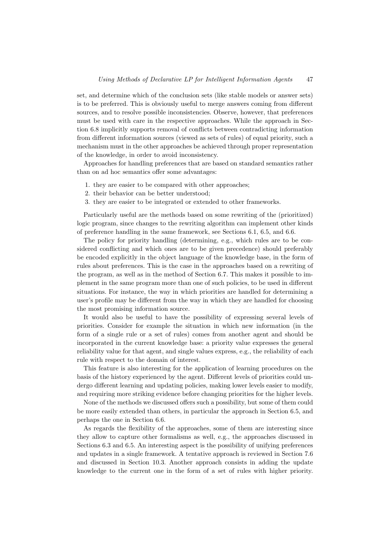set, and determine which of the conclusion sets (like stable models or answer sets) is to be preferred. This is obviously useful to merge answers coming from different sources, and to resolve possible inconsistencies. Observe, however, that preferences must be used with care in the respective approaches. While the approach in Section 6.8 implicitly supports removal of conflicts between contradicting information from different information sources (viewed as sets of rules) of equal priority, such a mechanism must in the other approaches be achieved through proper representation of the knowledge, in order to avoid inconsistency.

Approaches for handling preferences that are based on standard semantics rather than on ad hoc semantics offer some advantages:

- 1. they are easier to be compared with other approaches;
- 2. their behavior can be better understood;
- 3. they are easier to be integrated or extended to other frameworks.

Particularly useful are the methods based on some rewriting of the (prioritized) logic program, since changes to the rewriting algorithm can implement other kinds of preference handling in the same framework, see Sections 6.1, 6.5, and 6.6.

The policy for priority handling (determining, e.g., which rules are to be considered conflicting and which ones are to be given precedence) should preferably be encoded explicitly in the object language of the knowledge base, in the form of rules about preferences. This is the case in the approaches based on a rewriting of the program, as well as in the method of Section 6.7. This makes it possible to implement in the same program more than one of such policies, to be used in different situations. For instance, the way in which priorities are handled for determining a user's profile may be different from the way in which they are handled for choosing the most promising information source.

It would also be useful to have the possibility of expressing several levels of priorities. Consider for example the situation in which new information (in the form of a single rule or a set of rules) comes from another agent and should be incorporated in the current knowledge base: a priority value expresses the general reliability value for that agent, and single values express, e.g., the reliability of each rule with respect to the domain of interest.

This feature is also interesting for the application of learning procedures on the basis of the history experienced by the agent. Different levels of priorities could undergo different learning and updating policies, making lower levels easier to modify, and requiring more striking evidence before changing priorities for the higher levels.

None of the methods we discussed offers such a possibility, but some of them could be more easily extended than others, in particular the approach in Section 6.5, and perhaps the one in Section 6.6.

As regards the flexibility of the approaches, some of them are interesting since they allow to capture other formalisms as well, e.g., the approaches discussed in Sections 6.3 and 6.5. An interesting aspect is the possibility of unifying preferences and updates in a single framework. A tentative approach is reviewed in Section 7.6 and discussed in Section 10.3. Another approach consists in adding the update knowledge to the current one in the form of a set of rules with higher priority.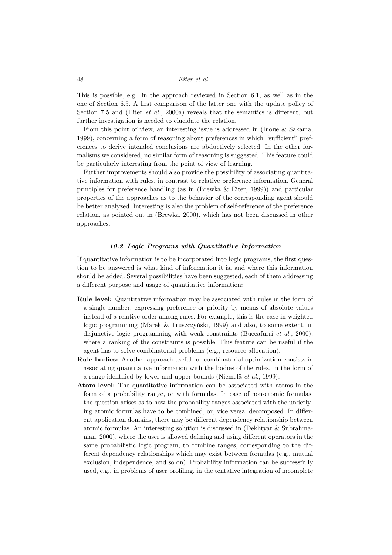This is possible, e.g., in the approach reviewed in Section 6.1, as well as in the one of Section 6.5. A first comparison of the latter one with the update policy of Section 7.5 and (Eiter *et al.*, 2000a) reveals that the semantics is different, but further investigation is needed to elucidate the relation.

From this point of view, an interesting issue is addressed in (Inoue & Sakama, 1999), concerning a form of reasoning about preferences in which "sufficient" preferences to derive intended conclusions are abductively selected. In the other formalisms we considered, no similar form of reasoning is suggested. This feature could be particularly interesting from the point of view of learning.

Further improvements should also provide the possibility of associating quantitative information with rules, in contrast to relative preference information. General principles for preference handling (as in (Brewka & Eiter, 1999)) and particular properties of the approaches as to the behavior of the corresponding agent should be better analyzed. Interesting is also the problem of self-reference of the preference relation, as pointed out in (Brewka, 2000), which has not been discussed in other approaches.

### 10.2 Logic Programs with Quantitative Information

If quantitative information is to be incorporated into logic programs, the first question to be answered is what kind of information it is, and where this information should be added. Several possibilities have been suggested, each of them addressing a different purpose and usage of quantitative information:

- Rule level: Quantitative information may be associated with rules in the form of a single number, expressing preference or priority by means of absolute values instead of a relative order among rules. For example, this is the case in weighted logic programming (Marek  $&$  Truszczyński, 1999) and also, to some extent, in disjunctive logic programming with weak constraints (Buccafurri  $et \ al.,\ 2000$ ), where a ranking of the constraints is possible. This feature can be useful if the agent has to solve combinatorial problems (e.g., resource allocation).
- Rule bodies: Another approach useful for combinatorial optimization consists in associating quantitative information with the bodies of the rules, in the form of a range identified by lower and upper bounds (Niemelä  $et$   $al.$ , 1999).
- Atom level: The quantitative information can be associated with atoms in the form of a probability range, or with formulas. In case of non-atomic formulas, the question arises as to how the probability ranges associated with the underlying atomic formulas have to be combined, or, vice versa, decomposed. In different application domains, there may be different dependency relationship between atomic formulas. An interesting solution is discussed in (Dekhtyar & Subrahmanian, 2000), where the user is allowed defining and using different operators in the same probabilistic logic program, to combine ranges, corresponding to the different dependency relationships which may exist between formulas (e.g., mutual exclusion, independence, and so on). Probability information can be successfully used, e.g., in problems of user profiling, in the tentative integration of incomplete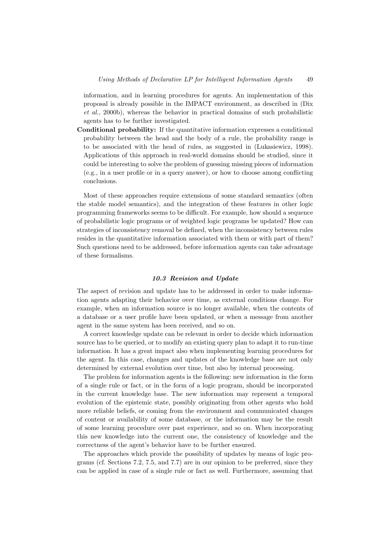information, and in learning procedures for agents. An implementation of this proposal is already possible in the IMPACT environment, as described in (Dix et al., 2000b), whereas the behavior in practical domains of such probabilistic agents has to be further investigated.

Conditional probability: If the quantitative information expresses a conditional probability between the head and the body of a rule, the probability range is to be associated with the head of rules, as suggested in (Lukasiewicz, 1998). Applications of this approach in real-world domains should be studied, since it could be interesting to solve the problem of guessing missing pieces of information (e.g., in a user profile or in a query answer), or how to choose among conflicting conclusions.

Most of these approaches require extensions of some standard semantics (often the stable model semantics), and the integration of these features in other logic programming frameworks seems to be difficult. For example, how should a sequence of probabilistic logic programs or of weighted logic programs be updated? How can strategies of inconsistency removal be defined, when the inconsistency between rules resides in the quantitative information associated with them or with part of them? Such questions need to be addressed, before information agents can take advantage of these formalisms.

### 10.3 Revision and Update

The aspect of revision and update has to be addressed in order to make information agents adapting their behavior over time, as external conditions change. For example, when an information source is no longer available, when the contents of a database or a user profile have been updated, or when a message from another agent in the same system has been received, and so on.

A correct knowledge update can be relevant in order to decide which information source has to be queried, or to modify an existing query plan to adapt it to run-time information. It has a great impact also when implementing learning procedures for the agent. In this case, changes and updates of the knowledge base are not only determined by external evolution over time, but also by internal processing.

The problem for information agents is the following: new information in the form of a single rule or fact, or in the form of a logic program, should be incorporated in the current knowledge base. The new information may represent a temporal evolution of the epistemic state, possibly originating from other agents who hold more reliable beliefs, or coming from the environment and communicated changes of content or availability of some database, or the information may be the result of some learning procedure over past experience, and so on. When incorporating this new knowledge into the current one, the consistency of knowledge and the correctness of the agent's behavior have to be further ensured.

The approaches which provide the possibility of updates by means of logic programs (cf. Sections 7.2, 7.5, and 7.7) are in our opinion to be preferred, since they can be applied in case of a single rule or fact as well. Furthermore, assuming that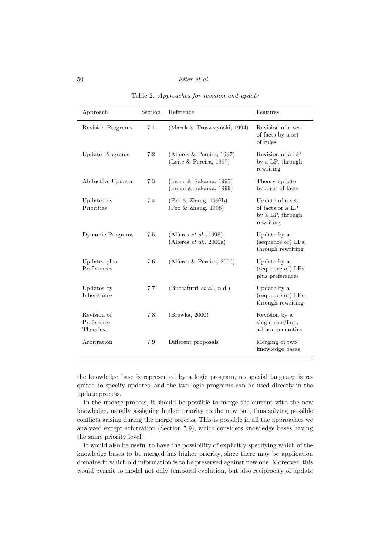50 Eiter et al.

| Approach                              | Section | Reference                                                      | Features                                                             |
|---------------------------------------|---------|----------------------------------------------------------------|----------------------------------------------------------------------|
| Revision Programs                     | 7.1     | (Marek & Truszczyński, 1994)                                   | Revision of a set<br>of facts by a set<br>of rules                   |
| Update Programs                       | 7.2     | (Alferes & Pereira, 1997)<br>(Leite & Pereira, 1997)           | Revision of a LP<br>by a LP, through<br>rewriting                    |
| Abductive Updates                     | 7.3     | (Inoue $&$ Sakama, 1995)<br>(Inoue $&$ Sakama, 1999)           | Theory update<br>by a set of facts                                   |
| Updates by<br>Priorities              | 7.4     | (Foo & Zhang, 1997b)<br>(Foo & Zhang, 1998)                    | Update of a set<br>of facts or a LP<br>by a LP, through<br>rewriting |
| Dynamic Programs                      | 7.5     | (Alferes $et \ al., 1998$ )<br>(Alferes <i>et al.</i> , 2000a) | Update by a<br>(sequence of) LPs,<br>through rewriting               |
| Updates plus<br>Preferences           | 7.6     | (Alferes & Pereira, 2000)                                      | Update by a<br>(sequence of) LPs<br>plus preferences                 |
| Updates by<br>Inheritance             | 7.7     | (Buccafurri et al., n.d.)                                      | Update by a<br>(sequence of) LPs,<br>through rewriting               |
| Revision of<br>Preference<br>Theories | 7.8     | (Brewka, 2000)                                                 | Revision by a<br>single rule/fact,<br>ad hoc semantics               |
| Arbitration                           | 7.9     | Different proposals                                            | Merging of two<br>knowledge bases                                    |

Table 2. Approaches for revision and update

the knowledge base is represented by a logic program, no special language is required to specify updates, and the two logic programs can be used directly in the update process.

In the update process, it should be possible to merge the current with the new knowledge, usually assigning higher priority to the new one, thus solving possible conflicts arising during the merge process. This is possible in all the approaches we analyzed except arbitration (Section 7.9), which considers knowledge bases having the same priority level.

It would also be useful to have the possibility of explicitly specifying which of the knowledge bases to be merged has higher priority, since there may be application domains in which old information is to be preserved against new one. Moreover, this would permit to model not only temporal evolution, but also reciprocity of update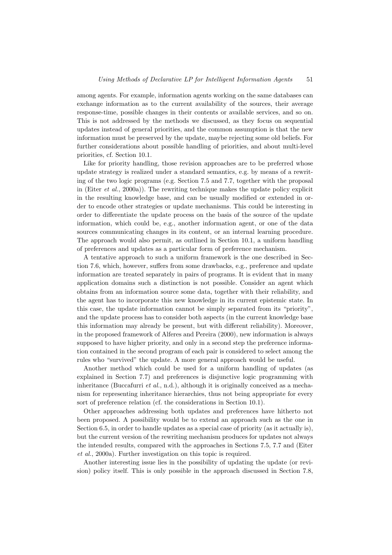among agents. For example, information agents working on the same databases can exchange information as to the current availability of the sources, their average response-time, possible changes in their contents or available services, and so on. This is not addressed by the methods we discussed, as they focus on sequential updates instead of general priorities, and the common assumption is that the new information must be preserved by the update, maybe rejecting some old beliefs. For further considerations about possible handling of priorities, and about multi-level priorities, cf. Section 10.1.

Like for priority handling, those revision approaches are to be preferred whose update strategy is realized under a standard semantics, e.g. by means of a rewriting of the two logic programs (e.g. Section 7.5 and 7.7, together with the proposal in (Eiter  $et \ al.,\ 2000a)$ ). The rewriting technique makes the update policy explicit in the resulting knowledge base, and can be usually modified or extended in order to encode other strategies or update mechanisms. This could be interesting in order to differentiate the update process on the basis of the source of the update information, which could be, e.g., another information agent, or one of the data sources communicating changes in its content, or an internal learning procedure. The approach would also permit, as outlined in Section 10.1, a uniform handling of preferences and updates as a particular form of preference mechanism.

A tentative approach to such a uniform framework is the one described in Section 7.6, which, however, suffers from some drawbacks, e.g., preference and update information are treated separately in pairs of programs. It is evident that in many application domains such a distinction is not possible. Consider an agent which obtains from an information source some data, together with their reliability, and the agent has to incorporate this new knowledge in its current epistemic state. In this case, the update information cannot be simply separated from its "priority", and the update process has to consider both aspects (in the current knowledge base this information may already be present, but with different reliability). Moreover, in the proposed framework of Alferes and Pereira (2000), new information is always supposed to have higher priority, and only in a second step the preference information contained in the second program of each pair is considered to select among the rules who "survived" the update. A more general approach would be useful.

Another method which could be used for a uniform handling of updates (as explained in Section 7.7) and preferences is disjunctive logic programming with inheritance (Buccafurri et al., n.d.), although it is originally conceived as a mechanism for representing inheritance hierarchies, thus not being appropriate for every sort of preference relation (cf. the considerations in Section 10.1).

Other approaches addressing both updates and preferences have hitherto not been proposed. A possibility would be to extend an approach such as the one in Section 6.5, in order to handle updates as a special case of priority (as it actually is), but the current version of the rewriting mechanism produces for updates not always the intended results, compared with the approaches in Sections 7.5, 7.7 and (Eiter et al., 2000a). Further investigation on this topic is required.

Another interesting issue lies in the possibility of updating the update (or revision) policy itself. This is only possible in the approach discussed in Section 7.8,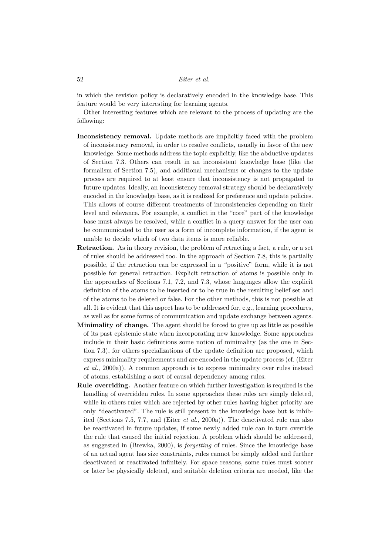in which the revision policy is declaratively encoded in the knowledge base. This feature would be very interesting for learning agents.

Other interesting features which are relevant to the process of updating are the following:

- Inconsistency removal. Update methods are implicitly faced with the problem of inconsistency removal, in order to resolve conflicts, usually in favor of the new knowledge. Some methods address the topic explicitly, like the abductive updates of Section 7.3. Others can result in an inconsistent knowledge base (like the formalism of Section 7.5), and additional mechanisms or changes to the update process are required to at least ensure that inconsistency is not propagated to future updates. Ideally, an inconsistency removal strategy should be declaratively encoded in the knowledge base, as it is realized for preference and update policies. This allows of course different treatments of inconsistencies depending on their level and relevance. For example, a conflict in the "core" part of the knowledge base must always be resolved, while a conflict in a query answer for the user can be communicated to the user as a form of incomplete information, if the agent is unable to decide which of two data items is more reliable.
- Retraction. As in theory revision, the problem of retracting a fact, a rule, or a set of rules should be addressed too. In the approach of Section 7.8, this is partially possible, if the retraction can be expressed in a "positive" form, while it is not possible for general retraction. Explicit retraction of atoms is possible only in the approaches of Sections 7.1, 7.2, and 7.3, whose languages allow the explicit definition of the atoms to be inserted or to be true in the resulting belief set and of the atoms to be deleted or false. For the other methods, this is not possible at all. It is evident that this aspect has to be addressed for, e.g., learning procedures, as well as for some forms of communication and update exchange between agents.
- Minimality of change. The agent should be forced to give up as little as possible of its past epistemic state when incorporating new knowledge. Some approaches include in their basic definitions some notion of minimality (as the one in Section 7.3), for others specializations of the update definition are proposed, which express minimality requirements and are encoded in the update process (cf. (Eiter et al., 2000a)). A common approach is to express minimality over rules instead of atoms, establishing a sort of causal dependency among rules.
- Rule overriding. Another feature on which further investigation is required is the handling of overridden rules. In some approaches these rules are simply deleted, while in others rules which are rejected by other rules having higher priority are only "deactivated". The rule is still present in the knowledge base but is inhibited (Sections 7.5, 7.7, and (Eiter  $et al., 2000a$ )). The deactivated rule can also be reactivated in future updates, if some newly added rule can in turn override the rule that caused the initial rejection. A problem which should be addressed, as suggested in (Brewka, 2000), is forgetting of rules. Since the knowledge base of an actual agent has size constraints, rules cannot be simply added and further deactivated or reactivated infinitely. For space reasons, some rules must sooner or later be physically deleted, and suitable deletion criteria are needed, like the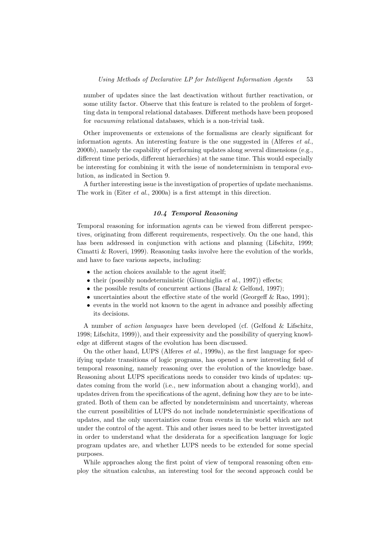number of updates since the last deactivation without further reactivation, or some utility factor. Observe that this feature is related to the problem of forgetting data in temporal relational databases. Different methods have been proposed for vacuuming relational databases, which is a non-trivial task.

Other improvements or extensions of the formalisms are clearly significant for information agents. An interesting feature is the one suggested in (Alferes  $et al.,$ 2000b), namely the capability of performing updates along several dimensions (e.g., different time periods, different hierarchies) at the same time. This would especially be interesting for combining it with the issue of nondeterminism in temporal evolution, as indicated in Section 9.

A further interesting issue is the investigation of properties of update mechanisms. The work in (Eiter *et al.*, 2000a) is a first attempt in this direction.

## 10.4 Temporal Reasoning

Temporal reasoning for information agents can be viewed from different perspectives, originating from different requirements, respectively. On the one hand, this has been addressed in conjunction with actions and planning (Lifschitz, 1999; Cimatti & Roveri, 1999). Reasoning tasks involve here the evolution of the worlds, and have to face various aspects, including:

- the action choices available to the agent itself:
- their (possibly nondeterministic (Giunchiglia *et al.*, 1997)) effects;
- the possible results of concurrent actions (Baral & Gelfond, 1997);
- uncertainties about the effective state of the world (Georgeff  $\&$  Rao, 1991);
- events in the world not known to the agent in advance and possibly affecting its decisions.

A number of action languages have been developed (cf. (Gelfond & Lifschitz, 1998; Lifschitz, 1999)), and their expressivity and the possibility of querying knowledge at different stages of the evolution has been discussed.

On the other hand, LUPS (Alferes *et al.*, 1999a), as the first language for specifying update transitions of logic programs, has opened a new interesting field of temporal reasoning, namely reasoning over the evolution of the knowledge base. Reasoning about LUPS specifications needs to consider two kinds of updates: updates coming from the world (i.e., new information about a changing world), and updates driven from the specifications of the agent, defining how they are to be integrated. Both of them can be affected by nondeterminism and uncertainty, whereas the current possibilities of LUPS do not include nondeterministic specifications of updates, and the only uncertainties come from events in the world which are not under the control of the agent. This and other issues need to be better investigated in order to understand what the desiderata for a specification language for logic program updates are, and whether LUPS needs to be extended for some special purposes.

While approaches along the first point of view of temporal reasoning often employ the situation calculus, an interesting tool for the second approach could be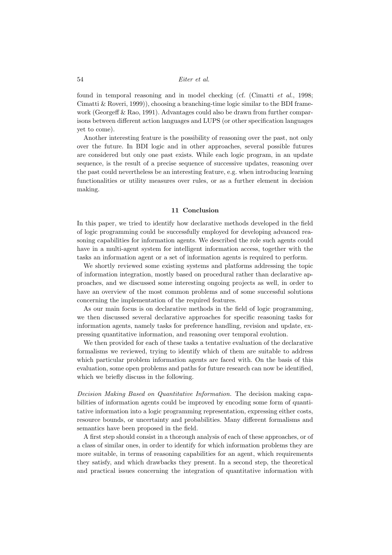found in temporal reasoning and in model checking (cf. (Cimatti et al., 1998; Cimatti & Roveri, 1999)), choosing a branching-time logic similar to the BDI framework (Georgeff & Rao, 1991). Advantages could also be drawn from further comparisons between different action languages and LUPS (or other specification languages yet to come).

Another interesting feature is the possibility of reasoning over the past, not only over the future. In BDI logic and in other approaches, several possible futures are considered but only one past exists. While each logic program, in an update sequence, is the result of a precise sequence of successive updates, reasoning over the past could nevertheless be an interesting feature, e.g. when introducing learning functionalities or utility measures over rules, or as a further element in decision making.

#### 11 Conclusion

In this paper, we tried to identify how declarative methods developed in the field of logic programming could be successfully employed for developing advanced reasoning capabilities for information agents. We described the role such agents could have in a multi-agent system for intelligent information access, together with the tasks an information agent or a set of information agents is required to perform.

We shortly reviewed some existing systems and platforms addressing the topic of information integration, mostly based on procedural rather than declarative approaches, and we discussed some interesting ongoing projects as well, in order to have an overview of the most common problems and of some successful solutions concerning the implementation of the required features.

As our main focus is on declarative methods in the field of logic programming, we then discussed several declarative approaches for specific reasoning tasks for information agents, namely tasks for preference handling, revision and update, expressing quantitative information, and reasoning over temporal evolution.

We then provided for each of these tasks a tentative evaluation of the declarative formalisms we reviewed, trying to identify which of them are suitable to address which particular problem information agents are faced with. On the basis of this evaluation, some open problems and paths for future research can now be identified, which we briefly discuss in the following.

Decision Making Based on Quantitative Information. The decision making capabilities of information agents could be improved by encoding some form of quantitative information into a logic programming representation, expressing either costs, resource bounds, or uncertainty and probabilities. Many different formalisms and semantics have been proposed in the field.

A first step should consist in a thorough analysis of each of these approaches, or of a class of similar ones, in order to identify for which information problems they are more suitable, in terms of reasoning capabilities for an agent, which requirements they satisfy, and which drawbacks they present. In a second step, the theoretical and practical issues concerning the integration of quantitative information with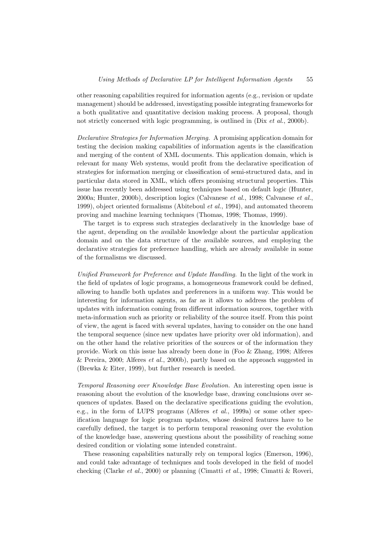other reasoning capabilities required for information agents (e.g., revision or update management) should be addressed, investigating possible integrating frameworks for a both qualitative and quantitative decision making process. A proposal, though not strictly concerned with logic programming, is outlined in (Dix *et al.*, 2000b).

Declarative Strategies for Information Merging. A promising application domain for testing the decision making capabilities of information agents is the classification and merging of the content of XML documents. This application domain, which is relevant for many Web systems, would profit from the declarative specification of strategies for information merging or classification of semi-structured data, and in particular data stored in XML, which offers promising structural properties. This issue has recently been addressed using techniques based on default logic (Hunter, 2000a; Hunter, 2000b), description logics (Calvanese et al., 1998; Calvanese et al., 1999), object oriented formalisms (Abiteboul  $et al., 1994$ ), and automated theorem proving and machine learning techniques (Thomas, 1998; Thomas, 1999).

The target is to express such strategies declaratively in the knowledge base of the agent, depending on the available knowledge about the particular application domain and on the data structure of the available sources, and employing the declarative strategies for preference handling, which are already available in some of the formalisms we discussed.

Unified Framework for Preference and Update Handling. In the light of the work in the field of updates of logic programs, a homogeneous framework could be defined, allowing to handle both updates and preferences in a uniform way. This would be interesting for information agents, as far as it allows to address the problem of updates with information coming from different information sources, together with meta-information such as priority or reliability of the source itself. From this point of view, the agent is faced with several updates, having to consider on the one hand the temporal sequence (since new updates have priority over old information), and on the other hand the relative priorities of the sources or of the information they provide. Work on this issue has already been done in (Foo & Zhang, 1998; Alferes & Pereira, 2000; Alferes *et al.*, 2000b), partly based on the approach suggested in (Brewka & Eiter, 1999), but further research is needed.

Temporal Reasoning over Knowledge Base Evolution. An interesting open issue is reasoning about the evolution of the knowledge base, drawing conclusions over sequences of updates. Based on the declarative specifications guiding the evolution, e.g., in the form of LUPS programs (Alferes *et al.*, 1999a) or some other specification language for logic program updates, whose desired features have to be carefully defined, the target is to perform temporal reasoning over the evolution of the knowledge base, answering questions about the possibility of reaching some desired condition or violating some intended constraint.

These reasoning capabilities naturally rely on temporal logics (Emerson, 1996), and could take advantage of techniques and tools developed in the field of model checking (Clarke et al., 2000) or planning (Cimatti et al., 1998; Cimatti & Roveri,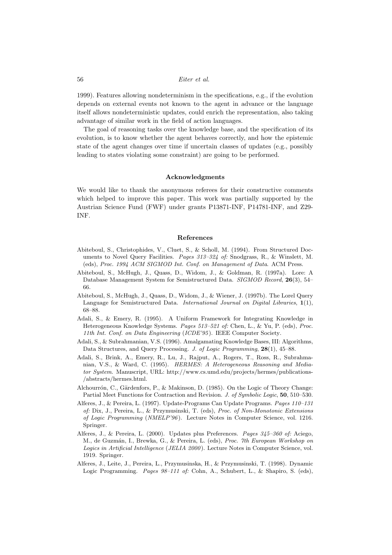1999). Features allowing nondeterminism in the specifications, e.g., if the evolution depends on external events not known to the agent in advance or the language itself allows nondeterministic updates, could enrich the representation, also taking advantage of similar work in the field of action languages.

The goal of reasoning tasks over the knowledge base, and the specification of its evolution, is to know whether the agent behaves correctly, and how the epistemic state of the agent changes over time if uncertain classes of updates (e.g., possibly leading to states violating some constraint) are going to be performed.

#### Acknowledgments

We would like to thank the anonymous referees for their constructive comments which helped to improve this paper. This work was partially supported by the Austrian Science Fund (FWF) under grants P13871-INF, P14781-INF, and Z29- INF.

#### References

- Abiteboul, S., Christophides, V., Cluet, S., & Scholl, M. (1994). From Structured Documents to Novel Query Facilities. Pages 313–324 of: Snodgrass, R., & Winslett, M. (eds), Proc. 1994 ACM SIGMOD Int. Conf. on Management of Data. ACM Press.
- Abiteboul, S., McHugh, J., Quass, D., Widom, J., & Goldman, R. (1997a). Lore: A Database Management System for Semistructured Data. SIGMOD Record, 26(3), 54– 66.
- Abiteboul, S., McHugh, J., Quass, D., Widom, J., & Wiener, J. (1997b). The Lorel Query Language for Semistructured Data. International Journal on Digital Libraries, 1(1), 68–88.
- Adali, S., & Emery, R. (1995). A Uniform Framework for Integrating Knowledge in Heterogeneous Knowledge Systems. Pages 513–521 of: Chen, L., & Yu, P. (eds), Proc. 11th Int. Conf. on Data Engineering (ICDE'95). IEEE Computer Society.
- Adali, S., & Subrahmanian, V.S. (1996). Amalgamating Knowledge Bases, III: Algorithms, Data Structures, and Query Processing. J. of Logic Programming, 28(1), 45–88.
- Adali, S., Brink, A., Emery, R., Lu, J., Rajput, A., Rogers, T., Ross, R., Subrahmanian, V.S., & Ward, C. (1995). HERMES: A Heterogeneous Reasoning and Mediator System. Manuscript, URL: http://www.cs.umd.edu/projects/hermes/publications- /abstracts/hermes.html.
- Alchourrón, C., Gärdenfors, P., & Makinson, D. (1985). On the Logic of Theory Change: Partial Meet Functions for Contraction and Revision. J. of Symbolic Logic, 50, 510–530.
- Alferes, J., & Pereira, L. (1997). Update-Programs Can Update Programs. Pages 110–131 of: Dix, J., Pereira, L., & Przymusinski, T. (eds), Proc. of Non-Monotonic Extensions of Logic Programming (NMELP'96 ). Lecture Notes in Computer Science, vol. 1216. Springer.
- Alferes, J., & Pereira, L. (2000). Updates plus Preferences. Pages 345–360 of: Aciego, M., de Guzmán, I., Brewka, G., & Pereira, L. (eds), Proc. 7th European Workshop on Logics in Artificial Intelligence (JELIA 2000). Lecture Notes in Computer Science, vol. 1919. Springer.
- Alferes, J., Leite, J., Pereira, L., Przymusinska, H., & Przymusinski, T. (1998). Dynamic Logic Programming. Pages 98–111 of: Cohn, A., Schubert, L., & Shapiro, S. (eds),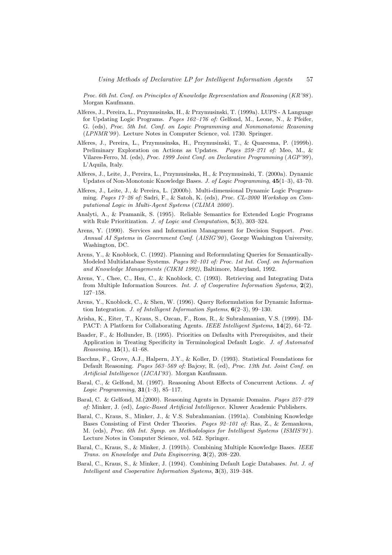Proc. 6th Int. Conf. on Principles of Knowledge Representation and Reasoning (KR'98 ). Morgan Kaufmann.

- Alferes, J., Pereira, L., Przymusinska, H., & Przymusinski, T. (1999a). LUPS A Language for Updating Logic Programs. Pages 162–176 of: Gelfond, M., Leone, N., & Pfeifer, G. (eds), Proc. 5th Int. Conf. on Logic Programming and Nonmonotonic Reasoning (LPNMR'99 ). Lecture Notes in Computer Science, vol. 1730. Springer.
- Alferes, J., Pereira, L., Przymusinska, H., Przymusinski, T., & Quaresma, P. (1999b). Preliminary Exploration on Actions as Updates. Pages 259–271 of: Meo, M., & Vilares-Ferro, M. (eds), Proc. 1999 Joint Conf. on Declarative Programming (AGP'99 ), L'Aquila, Italy.
- Alferes, J., Leite, J., Pereira, L., Przymusinska, H., & Przymusinski, T. (2000a). Dynamic Updates of Non-Monotonic Knowledge Bases. J. of Logic Programming,  $45(1-3)$ ,  $43-70$ .
- Alferes, J., Leite, J., & Pereira, L. (2000b). Multi-dimensional Dynamic Logic Programming. Pages 17–26 of: Sadri, F., & Satoh, K. (eds), Proc. CL-2000 Workshop on Computational Logic in Multi-Agent Systems (CLIMA 2000).
- Analyti, A., & Pramanik, S. (1995). Reliable Semantics for Extended Logic Programs with Rule Prioritization. J. of Logic and Computation, 5(3), 303–324.
- Arens, Y. (1990). Services and Information Management for Decision Support. Proc. Annual AI Systems in Government Conf. (AISIG'90), George Washington University, Washington, DC.
- Arens, Y., & Knoblock, C. (1992). Planning and Reformulating Queries for Semantically-Modeled Multidatabase Systems. Pages 92–101 of: Proc. 1st Int. Conf. on Information and Knowledge Managements (CIKM 1992), Baltimore, Maryland, 1992.
- Arens, Y., Chee, C., Hsu, C., & Knoblock, C. (1993). Retrieving and Integrating Data from Multiple Information Sources. Int. J. of Cooperative Information Systems,  $2(2)$ , 127–158.
- Arens, Y., Knoblock, C., & Shen, W. (1996). Query Reformulation for Dynamic Information Integration. J. of Intelligent Information Systems,  $6(2-3)$ , 99-130.
- Arisha, K., Eiter, T., Kraus, S., Ozcan, F., Ross, R., & Subrahmanian, V.S. (1999). IM-PACT: A Platform for Collaborating Agents. IEEE Intelligent Systems, 14(2), 64–72.
- Baader, F., & Hollunder, B. (1995). Priorities on Defaults with Prerequisites, and their Application in Treating Specificity in Terminological Default Logic. J. of Automated *Reasoning*,  $15(1)$ ,  $41-68$ .
- Bacchus, F., Grove, A.J., Halpern, J.Y., & Koller, D. (1993). Statistical Foundations for Default Reasoning. Pages 563–569 of: Bajcsy, R. (ed), Proc. 13th Int. Joint Conf. on Artificial Intelligence (IJCAI'93 ). Morgan Kaufmann.
- Baral, C., & Gelfond, M. (1997). Reasoning About Effects of Concurrent Actions. J. of *Logic Programming*,  $31(1-3)$ , 85-117.
- Baral, C. & Gelfond, M.(2000). Reasoning Agents in Dynamic Domains. Pages 257-279 of: Minker, J. (ed), Logic-Based Artificial Intelligence. Kluwer Academic Publishers.
- Baral, C., Kraus, S., Minker, J., & V.S. Subrahmanian. (1991a). Combining Knowledge Bases Consisting of First Order Theories. Pages 92–101 of: Ras, Z., & Zemankova, M. (eds), Proc. 6th Int. Symp. on Methodologies for Intelligent Systems (ISMIS'91 ). Lecture Notes in Computer Science, vol. 542. Springer.
- Baral, C., Kraus, S., & Minker, J. (1991b). Combining Multiple Knowledge Bases. IEEE Trans. on Knowledge and Data Engineering, 3(2), 208–220.
- Baral, C., Kraus, S., & Minker, J. (1994). Combining Default Logic Databases. Int. J. of Intelligent and Cooperative Information Systems, 3(3), 319–348.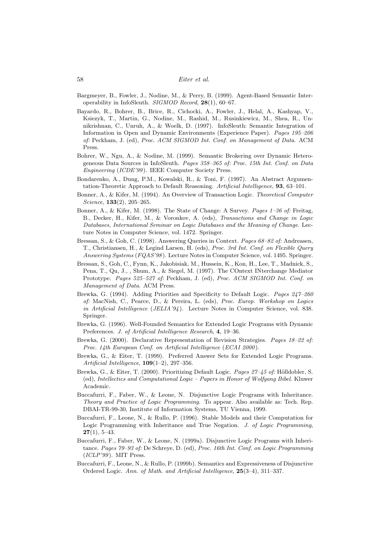- Bargmeyer, B., Fowler, J., Nodine, M., & Perry, B. (1999). Agent-Based Semantic Interoperability in InfoSleuth. SIGMOD Record, 28(1), 60–67.
- Bayardo, R., Bohrer, B., Brice, R., Cichocki, A., Fowler, J., Helal, A., Kashyap, V., Ksiezyk, T., Martin, G., Nodine, M., Rashid, M., Rusinkiewicz, M., Shea, R., Unnikrishnan, C., Unruh, A., & Woelk, D. (1997). InfoSleuth: Semantic Integration of Information in Open and Dynamic Environments (Experience Paper). Pages 195–206 of: Peckham, J. (ed), Proc. ACM SIGMOD Int. Conf. on Management of Data. ACM Press.
- Bohrer, W., Ngu, A., & Nodine, M. (1999). Semantic Brokering over Dynamic Heterogeneous Data Sources in InfoSleuth. Pages 358–365 of: Proc. 15th Int. Conf. on Data Engineering (ICDE'99 ). IEEE Computer Society Press.
- Bondarenko, A., Dung, P.M., Kowalski, R., & Toni, F. (1997). An Abstract Argumentation-Theoretic Approach to Default Reasoning. Artificial Intelligence, 93, 63–101.
- Bonner, A., & Kifer, M. (1994). An Overview of Transaction Logic. Theoretical Computer Science, **133**(2), 205-265.
- Bonner, A., & Kifer, M. (1998). The State of Change: A Survey. Pages 1–36 of: Freitag, B., Decker, H., Kifer, M., & Voronkov, A. (eds), Transactions and Change in Logic Databases, International Seminar on Logic Databases and the Meaning of Change. Lecture Notes in Computer Science, vol. 1472. Springer.
- Bressan, S., & Goh, C. (1998). Answering Queries in Context. Pages 68–82 of: Andreasen, T., Christiansen, H., & Legind Larsen, H. (eds), Proc. 3rd Int. Conf. on Flexible Query Answering Systems (FQAS'98 ). Lecture Notes in Computer Science, vol. 1495. Springer.
- Bressan, S., Goh, C., Fynn, K., Jakobisiak, M., Hussein, K., Kon, H., Lee, T., Madnick, S., Pena, T., Qu, J., , Shum, A., & Siegel, M. (1997). The COntext INterchange Mediator Prototype. Pages 525–527 of: Peckham, J. (ed), Proc. ACM SIGMOD Int. Conf. on Management of Data. ACM Press.
- Brewka, G. (1994). Adding Priorities and Specificity to Default Logic. Pages 247–260 of: MacNish, C., Pearce, D., & Pereira, L. (eds), Proc. Europ. Workshop on Logics in Artificial Intelligence (JELIA'94). Lecture Notes in Computer Science, vol. 838. Springer.
- Brewka, G. (1996). Well-Founded Semantics for Extended Logic Programs with Dynamic Preferences. J. of Artificial Intelligence Research, 4, 19–36.
- Brewka, G. (2000). Declarative Representation of Revision Strategies. Pages 18–22 of: Proc. 14th European Conf. on Artificial Intelligence (ECAI 2000).
- Brewka, G., & Eiter, T. (1999). Preferred Answer Sets for Extended Logic Programs. Artificial Intelligence,  $109(1-2)$ , 297-356.
- Brewka, G., & Eiter, T. (2000). Prioritizing Default Logic. Pages 27–45 of: Hölldobler, S. (ed), Intellectics and Computational Logic – Papers in Honor of Wolfgang Bibel. Kluwer Academic.
- Buccafurri, F., Faber, W., & Leone, N. Disjunctive Logic Programs with Inheritance. Theory and Practice of Logic Programming. To appear. Also available as: Tech. Rep. DBAI-TR-99-30, Institute of Information Systems, TU Vienna, 1999.
- Buccafurri, F., Leone, N., & Rullo, P. (1996). Stable Models and their Computation for Logic Programming with Inheritance and True Negation. J. of Logic Programming,  $27(1), 5-43.$
- Buccafurri, F., Faber, W., & Leone, N. (1999a). Disjunctive Logic Programs with Inheritance. Pages 79–93 of: De Schreye, D. (ed), Proc. 16th Int. Conf. on Logic Programming  $(ICLP'99)$ . MIT Press.
- Buccafurri, F., Leone, N., & Rullo, P. (1999b). Semantics and Expressiveness of Disjunctive Ordered Logic. Ann. of Math. and Artificial Intelligence, 25(3–4), 311–337.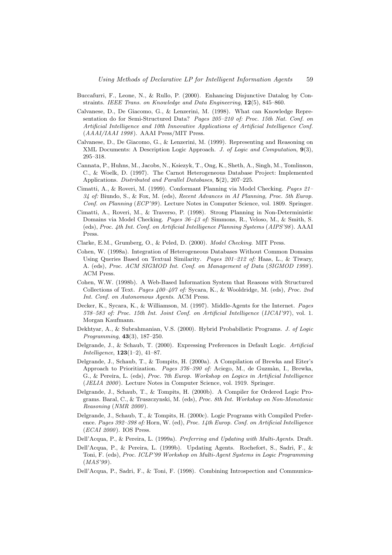- Buccafurri, F., Leone, N., & Rullo, P. (2000). Enhancing Disjunctive Datalog by Constraints. IEEE Trans. on Knowledge and Data Engineering, 12(5), 845–860.
- Calvanese, D., De Giacomo, G., & Lenzerini, M. (1998). What can Knowledge Representation do for Semi-Structured Data? Pages 205-210 of: Proc. 15th Nat. Conf. on Artificial Intelligence and 10th Innovative Applications of Artificial Intelligence Conf. (AAAI/IAAI 1998). AAAI Press/MIT Press.
- Calvanese, D., De Giacomo, G., & Lenzerini, M. (1999). Representing and Reasoning on XML Documents: A Description Logic Approach. J. of Logic and Computation,  $9(3)$ , 295–318.
- Cannata, P., Huhns, M., Jacobs, N., Ksiezyk, T., Ong, K., Sheth, A., Singh, M., Tomlinson, C., & Woelk, D. (1997). The Carnot Heterogeneous Database Project: Implemented Applications. Distributed and Parallel Databases, 5(2), 207–225.
- Cimatti, A., & Roveri, M. (1999). Conformant Planning via Model Checking. Pages 21– 34 of: Biundo, S., & Fox, M. (eds), Recent Advances in AI Planning, Proc. 5th Europ. Conf. on Planning (ECP'99). Lecture Notes in Computer Science, vol. 1809. Springer.
- Cimatti, A., Roveri, M., & Traverso, P. (1998). Strong Planning in Non-Deterministic Domains via Model Checking. Pages 36–43 of: Simmons, R., Veloso, M., & Smith, S. (eds), Proc. 4th Int. Conf. on Artificial Intelligence Planning Systems (AIPS'98 ). AAAI Press.
- Clarke, E.M., Grumberg, O., & Peled, D. (2000). Model Checking. MIT Press.
- Cohen, W. (1998a). Integration of Heterogeneous Databases Without Common Domains Using Queries Based on Textual Similarity. Pages 201–212 of: Haas, L., & Tiwary, A. (eds), Proc. ACM SIGMOD Int. Conf. on Management of Data (SIGMOD 1998). ACM Press.
- Cohen, W.W. (1998b). A Web-Based Information System that Reasons with Structured Collections of Text. Pages 400–407 of: Sycara, K., & Wooldridge, M. (eds), Proc. 2nd Int. Conf. on Autonomous Agents. ACM Press.
- Decker, K., Sycara, K., & Williamson, M. (1997). Middle-Agents for the Internet. Pages 578–583 of: Proc. 15th Int. Joint Conf. on Artificial Intelligence (IJCAI'97 ), vol. 1. Morgan Kaufmann.
- Dekhtyar, A., & Subrahmanian, V.S. (2000). Hybrid Probabilistic Programs. J. of Logic Programming, 43(3), 187–250.
- Delgrande, J., & Schaub, T. (2000). Expressing Preferences in Default Logic. Artificial  $Intelligence, 123(1-2), 41-87.$
- Delgrande, J., Schaub, T., & Tompits, H. (2000a). A Compilation of Brewka and Eiter's Approach to Prioritization. Pages 376–390 of: Aciego, M., de Guzmàn, I., Brewka, G., & Pereira, L. (eds), Proc. 7th Europ. Workshop on Logics in Artificial Intelligence (*JELIA 2000*). Lecture Notes in Computer Science, vol. 1919. Springer.
- Delgrande, J., Schaub, T., & Tompits, H. (2000b). A Compiler for Ordered Logic Programs. Baral, C., & Truszczynski, M. (eds), Proc. 8th Int. Workshop on Non-Monotonic Reasoning (NMR 2000).
- Delgrande, J., Schaub, T., & Tompits, H. (2000c). Logic Programs with Compiled Preference. Pages 392–398 of: Horn, W. (ed), Proc. 14th Europ. Conf. on Artificial Intelligence (ECAI 2000 ). IOS Press.
- Dell'Acqua, P., & Pereira, L. (1999a). Preferring and Updating with Multi-Agents. Draft.
- Dell'Acqua, P., & Pereira, L. (1999b). Updating Agents. Rochefort, S., Sadri, F., & Toni, F. (eds), Proc. ICLP'99 Workshop on Multi-Agent Systems in Logic Programming  $(MAS'99)$ .
- Dell'Acqua, P., Sadri, F., & Toni, F. (1998). Combining Introspection and Communica-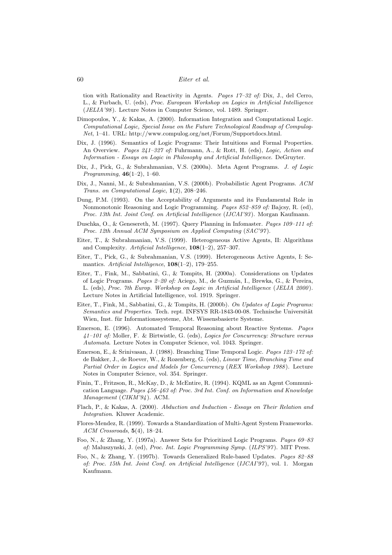tion with Rationality and Reactivity in Agents. Pages 17–32 of: Dix, J., del Cerro, L., & Furbach, U. (eds), Proc. European Workshop on Logics in Artificial Intelligence (*JELIA'98*). Lecture Notes in Computer Science, vol. 1489. Springer.

- Dimopoulos, Y., & Kakas, A. (2000). Information Integration and Computational Logic. Computational Logic, Special Issue on the Future Technological Roadmap of Compulog-Net, 1–41. URL: http://www.compulog.org/net/Forum/Supportdocs.html.
- Dix, J. (1996). Semantics of Logic Programs: Their Intuitions and Formal Properties. An Overview. Pages 241–327 of: Fuhrmann, A., & Rott, H. (eds), Logic, Action and Information - Essays on Logic in Philosophy and Artificial Intelligence. DeGruyter.
- Dix, J., Pick, G., & Subrahmanian, V.S. (2000a). Meta Agent Programs. J. of Logic *Programming*,  $46(1-2)$ ,  $1-60$ .
- Dix, J., Nanni, M., & Subrahmanian, V.S. (2000b). Probabilistic Agent Programs. ACM Trans. on Computational Logic, 1(2), 208–246.
- Dung, P.M. (1993). On the Acceptability of Arguments and its Fundamental Role in Nonmonotonic Reasoning and Logic Programming. Pages 852–859 of: Bajcsy, R. (ed), Proc. 13th Int. Joint Conf. on Artificial Intelligence (IJCAI'93). Morgan Kaufmann.
- Duschka, O., & Genesereth, M. (1997). Query Planning in Infomaster. Pages 109–111 of: Proc. 12th Annual ACM Symposium on Applied Computing (SAC'97).
- Eiter, T., & Subrahmanian, V.S. (1999). Heterogeneous Active Agents, II: Algorithms and Complexity. Artificial Intelligence, 108(1–2), 257–307.
- Eiter, T., Pick, G., & Subrahmanian, V.S. (1999). Heterogeneous Active Agents, I: Semantics. Artificial Intelligence, 108(1–2), 179–255.
- Eiter, T., Fink, M., Sabbatini, G., & Tompits, H. (2000a). Considerations on Updates of Logic Programs. Pages 2–20 of: Aciego, M., de Guzmán, I., Brewka, G., & Pereira, L. (eds), Proc. 7th Europ. Workshop on Logic in Artificial Intelligence (JELIA 2000). Lecture Notes in Artificial Intelligence, vol. 1919. Springer.
- Eiter, T., Fink, M., Sabbatini, G., & Tompits, H. (2000b). On Updates of Logic Programs: Semantics and Properties. Tech. rept. INFSYS RR-1843-00-08. Technische Universität Wien, Inst. für Informationssysteme, Abt. Wissensbasierte Systeme.
- Emerson, E. (1996). Automated Temporal Reasoning about Reactive Systems. Pages 41–101 of: Moller, F. & Birtwistle, G. (eds), Logics for Concurrency: Structure versus Automata. Lecture Notes in Computer Science, vol. 1043. Springer.
- Emerson, E., & Srinivasan, J. (1988). Branching Time Temporal Logic. Pages 123–172 of: de Bakker, J., de Roever, W., & Rozenberg, G. (eds), Linear Time, Branching Time and Partial Order in Logics and Models for Concurrency (REX Workshop 1988). Lecture Notes in Computer Science, vol. 354. Springer.
- Finin, T., Fritzson, R., McKay, D., & McEntire, R. (1994). KQML as an Agent Communication Language. Pages 456–463 of: Proc. 3rd Int. Conf. on Information and Knowledge Management (CIKM'94). ACM.
- Flach, P., & Kakas, A. (2000). Abduction and Induction Essays on Their Relation and Integration. Kluwer Academic.
- Flores-Mendez, R. (1999). Towards a Standardization of Multi-Agent System Frameworks.  $ACM$  Crossroads,  $5(4)$ , 18–24.
- Foo, N., & Zhang, Y. (1997a). Answer Sets for Prioritized Logic Programs. Pages 69–83 of: Maluszynski, J. (ed), Proc. Int. Logic Programming Symp. (ILPS'97 ). MIT Press.
- Foo, N., & Zhang, Y. (1997b). Towards Generalized Rule-based Updates. Pages 82–88 of: Proc. 15th Int. Joint Conf. on Artificial Intelligence (IJCAI'97), vol. 1. Morgan Kaufmann.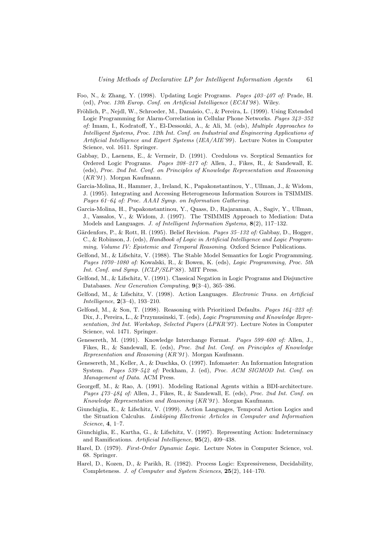- Foo, N., & Zhang, Y. (1998). Updating Logic Programs. Pages 403–407 of: Prade, H. (ed), Proc. 13th Europ. Conf. on Artificial Intelligence (ECAI'98 ). Wiley.
- Fröhlich, P., Nejdl, W., Schroeder, M., Damásio, C., & Pereira, L. (1999). Using Extended Logic Programming for Alarm-Correlation in Cellular Phone Networks. Pages 343–352 of: Imam, I., Kodratoff, Y., El-Dessouki, A., & Ali, M. (eds), Multiple Approaches to Intelligent Systems, Proc. 12th Int. Conf. on Industrial and Engineering Applications of Artificial Intelligence and Expert Systems (IEA/AIE'99 ). Lecture Notes in Computer Science, vol. 1611. Springer.
- Gabbay, D., Laenens, E., & Vermeir, D. (1991). Credulous vs. Sceptical Semantics for Ordered Logic Programs. Pages 208–217 of: Allen, J., Fikes, R., & Sandewall, E. (eds), Proc. 2nd Int. Conf. on Principles of Knowledge Representation and Reasoning (KR'91 ). Morgan Kaufmann.
- Garcia-Molina, H., Hammer, J., Ireland, K., Papakonstantinou, Y., Ullman, J., & Widom, J. (1995). Integrating and Accessing Heterogeneous Information Sources in TSIMMIS. Pages 61–64 of: Proc. AAAI Symp. on Information Gathering.
- Garcia-Molina, H., Papakonstantinou, Y., Quass, D., Rajaraman, A., Sagiv, Y., Ullman, J., Vassalos, V., & Widom, J. (1997). The TSIMMIS Approach to Mediation: Data Models and Languages. J. of Intelligent Information Systems, 8(2), 117–132.
- Gärdenfors, P., & Rott, H. (1995). Belief Revision. Pages  $35-132$  of: Gabbay, D., Hogger, C., & Robinson, J. (eds), Handbook of Logic in Artificial Intelligence and Logic Programming, Volume IV: Epistemic and Temporal Reasoning. Oxford Science Publications.
- Gelfond, M., & Lifschitz, V. (1988). The Stable Model Semantics for Logic Programming. Pages 1070–1080 of: Kowalski, R., & Bowen, K. (eds), Logic Programming, Proc. 5th Int. Conf. and Symp. (ICLP/SLP'88). MIT Press.
- Gelfond, M., & Lifschitz, V. (1991). Classical Negation in Logic Programs and Disjunctive Databases. New Generation Computing, 9(3–4), 365–386.
- Gelfond, M., & Lifschitz, V. (1998). Action Languages. Electronic Trans. on Artificial Intelligence, 2(3–4), 193–210.
- Gelfond, M., & Son, T. (1998). Reasoning with Prioritized Defaults. Pages 164–223 of: Dix, J., Pereira, L., & Przymusinski, T. (eds), Logic Programming and Knowledge Representation, 3rd Int. Workshop, Selected Papers (LPKR'97). Lecture Notes in Computer Science, vol. 1471. Springer.
- Genesereth, M. (1991). Knowledge Interchange Format. Pages 599–600 of: Allen, J., Fikes, R., & Sandewall, E. (eds), Proc. 2nd Int. Conf. on Principles of Knowledge Representation and Reasoning (KR'91 ). Morgan Kaufmann.
- Genesereth, M., Keller, A., & Duschka, O. (1997). Infomaster: An Information Integration System. Pages 539–542 of: Peckham, J. (ed), Proc. ACM SIGMOD Int. Conf. on Management of Data. ACM Press.
- Georgeff, M., & Rao, A. (1991). Modeling Rational Agents within a BDI-architecture. Pages 473–484 of: Allen, J., Fikes, R., & Sandewall, E. (eds), Proc. 2nd Int. Conf. on Knowledge Representation and Reasoning (KR'91 ). Morgan Kaufmann.
- Giunchiglia, E., & Lifschitz, V. (1999). Action Languages, Temporal Action Logics and the Situation Calculus. Linköping Electronic Articles in Computer and Information Science, 4, 1–7.
- Giunchiglia, E., Kartha, G., & Lifschitz, V. (1997). Representing Action: Indeterminacy and Ramifications. Artificial Intelligence, 95(2), 409–438.
- Harel, D. (1979). First-Order Dynamic Logic. Lecture Notes in Computer Science, vol. 68. Springer.
- Harel, D., Kozen, D., & Parikh, R. (1982). Process Logic: Expressiveness, Decidability, Completeness. J. of Computer and System Sciences, 25(2), 144–170.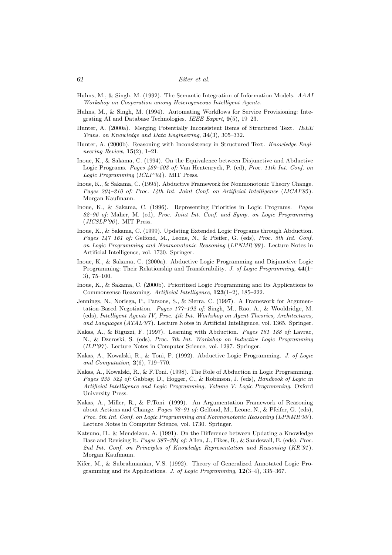- Huhns, M., & Singh, M. (1992). The Semantic Integration of Information Models. AAAI Workshop on Cooperation among Heterogeneous Intelligent Agents.
- Huhns, M., & Singh, M. (1994). Automating Workflows for Service Provisioning: Integrating AI and Database Technologies. IEEE Expert, 9(5), 19–23.
- Hunter, A. (2000a). Merging Potentially Inconsistent Items of Structured Text. IEEE Trans. on Knowledge and Data Engineering, 34(3), 305–332.
- Hunter, A. (2000b). Reasoning with Inconsistency in Structured Text. Knowledge Engineering Review,  $15(2)$ , 1-21.
- Inoue, K., & Sakama, C. (1994). On the Equivalence between Disjunctive and Abductive Logic Programs. Pages 489–503 of: Van Hentenryck, P. (ed), Proc. 11th Int. Conf. on Logic Programming (ICLP'94). MIT Press.
- Inoue, K., & Sakama, C. (1995). Abductive Framework for Nonmonotonic Theory Change. Pages 204-210 of: Proc. 14th Int. Joint Conf. on Artificial Intelligence (IJCAI'95). Morgan Kaufmann.
- Inoue, K., & Sakama, C. (1996). Representing Priorities in Logic Programs. Pages 82–96 of: Maher, M. (ed), Proc. Joint Int. Conf. and Symp. on Logic Programming  $(JICSLP'96)$ . MIT Press.
- Inoue, K., & Sakama, C. (1999). Updating Extended Logic Programs through Abduction. Pages 147-161 of: Gelfond, M., Leone, N., & Pfeifer, G. (eds), Proc. 5th Int. Conf. on Logic Programming and Nonmonotonic Reasoning (LPNMR'99). Lecture Notes in Artificial Intelligence, vol. 1730. Springer.
- Inoue, K., & Sakama, C. (2000a). Abductive Logic Programming and Disjunctive Logic Programming: Their Relationship and Transferability. J. of Logic Programming, 44(1– 3), 75–100.
- Inoue, K., & Sakama, C. (2000b). Prioritized Logic Programming and Its Applications to Commonsense Reasoning. Artificial Intelligence, 123(1–2), 185–222.
- Jennings, N., Noriega, P., Parsons, S., & Sierra, C. (1997). A Framework for Argumentation-Based Negotiation. Pages 177–192 of: Singh, M., Rao, A., & Wooldridge, M. (eds), Intelligent Agents IV, Proc. 4th Int. Workshop on Agent Theories, Architectures, and Languages (ATAL'97). Lecture Notes in Artificial Intelligence, vol. 1365. Springer.
- Kakas, A., & Riguzzi, F. (1997). Learning with Abduction. Pages 181–188 of: Lavrac, N., & Dzeroski, S. (eds), Proc. 7th Int. Workshop on Inductive Logic Programming (ILP'97). Lecture Notes in Computer Science, vol. 1297. Springer.
- Kakas, A., Kowalski, R., & Toni, F. (1992). Abductive Logic Programming. J. of Logic and Computation, 2(6), 719–770.
- Kakas, A., Kowalski, R., & F.Toni. (1998). The Role of Abduction in Logic Programming. Pages 235–324 of: Gabbay, D., Hogger, C., & Robinson, J. (eds), Handbook of Logic in Artificial Intelligence and Logic Programming, Volume V: Logic Programming. Oxford University Press.
- Kakas, A., Miller, R., & F.Toni. (1999). An Argumentation Framework of Reasoning about Actions and Change. Pages 78–91 of: Gelfond, M., Leone, N., & Pfeifer, G. (eds), Proc. 5th Int. Conf. on Logic Programming and Nonmonotonic Reasoning (LPNMR'99 ). Lecture Notes in Computer Science, vol. 1730. Springer.
- Katsuno, H., & Mendelzon, A. (1991). On the Difference between Updating a Knowledge Base and Revising It. Pages 387–394 of: Allen, J., Fikes, R., & Sandewall, E. (eds), Proc. 2nd Int. Conf. on Principles of Knowledge Representation and Reasoning (KR'91). Morgan Kaufmann.
- Kifer, M., & Subrahmanian, V.S. (1992). Theory of Generalized Annotated Logic Programming and its Applications. J. of Logic Programming, 12(3–4), 335–367.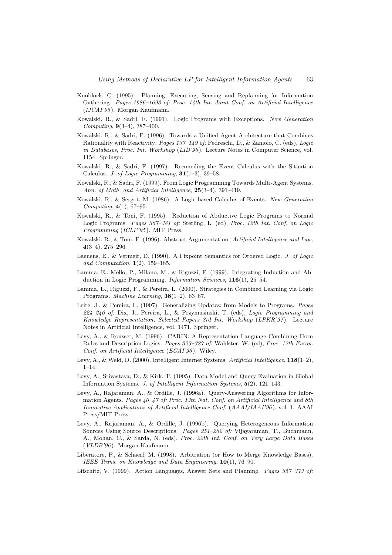- Knoblock, C. (1995). Planning, Executing, Sensing and Replanning for Information Gathering. Pages 1686–1693 of: Proc. 14th Int. Joint Conf. on Artificial Intelligence  $(IJCAI'95)$ . Morgan Kaufmann.
- Kowalski, R., & Sadri, F. (1991). Logic Programs with Exceptions. New Generation Computing, 9(3–4), 387–400.
- Kowalski, R., & Sadri, F. (1996). Towards a Unified Agent Architecture that Combines Rationality with Reactivity. Pages 137–149 of: Pedreschi, D., & Zaniolo, C. (eds), Logic in Databases, Proc. Int. Workshop (LID'96 ). Lecture Notes in Computer Science, vol. 1154. Springer.
- Kowalski, R., & Sadri, F. (1997). Reconciling the Event Calculus with the Situation Calculus. J. of Logic Programming,  $31(1-3)$ ,  $39-58$ .
- Kowalski, R., & Sadri, F. (1999). From Logic Programming Towards Multi-Agent Systems. Ann. of Math. and Artificial Intelligence, 25(3–4), 391–419.
- Kowalski, R., & Sergot, M. (1986). A Logic-based Calculus of Events. New Generation Computing, 4(1), 67–95.
- Kowalski, R., & Toni, F. (1995). Reduction of Abductive Logic Programs to Normal Logic Programs. Pages 367–381 of: Sterling, L. (ed), Proc. 12th Int. Conf. on Logic Programming (ICLP'95). MIT Press.
- Kowalski, R., & Toni, F. (1996). Abstract Argumentation. Artificial Intelligence and Law,  $4(3-4), 275-296.$
- Laenens, E., & Vermeir, D. (1990). A Fixpoint Semantics for Ordered Logic. J. of Logic and Computation,  $1(2)$ , 159–185.
- Lamma, E., Mello, P., Milano, M., & Riguzzi, F. (1999). Integrating Induction and Abduction in Logic Programming. *Information Sciences*, **116**(1), 25–54.
- Lamma, E., Riguzzi, F., & Pereira, L. (2000). Strategies in Combined Learning via Logic Programs. Machine Learning, 38(1–2), 63–87.
- Leite, J., & Pereira, L. (1997). Generalizing Updates: from Models to Programs. Pages  $224-246$  of: Dix, J., Pereira, L., & Przymusinski, T. (eds), Logic Programming and Knowledge Representation, Selected Papers 3rd Int. Workshop (LPKR'97 ). Lecture Notes in Artificial Intelligence, vol. 1471. Springer.
- Levy, A., & Rousset, M. (1996). CARIN: A Representation Language Combining Horn Rules and Description Logics. Pages 323–327 of: Wahlster, W. (ed), Proc. 12th Europ. Conf. on Artificial Intelligence (ECAI'96 ). Wiley.
- Levy, A., & Weld, D. (2000). Intelligent Internet Systems. Artificial Intelligence, 118(1–2), 1–14.
- Levy, A., Srivastava, D., & Kirk, T. (1995). Data Model and Query Evaluation in Global Information Systems. J. of Intelligent Information Systems, 5(2), 121–143.
- Levy, A., Rajaraman, A., & Ordille, J. (1996a). Query-Answering Algorithms for Information Agents. Pages 40–47 of: Proc. 13th Nat. Conf. on Artificial Intelligence and 8th Innovative Applications of Artificial Intelligence Conf. (AAAI/IAAI'96 ), vol. 1. AAAI Press/MIT Press.
- Levy, A., Rajaraman, A., & Ordille, J. (1996b). Querying Heterogeneous Information Sources Using Source Descriptions. Pages 251–262 of: Vijayaraman, T., Buchmann, A., Mohan, C., & Sarda, N. (eds), Proc. 22th Int. Conf. on Very Large Data Bases (VLDB'96 ). Morgan Kaufmann.
- Liberatore, P., & Schaerf, M. (1998). Arbitration (or How to Merge Knowledge Bases). IEEE Trans. on Knowledge and Data Engineering,  $10(1)$ , 76-90.
- Lifschitz, V. (1999). Action Languages, Answer Sets and Planning. Pages 357–373 of: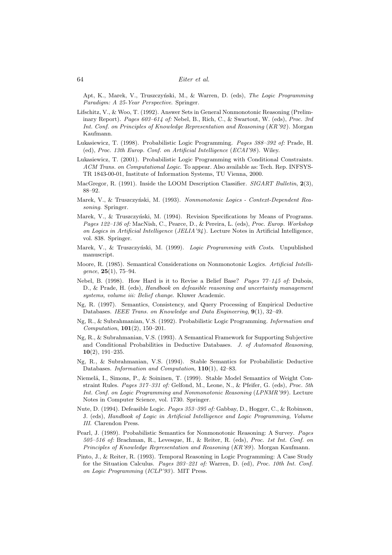Apt, K., Marek, V., Truszczyński, M., & Warren, D. (eds), The Logic Programming Paradigm: A 25-Year Perspective. Springer.

- Lifschitz, V., & Woo, T. (1992). Answer Sets in General Nonmonotonic Reasoning (Preliminary Report). Pages 603–614 of: Nebel, B., Rich, C., & Swartout, W. (eds), Proc. 3rd Int. Conf. on Principles of Knowledge Representation and Reasoning (KR'92). Morgan Kaufmann.
- Lukasiewicz, T. (1998). Probabilistic Logic Programming. Pages 388–392 of: Prade, H. (ed), Proc. 13th Europ. Conf. on Artificial Intelligence (ECAI'98 ). Wiley.
- Lukasiewicz, T. (2001). Probabilistic Logic Programming with Conditional Constraints. ACM Trans. on Computational Logic. To appear. Also available as: Tech. Rep. INFSYS-TR 1843-00-01, Institute of Information Systems, TU Vienna, 2000.
- MacGregor, R. (1991). Inside the LOOM Description Classifier. SIGART Bulletin, 2(3), 88–92.
- Marek, V., & Truszczyński, M. (1993). Nonmonotonic Logics Context-Dependent Reasoning. Springer.
- Marek, V.,  $\&$  Truszczyński, M. (1994). Revision Specifications by Means of Programs. Pages 122–136 of: MacNish, C., Pearce, D., & Pereira, L. (eds), Proc. Europ. Workshop on Logics in Artificial Intelligence (JELIA'94). Lecture Notes in Artificial Intelligence, vol. 838. Springer.
- Marek, V., & Truszczyński, M. (1999). Logic Programming with Costs. Unpublished manuscript.
- Moore, R. (1985). Semantical Considerations on Nonmonotonic Logics. Artificial Intelligence,  $25(1)$ ,  $75-94$ .
- Nebel, B. (1998). How Hard is it to Revise a Belief Base? Pages  $77-145$  of: Dubois, D., & Prade, H. (eds), Handbook on defeasible reasoning and uncertainty management systems, volume iii: Belief change. Kluwer Academic.
- Ng, R. (1997). Semantics, Consistency, and Query Processing of Empirical Deductive Databases. IEEE Trans. on Knowledge and Data Engineering,  $9(1)$ , 32–49.
- Ng, R., & Subrahmanian, V.S. (1992). Probabilistic Logic Programming. Information and Computation, 101(2), 150–201.
- Ng, R., & Subrahmanian, V.S. (1993). A Semantical Framework for Supporting Subjective and Conditional Probabilities in Deductive Databases. J. of Automated Reasoning, 10(2), 191–235.
- Ng, R., & Subrahmanian, V.S. (1994). Stable Semantics for Probabilistic Deductive Databases. *Information and Computation*, **110**(1), 42–83.
- Niemelä, I., Simons, P., & Soininen, T. (1999). Stable Model Semantics of Weight Constraint Rules. Pages 317–331 of: Gelfond, M., Leone, N., & Pfeifer, G. (eds), Proc. 5th Int. Conf. on Logic Programming and Nonmonotonic Reasoning (LPNMR'99 ). Lecture Notes in Computer Science, vol. 1730. Springer.
- Nute, D. (1994). Defeasible Logic. Pages 353–395 of: Gabbay, D., Hogger, C., & Robinson, J. (eds), Handbook of Logic in Artificial Intelligence and Logic Programming, Volume III. Clarendon Press.
- Pearl, J. (1989). Probabilistic Semantics for Nonmonotonic Reasoning: A Survey. Pages 505–516 of: Brachman, R., Levesque, H., & Reiter, R. (eds), Proc. 1st Int. Conf. on Principles of Knowledge Representation and Reasoning (KR'89 ). Morgan Kaufmann.
- Pinto, J., & Reiter, R. (1993). Temporal Reasoning in Logic Programming: A Case Study for the Situation Calculus. Pages 203–221 of: Warren, D. (ed), Proc. 10th Int. Conf. on Logic Programming (ICLP'93). MIT Press.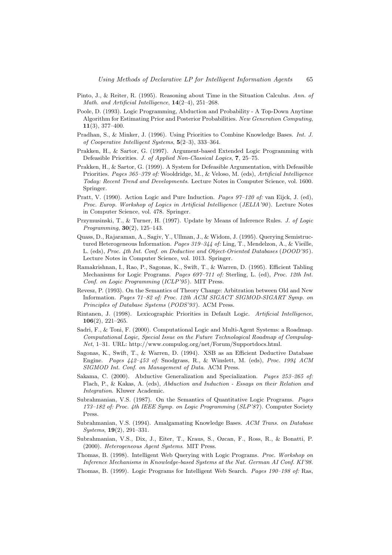- Pinto, J., & Reiter, R. (1995). Reasoning about Time in the Situation Calculus. Ann. of Math. and Artificial Intelligence,  $14(2-4)$ ,  $251-268$ .
- Poole, D. (1993). Logic Programming, Abduction and Probability A Top-Down Anytime Algorithm for Estimating Prior and Posterior Probabilities. New Generation Computing, 11(3), 377–400.
- Pradhan, S., & Minker, J. (1996). Using Priorities to Combine Knowledge Bases. Int. J. of Cooperative Intelligent Systems, 5(2–3), 333–364.
- Prakken, H., & Sartor, G. (1997). Argument-based Extended Logic Programming with Defeasible Priorities. J. of Applied Non-Classical Logics, 7, 25–75.
- Prakken, H., & Sartor, G. (1999). A System for Defeasible Argumentation, with Defeasible Priorities. Pages 365–379 of: Wooldridge, M., & Veloso, M. (eds), Artificial Intelligence Today: Recent Trend and Developments. Lecture Notes in Computer Science, vol. 1600. Springer.
- Pratt, V. (1990). Action Logic and Pure Induction. Pages 97–120 of: van Eijck, J. (ed), Proc. Europ. Workshop of Logics in Artificial Intelligence (JELIA'90). Lecture Notes in Computer Science, vol. 478. Springer.
- Przymusinski, T., & Turner, H. (1997). Update by Means of Inference Rules. J. of Logic *Programming*,  $30(2)$ ,  $125-143$ .
- Quass, D., Rajaraman, A., Sagiv, Y., Ullman, J., & Widom, J. (1995). Querying Semistructured Heterogeneous Information. Pages 319–344 of: Ling, T., Mendelzon, A., & Vieille, L. (eds), Proc. 4th Int. Conf. on Deductive and Object-Oriented Databases (DOOD'95 ). Lecture Notes in Computer Science, vol. 1013. Springer.
- Ramakrishnan, I., Rao, P., Sagonas, K., Swift, T., & Warren, D. (1995). Efficient Tabling Mechanisms for Logic Programs. Pages 697–711 of: Sterling, L. (ed), Proc. 12th Int. Conf. on Logic Programming (ICLP'95). MIT Press.
- Revesz, P. (1993). On the Semantics of Theory Change: Arbitration between Old and New Information. Pages 71–82 of: Proc. 12th ACM SIGACT SIGMOD-SIGART Symp. on Principles of Database Systems (PODS'93). ACM Press.
- Rintanen, J. (1998). Lexicographic Priorities in Default Logic. Artificial Intelligence, 106(2), 221–265.
- Sadri, F., & Toni, F. (2000). Computational Logic and Multi-Agent Systems: a Roadmap. Computational Logic, Special Issue on the Future Technological Roadmap of Compulog-Net, 1–31. URL: http://www.compulog.org/net/Forum/Supportdocs.html.
- Sagonas, K., Swift, T., & Warren, D. (1994). XSB as an Efficient Deductive Database Engine. Pages 442–453 of: Snodgrass, R., & Winslett, M. (eds), Proc. 1994 ACM SIGMOD Int. Conf. on Management of Data. ACM Press.
- Sakama, C. (2000). Abductive Generalization and Specialization. Pages 253–265 of: Flach, P., & Kakas, A. (eds), Abduction and Induction - Essays on their Relation and Integration. Kluwer Academic.
- Subrahmanian, V.S. (1987). On the Semantics of Quantitative Logic Programs. Pages 173–182 of: Proc. 4th IEEE Symp. on Logic Programming (SLP'87 ). Computer Society Press.
- Subrahmanian, V.S. (1994). Amalgamating Knowledge Bases. ACM Trans. on Database Systems, 19(2), 291–331.
- Subrahmanian, V.S., Dix, J., Eiter, T., Kraus, S., Ozcan, F., Ross, R., & Bonatti, P. (2000). Heterogeneous Agent Systems. MIT Press.
- Thomas, B. (1998). Intelligent Web Querying with Logic Programs. Proc. Workshop on Inference Mechanisms in Knowledge-based Systems at the Nat. German AI Conf. KI'98.
- Thomas, B. (1999). Logic Programs for Intelligent Web Search. Pages 190–198 of: Ras,